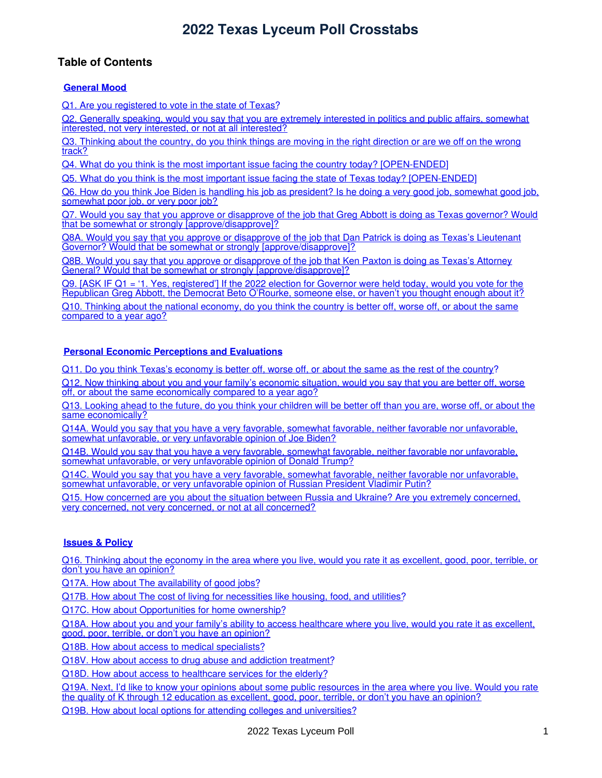### **Table of Contents**

#### **[General](#page-3-0) Mood**

Q1. Are you [registered](#page-3-1) to vote in the state of Texas?

Q2. Generally speaking, would you say that you are extremely interested in politics and public affairs, somewhat interested, not very interested, or not at all [interested?](#page-4-0)

Q3. [Thinking](#page-5-0) about the country, do you think things are moving in the right direction or are we off on the wrong track?

Q4. What do you think is the most important issue facing the country today? [\[OPEN-ENDED](#page-6-0)]

Q5. What do you think is the most important issue facing the state of Texas today? [\[OPEN-ENDED](#page-7-0)]

Q6. How do you think Joe Biden is handling his job as [president?](#page-8-0) Is he doing a very good job, somewhat good job, somewhat poor job, or very poor job?

Q7. Would you say that you approve or disapprove of the job that Greg Abbott is doing as Texas governor? Would that be somewhat or strongly [\[approve/disapprove\]?](#page-9-0)

Q8A. Would you say that you approve or disapprove of the job that Dan Patrick is doing as Texas's Lieutenant Governor? Would that be somewhat or strongly [\[approve/disapprove\]?](#page-10-0)

Q8B. Would you say that you approve or disapprove of the job that Ken Paxton is doing as Texas's Attorney General? Would that be somewhat or strongly [\[approve/disapprove\]?](#page-11-0)

Q9. [ASK IF Q1 = '1. Yes, registered'] If the 2022 election for Governor were held today, would you vote for the [Republican](#page-12-0) Greg Abbott, the Democrat Beto O'Rourke, someone else, or haven't you thought enough about it?

Q10. Thinking about the national economy, do you think the country is better off, worse off, or about the same [compared](#page-13-0) to a year ago?

#### **Personal Economic [Perceptions](#page-14-0) and Evaluations**

Q11. Do you think Texas's [economy](#page-14-1) is better off, worse off, or about the same as the rest of the country?

Q12. Now thinking about you and your family's economic situation, would you say that you are better off, worse off, or about the same [economically](#page-15-0) compared to a year ago?

Q13. Looking ahead to the future, do you think your children will be better off than you are, worse off, or about the same [economically?](#page-16-0)

Q14A. Would you say that you have a very favorable, somewhat favorable, neither favorable nor unfavorable, somewhat [unfavorable,](#page-17-0) or very unfavorable opinion of Joe Biden?

Q14B. Would you say that you have a very favorable, somewhat favorable, neither favorable nor unfavorable, somewhat [unfavorable,](#page-18-0) or very unfavorable opinion of Donald Trump?

Q14C. Would you say that you have a very favorable, somewhat favorable, neither favorable nor unfavorable, somewhat [unfavorable,](#page-19-0) or very unfavorable opinion of Russian President Vladimir Putin?

Q15. How concerned are you about the situation between Russia and Ukraine? Are you extremely concerned, very concerned, not very concerned, or not at all [concerned?](#page-20-0)

#### **[Issues](#page-20-1) & Policy**

Q16. Thinking about the economy in the area where you live, would you rate it as [excellent,](#page-21-0) good, poor, terrible, or don't you have an opinion?

Q17A. How about The [availability](#page-22-0) of good jobs?

Q17B. How about The cost of living for [necessities](#page-23-0) like housing, food, and utilities?

Q17C. How about [Opportunities](#page-24-0) for home ownership?

Q18A. How about you and your family's ability to access [healthcare](#page-25-0) where you live, would you rate it as excellent, good, poor, terrible, or don't you have an opinion?

Q18B. How about access to medical [specialists?](#page-26-0)

Q18V. How about access to drug abuse and addiction [treatment?](#page-27-0)

Q18D. How about access to [healthcare](#page-28-0) services for the elderly?

Q19A. Next, I'd like to know your opinions about some public [resources](#page-29-0) in the area where you live. Would you rate the quality of K through 12 education as excellent, good, poor, terrible, or don't you have an opinion?

Q19B. How about local options for attending colleges and [universities?](#page-30-0)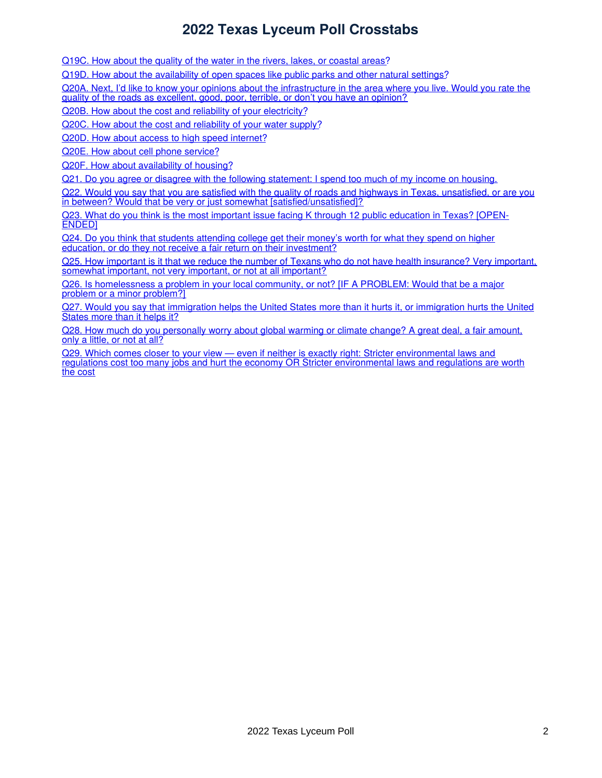Q19C. How about the quality of the water in the rivers, lakes, or [coastal](#page-31-0) areas?

Q19D. How about the [availability](#page-32-0) of open spaces like public parks and other natural settings?

Q20A. Next, I'd like to know your opinions about the [infrastructure](#page-33-0) in the area where you live. Would you rate the quality of the roads as excellent, good, poor, terrible, or don't you have an opinion?

Q20B. How about the cost and reliability of your [electricity?](#page-34-0)

Q20C. How about the cost and [reliability](#page-35-0) of your water supply?

Q20D. How about access to high speed [internet?](#page-36-0)

Q20E. How about cell phone [service?](#page-37-0)

Q20F. How about [availability](#page-38-0) of housing?

Q21. Do you agree or disagree with the following [statement:](#page-39-0) I spend too much of my income on housing.

Q22. Would you say that you are satisfied with the quality of roads and highways in Texas, unsatisfied, or are you in between? Would that be very or just somewhat [\[satisfied/unsatisfied\]?](#page-40-0)

Q23. What do you think is the most important issue facing K through 12 public [education](#page-41-0) in Texas? [OPEN-ENDED]

Q24. Do you think that students attending college get their money's worth for what they spend on higher education, or do they not receive a fair return on their [investment?](#page-42-0)

Q25. How important is it that we reduce the number of Texans who do not have health [insurance?](#page-43-0) Very important, somewhat important, not very important, or not at all important?

Q26. Is [homelessness](#page-44-0) a problem in your local community, or not? [IF A PROBLEM: Would that be a major problem or a minor problem?

Q27. Would you say that [immigration](#page-45-0) helps the United States more than it hurts it, or immigration hurts the United States more than it helps it?

Q28. How much do you [personally](#page-46-0) worry about global warming or climate change? A great deal, a fair amount, only a little, or not at all?

Q29. Which comes closer to your view — even if neither is exactly right: Stricter environmental laws and regulations cost too many jobs and hurt the economy OR Stricter [environmental](#page-47-0) laws and regulations are worth the cost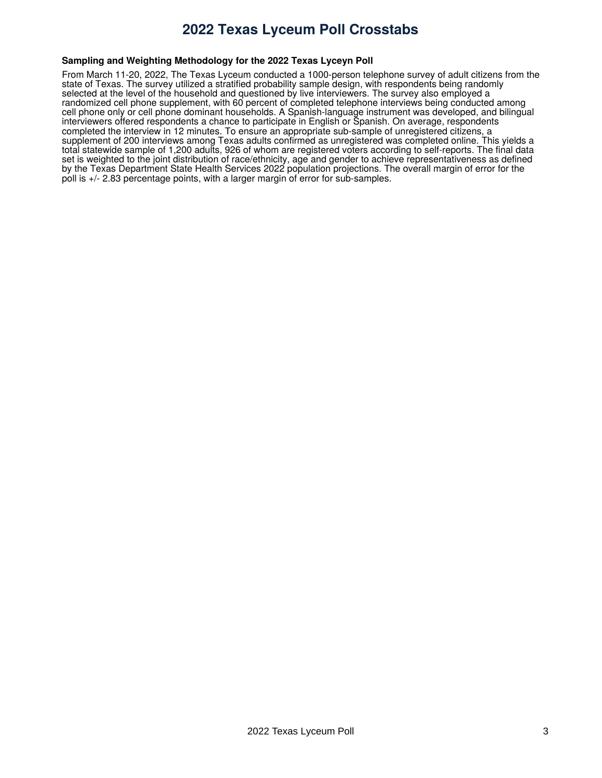#### **Sampling and Weighting Methodology for the 2022 Texas Lyceyn Poll**

From March 11-20, 2022, The Texas Lyceum conducted a 1000-person telephone survey of adult citizens from the state of Texas. The survey utilized a stratified probability sample design, with respondents being randomly selected at the level of the household and questioned by live interviewers. The survey also employed a randomized cell phone supplement, with 60 percent of completed telephone interviews being conducted among cell phone only or cell phone dominant households. A Spanish-language instrument was developed, and bilingual interviewers offered respondents a chance to participate in English or Spanish. On average, respondents completed the interview in 12 minutes. To ensure an appropriate sub-sample of unregistered citizens, a supplement of 200 interviews among Texas adults confirmed as unregistered was completed online. This yields a total statewide sample of 1,200 adults, 926 of whom are registered voters according to self-reports. The final data set is weighted to the joint distribution of race/ethnicity, age and gender to achieve representativeness as defined by the Texas Department State Health Services 2022 population projections. The overall margin of error for the poll is +/- 2.83 percentage points, with a larger margin of error for sub-samples.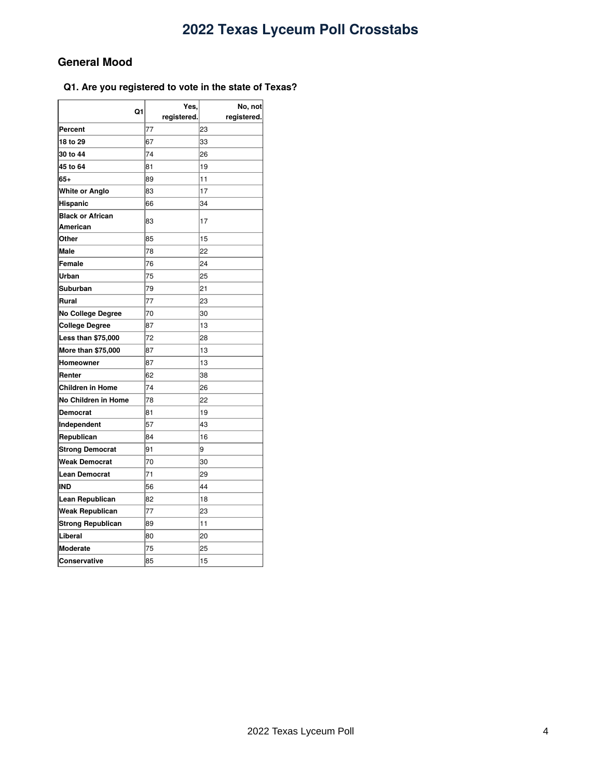### <span id="page-3-0"></span>**General Mood**

#### <span id="page-3-1"></span>**Q1. Are you registered to vote in the state of Texas?**

| Q1                        | Yes,        | No, not     |  |
|---------------------------|-------------|-------------|--|
|                           | registered. | registered. |  |
| Percent                   | 77          | 23          |  |
| 18 to 29                  | 67          | 33          |  |
| 30 to 44                  | 74          | 26          |  |
| 45 to 64                  | 81          | 19          |  |
| $65+$                     | 89          | 11          |  |
| White or Anglo            | 83          | 17          |  |
| Hispanic                  | 66          | 34          |  |
| <b>Black or African</b>   | 83          | 17          |  |
| American                  |             |             |  |
| Other                     | 85          | 15          |  |
| Male                      | 78          | 22          |  |
| Female                    | 76          | 24          |  |
| Urban                     | 75          | 25          |  |
| Suburban                  | 79          | 21          |  |
| Rural                     | 77          | 23          |  |
| No College Degree         | 70          | 30          |  |
| <b>College Degree</b>     | 87          | 13          |  |
| <b>Less than \$75,000</b> | 72          | 28          |  |
| More than \$75,000        | 87          | 13          |  |
| Homeowner                 | 87          | 13          |  |
| Renter                    | 62          | 38          |  |
| <b>Children in Home</b>   | 74          | 26          |  |
| No Children in Home       | 78          | 22          |  |
| Democrat                  | 81          | 19          |  |
| Independent               | 57          | 43          |  |
| Republican                | 84          | 16          |  |
| <b>Strong Democrat</b>    | 91          | 9           |  |
| <b>Weak Democrat</b>      | 70          | 30          |  |
| <b>Lean Democrat</b>      | 71          | 29          |  |
| IND                       | 56          | 44          |  |
| Lean Republican           | 82          | 18          |  |
| Weak Republican           | 77          | 23          |  |
| Strong Republican         | 89          | 11          |  |
| Liberal                   | 80          | 20          |  |
| Moderate                  | 75          | 25          |  |
| Conservative              | 85          | 15          |  |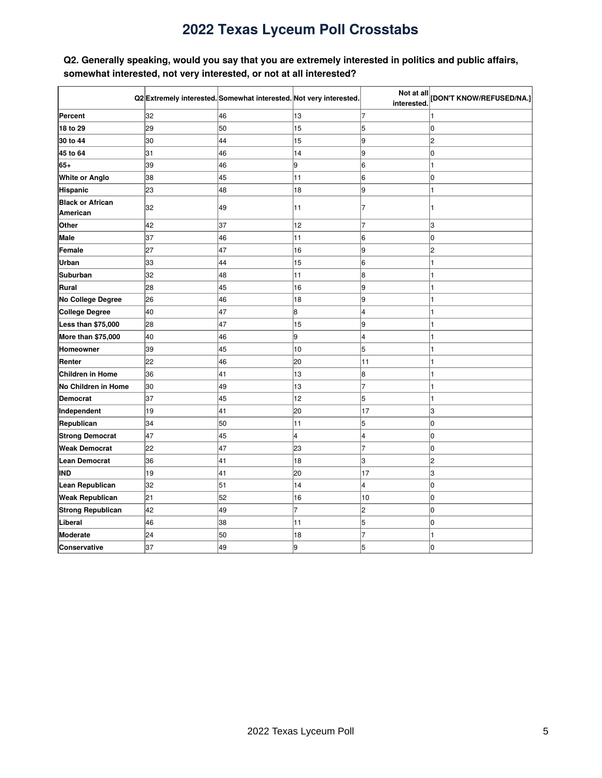### <span id="page-4-0"></span>**Q2. Generally speaking, would you say that you are extremely interested in politics and public affairs, somewhat interested, not very interested, or not at all interested?**

|                                     |    | Q2 Extremely interested. Somewhat interested. Not very interested. |                | Not at all<br>interested | [DON'T KNOW/REFUSED/NA.] |
|-------------------------------------|----|--------------------------------------------------------------------|----------------|--------------------------|--------------------------|
| Percent                             | 32 | 46                                                                 | 13             | 7                        |                          |
| 18 to 29                            | 29 | 50                                                                 | 15             | 5                        | lo                       |
| 30 to 44                            | 30 | 44                                                                 | 15             | 9                        | 2                        |
| 45 to 64                            | 31 | 46                                                                 | 14             | l9                       | l0                       |
| 65+                                 | 39 | 46                                                                 | l9             | 6                        |                          |
| White or Anglo                      | 38 | 45                                                                 | 11             | 6                        | l0                       |
| Hispanic                            | 23 | 48                                                                 | 18             | l9                       | 1                        |
| <b>Black or African</b><br>American | 32 | 49                                                                 | 11             | 7                        |                          |
| Other                               | 42 | 37                                                                 | 12             | 7                        | З                        |
| Male                                | 37 | 46                                                                 | 11             | 6                        | O                        |
| Female                              | 27 | 47                                                                 | 16             | g                        | 2                        |
| Urban                               | 33 | 44                                                                 | 15             | 6                        | 1                        |
| <b>Suburban</b>                     | 32 | 48                                                                 | 11             | 8                        |                          |
| Rural                               | 28 | 45                                                                 | 16             | 9                        | 1                        |
| No College Degree                   | 26 | 46                                                                 | 18             | l9                       | 1                        |
| <b>College Degree</b>               | 40 | 47                                                                 | 8              | l4                       | 1                        |
| Less than \$75,000                  | 28 | 47                                                                 | 15             | 9                        | 1                        |
| More than \$75,000                  | 40 | 46                                                                 | 9              | 4                        | 1                        |
| Homeowner                           | 39 | 45                                                                 | 10             | 5                        | 1                        |
| Renter                              | 22 | 46                                                                 | 20             | 11                       |                          |
| <b>Children in Home</b>             | 36 | 41                                                                 | 13             | 8                        |                          |
| No Children in Home                 | 30 | 49                                                                 | 13             | 7                        |                          |
| <b>Democrat</b>                     | 37 | 45                                                                 | 12             | 5                        |                          |
| Independent                         | 19 | 41                                                                 | 20             | 17                       | 3                        |
| Republican                          | 34 | 50                                                                 | 11             | 5                        | l0                       |
| <b>Strong Democrat</b>              | 47 | 45                                                                 | 4              | 4                        | l0                       |
| <b>Weak Democrat</b>                | 22 | 47                                                                 | 23             | 7                        | l0                       |
| <b>Lean Democrat</b>                | 36 | 41                                                                 | 18             | ß                        | 2                        |
| <b>IND</b>                          | 19 | 41                                                                 | 20             | 17                       | 3                        |
| Lean Republican                     | 32 | 51                                                                 | 14             | 4                        | O                        |
| <b>Weak Republican</b>              | 21 | 52                                                                 | 16             | 10                       | O                        |
| <b>Strong Republican</b>            | 42 | 49                                                                 | $\overline{7}$ | 2                        | O                        |
| Liberal                             | 46 | 38                                                                 | 11             | 5                        | O                        |
| <b>Moderate</b>                     | 24 | 50                                                                 | 18             | 7                        |                          |
| Conservative                        | 37 | 49                                                                 | 9              | 5                        | O                        |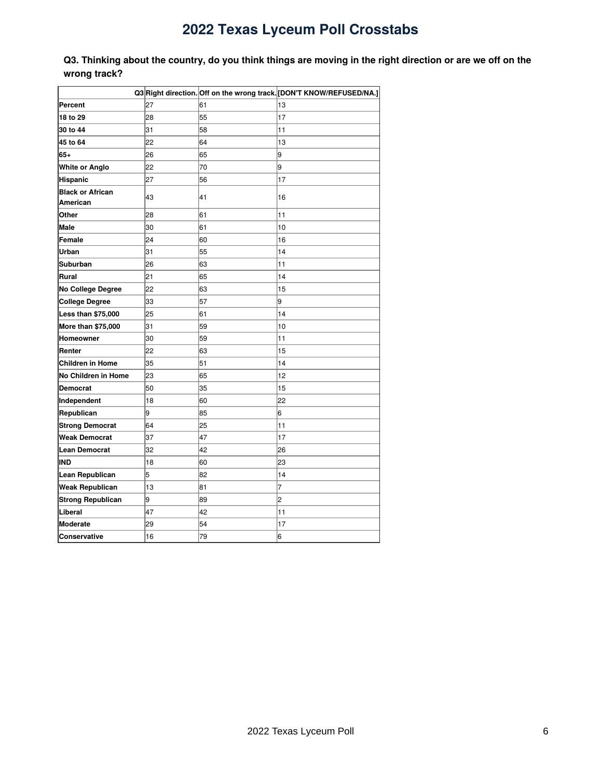<span id="page-5-0"></span>Q3. Thinking about the country, do you think things are moving in the right direction or are we off on the **wrong track?**

|                                     |    |    | Q3 Right direction. Off on the wrong track. [DON'T KNOW/REFUSED/NA.] |
|-------------------------------------|----|----|----------------------------------------------------------------------|
| <b>Percent</b>                      | 27 | 61 | 13                                                                   |
| 18 to 29                            | 28 | 55 | 17                                                                   |
| 30 to 44                            | 31 | 58 | 11                                                                   |
| 45 to 64                            | 22 | 64 | 13                                                                   |
| 65+                                 | 26 | 65 | 9                                                                    |
| <b>White or Anglo</b>               | 22 | 70 | 9                                                                    |
| Hispanic                            | 27 | 56 | 17                                                                   |
| <b>Black or African</b><br>American | 43 | 41 | 16                                                                   |
| Other                               | 28 | 61 | 11                                                                   |
| Male                                | 30 | 61 | 10                                                                   |
| Female                              | 24 | 60 | 16                                                                   |
| Urban                               | 31 | 55 | 14                                                                   |
| Suburban                            | 26 | 63 | 11                                                                   |
| Rural                               | 21 | 65 | 14                                                                   |
| No College Degree                   | 22 | 63 | 15                                                                   |
| College Degree                      | 33 | 57 | 9                                                                    |
| Less than \$75,000                  | 25 | 61 | 14                                                                   |
| More than \$75,000                  | 31 | 59 | 10                                                                   |
| Homeowner                           | 30 | 59 | 11                                                                   |
| Renter                              | 22 | 63 | 15                                                                   |
| <b>Children in Home</b>             | 35 | 51 | 14                                                                   |
| No Children in Home                 | 23 | 65 | 12                                                                   |
| <b>Democrat</b>                     | 50 | 35 | 15                                                                   |
| Independent                         | 18 | 60 | 22                                                                   |
| Republican                          | l9 | 85 | 6                                                                    |
| <b>Strong Democrat</b>              | 64 | 25 | 11                                                                   |
| <b>Weak Democrat</b>                | 37 | 47 | 17                                                                   |
| Lean Democrat                       | 32 | 42 | 26                                                                   |
| <b>IND</b>                          | 18 | 60 | 23                                                                   |
| Lean Republican                     | 5  | 82 | 14                                                                   |
| <b>Weak Republican</b>              | 13 | 81 | 7                                                                    |
| <b>Strong Republican</b>            | l9 | 89 | 2                                                                    |
| Liberal                             | 47 | 42 | 11                                                                   |
| Moderate                            | 29 | 54 | 17                                                                   |
| <b>Conservative</b>                 | 16 | 79 | 6                                                                    |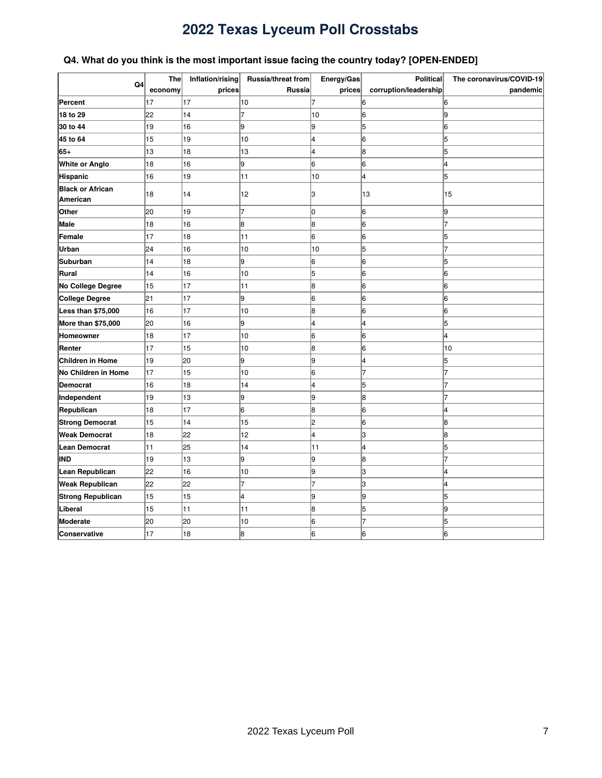### <span id="page-6-0"></span>**Q4. What do you think is the most important issue facing the country today? [OPEN-ENDED]**

|                                     | <b>The</b> | Inflation/rising | Russia/threat from | Energy/Gas | <b>Political</b>      | The coronavirus/COVID-19 |
|-------------------------------------|------------|------------------|--------------------|------------|-----------------------|--------------------------|
| Q4                                  | economy    | prices           | Russia             | prices     | corruption/leadership | pandemic                 |
| Percent                             | 17         | 17               | 10                 |            | 6                     | 6                        |
| 18 to 29                            | 22         | 14               | 7                  | 10         | 6                     | 9                        |
| 30 to 44                            | 19         | 16               | 9                  | 9          | 5                     | 6                        |
| 45 to 64                            | 15         | 19               | 10                 | 4          | 6                     | 5                        |
| 65+                                 | 13         | 18               | 13                 | 4          | 8                     | 5                        |
| White or Anglo                      | 18         | 16               | 9                  | 6          | 6                     | 4                        |
| Hispanic                            | 16         | 19               | 11                 | 10         | 4                     | 5                        |
| <b>Black or African</b><br>American | 18         | 14               | 12                 | З          | 13                    | 15                       |
| Other                               | 20         | 19               | $\overline{7}$     | O          | 6                     | l9                       |
| Male                                | 18         | 16               | 8                  | 8          | 6                     | 7                        |
| Female                              | 17         | 18               | 11                 | 6          | 6                     | 5                        |
| Urban                               | 24         | 16               | 10                 | 10         | 5                     | 7                        |
| Suburban                            | 14         | 18               | 9                  | 6          | 6                     | 5                        |
| Rural                               | 14         | 16               | 10                 | 5          | 6                     | 6                        |
| No College Degree                   | 15         | 17               | 11                 | 8          | 6                     | 6                        |
| <b>College Degree</b>               | 21         | 17               | 9                  | 16         | 6                     | 6                        |
| Less than \$75,000                  | 16         | 17               | 10                 | 8          | 6                     | 16                       |
| More than \$75,000                  | 20         | 16               | 9                  | 4          | 4                     | 5                        |
| Homeowner                           | 18         | 17               | 10                 | 6          | 6                     | 4                        |
| Renter                              | 17         | 15               | 10                 | 8          | 6                     | 10                       |
| <b>Children in Home</b>             | 19         | 20               | 9                  | l9         | 4                     | 5                        |
| No Children in Home                 | 17         | 15               | 10                 | 6          | 7                     |                          |
| <b>Democrat</b>                     | 16         | 18               | 14                 | 4          | 5                     |                          |
| Independent                         | 19         | 13               | 9                  | 19         | 8                     |                          |
| Republican                          | 18         | 17               | 6                  | 8          | 6                     | 4                        |
| <b>Strong Democrat</b>              | 15         | 14               | 15                 | l2         | 6                     | 8                        |
| <b>Weak Democrat</b>                | 18         | 22               | 12                 | 4          | 3                     | 8                        |
| <b>Lean Democrat</b>                | 11         | 25               | 14                 | 11         | 4                     | 5                        |
| IND                                 | 19         | 13               | 9                  | l9         | 8                     | 7                        |
| Lean Republican                     | 22         | 16               | 10                 | l9         | 3                     | 4                        |
| <b>Weak Republican</b>              | 22         | 22               | 7                  |            | 3                     | 4                        |
| <b>Strong Republican</b>            | 15         | 15               | 4                  | l9         | 9                     | 5                        |
| Liberal                             | 15         | 11               | 11                 | 8          | 5                     | 19                       |
| Moderate                            | 20         | 20               | 10                 | 6          | $\overline{7}$        | 5                        |
| Conservative                        | 17         | 18               | 8                  | 6          | 6                     | 16                       |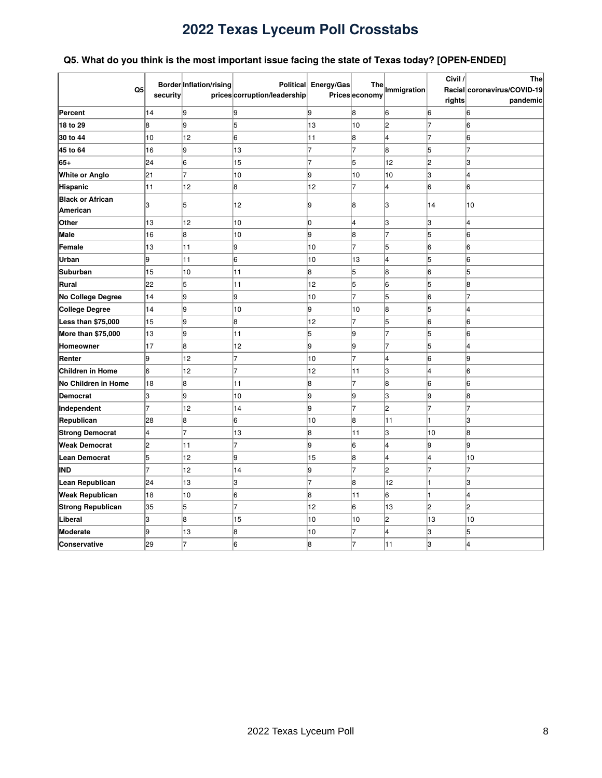### <span id="page-7-0"></span>**Q5. What do you think is the most important issue facing the state of Texas today? [OPEN-ENDED]**

| Q <sub>5</sub>                      | security       | Border Inflation/rising | <b>Political</b><br>prices corruption/leadership | Energy/Gas | <b>The</b><br>Prices economy | Immigration    | Civil /<br>rights | <b>The</b><br>Racial coronavirus/COVID-19<br>pandemic |
|-------------------------------------|----------------|-------------------------|--------------------------------------------------|------------|------------------------------|----------------|-------------------|-------------------------------------------------------|
| Percent                             | 14             | 9                       | 19                                               | l9         | 8                            | 6              | 6                 | 6                                                     |
| 18 to 29                            | 8              | g                       | 5                                                | 13         | 10                           | 2              | $\overline{7}$    | 6                                                     |
| 30 to 44                            | 10             | 12                      | 6                                                | 11         | 8                            | 4              | 7                 | 6                                                     |
| 45 to 64                            | 16             | l9                      | 13                                               | 7          | $\overline{7}$               | 8              | 5                 | 7                                                     |
| 65+                                 | 24             | 6                       | 15                                               | 17         | 5                            | 12             | 2                 | 3                                                     |
| White or Anglo                      | 21             | $\overline{7}$          | 10                                               | 9          | 10                           | 10             | З                 | 4                                                     |
| Hispanic                            | 11             | 12                      | 8                                                | 12         | 7                            | 4              | 6                 | 6                                                     |
| <b>Black or African</b><br>American | lЗ             | 5                       | 12                                               | 19         | 8                            | З              | 14                | 10                                                    |
| Other                               | 13             | 12                      | 10                                               | lо         | 4                            | 3              | lЗ                | 4                                                     |
| Male                                | 16             | l8                      | 10                                               | l9         | 8                            | 7              | 5                 | 6                                                     |
| Female                              | 13             | 11                      | l9                                               | 10         | $\overline{7}$               | 5              | 6                 | 6                                                     |
| Urban                               | g.             | 11                      | 6                                                | 10         | 13                           | 4              | 5                 | 6                                                     |
| <b>Suburban</b>                     | 15             | 10                      | 11                                               | 8          | 5                            | 8              | 6                 | 5                                                     |
| Rural                               | 22             | 5                       | 11                                               | 12         | 5                            | 6              | 5                 | 8                                                     |
| No College Degree                   | 14             | g                       | l9                                               | 10         | 7                            | 5              | 6                 | 7                                                     |
| <b>College Degree</b>               | 14             | g                       | 10                                               | 9          | 10                           | 8              | 5                 | 4                                                     |
| Less than \$75,000                  | 15             | g                       | 8                                                | 12         | 7                            | 5              | 6                 | 6                                                     |
| More than \$75,000                  | 13             | g                       | 11                                               | 5          | 9                            | 7              | 5                 | 6                                                     |
| Homeowner                           | 17             | 8                       | 12                                               | l9         | l9                           | 7              | 5                 | 4                                                     |
| Renter                              | 9              | 12                      | 7                                                | 10         | 7                            | 4              | 6                 | 9                                                     |
| <b>Children in Home</b>             | 6              | 12                      | 7                                                | 12         | 11                           | lЗ             | 4                 | 6                                                     |
| No Children in Home                 | 18             | 8                       | 11                                               | 8          | $\overline{7}$               | 8              | 6                 | 6                                                     |
| <b>Democrat</b>                     | з              | l9                      | 10                                               | 9          | 9                            | lЗ             | l9                | 8                                                     |
| Independent                         | $\overline{7}$ | 12                      | 14                                               | l9         | $\overline{7}$               | $\overline{c}$ | $\overline{7}$    | $\overline{7}$                                        |
| Republican                          | 28             | 8                       | 6                                                | 10         | 8                            | 11             |                   | 3                                                     |
| <b>Strong Democrat</b>              | 4              | $\overline{7}$          | 13                                               | 8          | 11                           | 3              | 10                | 8                                                     |
| <b>Weak Democrat</b>                | $\overline{2}$ | 11                      | 7                                                | 9          | 6                            | 4              | 9                 | 9                                                     |
| <b>Lean Democrat</b>                | 5              | 12                      | 19                                               | 15         | 8                            | 4              | 4                 | 10                                                    |
| IND                                 | $\overline{7}$ | 12                      | 14                                               | 9          | 7                            | $\overline{c}$ | 7                 | 7                                                     |
| Lean Republican                     | 24             | 13                      | lз                                               | 17         | 8                            | 12             |                   | 3                                                     |
| <b>Weak Republican</b>              | 18             | 10                      | 6                                                | 8          | 11                           | 6              |                   | 4                                                     |
| <b>Strong Republican</b>            | 35             | 5                       |                                                  | 12         | 6                            | 13             | $\overline{2}$    | $\overline{c}$                                        |
| Liberal                             | 3              | 8                       | 15                                               | 10         | 10                           | $\overline{c}$ | 13                | 10                                                    |
| <b>Moderate</b>                     | 9              | 13                      | 8                                                | 10         | $\overline{7}$               | 4              | з                 | 5                                                     |
| Conservative                        | 29             | 17                      | l6                                               | 18         | 7                            | 11             | lЗ                | 4                                                     |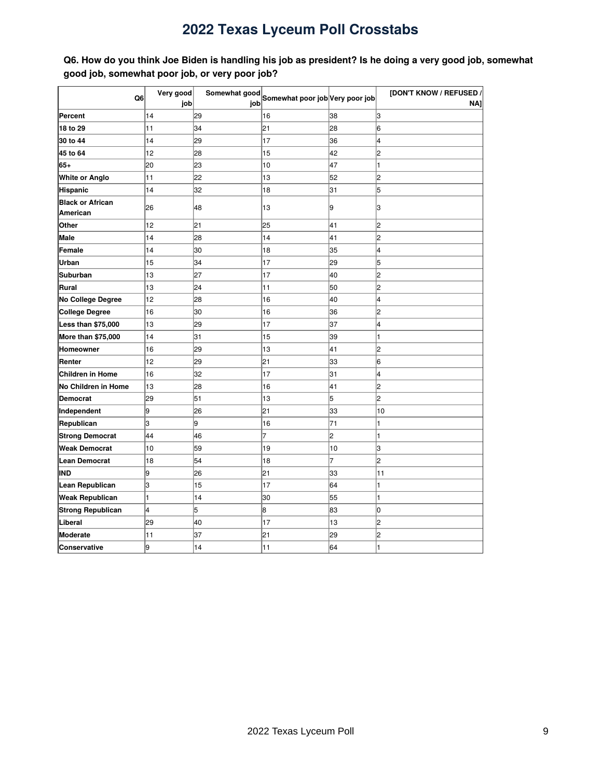<span id="page-8-0"></span>Q6. How do you think Joe Biden is handling his job as president? Is he doing a very good job, somewhat **good job, somewhat poor job, or very poor job?**

|                          | Very good | Somewhat good |                                 |    | [DON'T KNOW / REFUSED / |
|--------------------------|-----------|---------------|---------------------------------|----|-------------------------|
| Q <sub>6</sub>           | job       | job           | Somewhat poor job Very poor job |    | NAI                     |
| Percent                  | 14        | 29            | 16                              | 38 | lз                      |
| 18 to 29                 | 11        | 34            | 21                              | 28 | 6                       |
| 30 to 44                 | 14        | 29            | 17                              | 36 | 4                       |
| 45 to 64                 | 12        | 28            | 15                              | 42 | 2                       |
| 65+                      | 20        | 23            | 10                              | 47 | 1                       |
| <b>White or Anglo</b>    | 11        | 22            | 13                              | 52 | 2                       |
| <b>Hispanic</b>          | 14        | 32            | 18                              | 31 | 5                       |
| <b>Black or African</b>  | 26        | 48            | 13                              | 9  | 3                       |
| American                 |           |               |                                 |    |                         |
| Other                    | 12        | 21            | 25                              | 41 | 2                       |
| Male                     | 14        | 28            | 14                              | 41 | 2                       |
| Female                   | 14        | 30            | 18                              | 35 | 4                       |
| Urban                    | 15        | 34            | 17                              | 29 | 5                       |
| <b>Suburban</b>          | 13        | 27            | 17                              | 40 | 2                       |
| Rural                    | 13        | 24            | 11                              | 50 | $\overline{c}$          |
| No College Degree        | 12        | 28            | 16                              | 40 | 4                       |
| College Degree           | 16        | 30            | 16                              | 36 | 2                       |
| Less than \$75,000       | 13        | 29            | 17                              | 37 | 4                       |
| More than \$75,000       | 14        | 31            | 15                              | 39 | 1                       |
| Homeowner                | 16        | 29            | 13                              | 41 | 2                       |
| Renter                   | 12        | 29            | 21                              | 33 | 6                       |
| <b>Children in Home</b>  | 16        | 32            | 17                              | 31 | 4                       |
| No Children in Home      | 13        | 28            | 16                              | 41 | 2                       |
| Democrat                 | 29        | 51            | 13                              | 5  | 2                       |
| Independent              | l9        | 26            | 21                              | 33 | 10                      |
| Republican               | З         | 9             | 16                              | 71 | 1                       |
| <b>Strong Democrat</b>   | 44        | 46            | 7                               | 2  | 1                       |
| <b>Weak Democrat</b>     | 10        | 59            | 19                              | 10 | 3                       |
| Lean Democrat            | 18        | 54            | 18                              | 7  | 2                       |
| IND                      | 9         | 26            | 21                              | 33 | 11                      |
| Lean Republican          | 3         | 15            | 17                              | 64 | 1                       |
| <b>Weak Republican</b>   | 1         | 14            | 30                              | 55 | 1                       |
| <b>Strong Republican</b> | 4         | 5             | 8                               | 83 | 0                       |
| Liberal                  | 29        | 40            | 17                              | 13 | 2                       |
| Moderate                 | 11        | 37            | 21                              | 29 | $\overline{c}$          |
| Conservative             | 9         | 14            | 11                              | 64 |                         |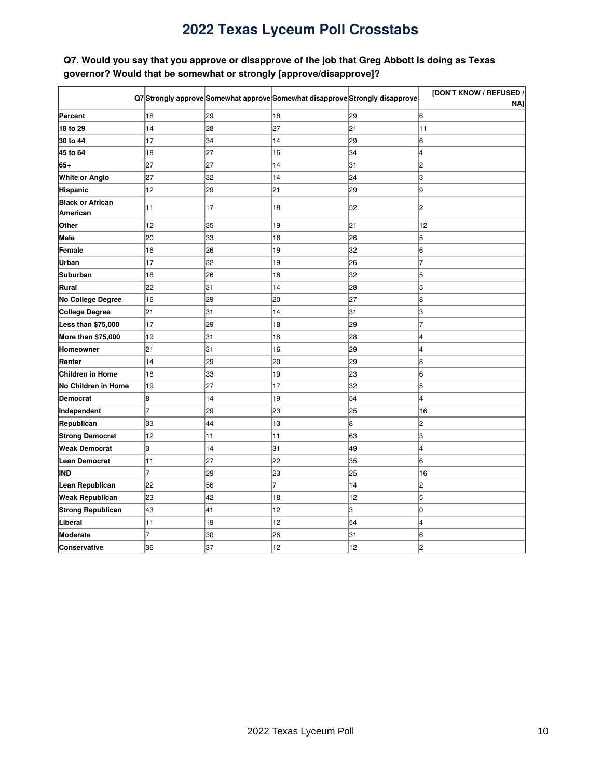### <span id="page-9-0"></span>Q7. Would you say that you approve or disapprove of the job that Greg Abbott is doing as Texas **governor? Would that be somewhat or strongly [approve/disapprove]?**

|                          |    |    | Q7 Strongly approve Somewhat approve Somewhat disapprove Strongly disapprove |    | [DON'T KNOW / REFUSED / |
|--------------------------|----|----|------------------------------------------------------------------------------|----|-------------------------|
|                          |    |    |                                                                              |    | NA1                     |
| Percent                  | 18 | 29 | 18                                                                           | 29 | 6                       |
| 18 to 29                 | 14 | 28 | 27                                                                           | 21 | 11                      |
| 30 to 44                 | 17 | 34 | 14                                                                           | 29 | 6                       |
| 45 to 64                 | 18 | 27 | 16                                                                           | 34 | 4                       |
| 65+                      | 27 | 27 | 14                                                                           | 31 | 2                       |
| <b>White or Anglo</b>    | 27 | 32 | 14                                                                           | 24 | lз                      |
| Hispanic                 | 12 | 29 | 21                                                                           | 29 | l9                      |
| <b>Black or African</b>  | 11 | 17 | 18                                                                           | 52 | 2                       |
| American                 |    |    |                                                                              |    |                         |
| Other                    | 12 | 35 | 19                                                                           | 21 | 12                      |
| Male                     | 20 | 33 | 16                                                                           | 26 | 5                       |
| Female                   | 16 | 26 | 19                                                                           | 32 | 6                       |
| Urban                    | 17 | 32 | 19                                                                           | 26 | 7                       |
| <b>Suburban</b>          | 18 | 26 | 18                                                                           | 32 | 5                       |
| Rural                    | 22 | 31 | 14                                                                           | 28 | 5                       |
| No College Degree        | 16 | 29 | 20                                                                           | 27 | 8                       |
| <b>College Degree</b>    | 21 | 31 | 14                                                                           | 31 | lз                      |
| Less than \$75,000       | 17 | 29 | 18                                                                           | 29 | 7                       |
| More than \$75,000       | 19 | 31 | 18                                                                           | 28 | 4                       |
| Homeowner                | 21 | 31 | 16                                                                           | 29 | 4                       |
| Renter                   | 14 | 29 | 20                                                                           | 29 | 8                       |
| <b>Children in Home</b>  | 18 | 33 | 19                                                                           | 23 | 6                       |
| No Children in Home      | 19 | 27 | 17                                                                           | 32 | 5                       |
| Democrat                 | 8  | 14 | 19                                                                           | 54 | 4                       |
| Independent              | 7  | 29 | 23                                                                           | 25 | 16                      |
| Republican               | 33 | 44 | 13                                                                           | 8  | 2                       |
| <b>Strong Democrat</b>   | 12 | 11 | 11                                                                           | 63 | 3                       |
| <b>Weak Democrat</b>     | 3  | 14 | 31                                                                           | 49 | 4                       |
| Lean Democrat            | 11 | 27 | 22                                                                           | 35 | 6                       |
| IND                      | 7  | 29 | 23                                                                           | 25 | 16                      |
| Lean Republican          | 22 | 56 | 7                                                                            | 14 | 2                       |
| <b>Weak Republican</b>   | 23 | 42 | 18                                                                           | 12 | 5                       |
| <b>Strong Republican</b> | 43 | 41 | 12                                                                           | З  | 10                      |
| Liberal                  | 11 | 19 | 12                                                                           | 54 | 4                       |
| Moderate                 | 7  | 30 | 26                                                                           | 31 | 6                       |
| Conservative             | 36 | 37 | 12                                                                           | 12 | 2                       |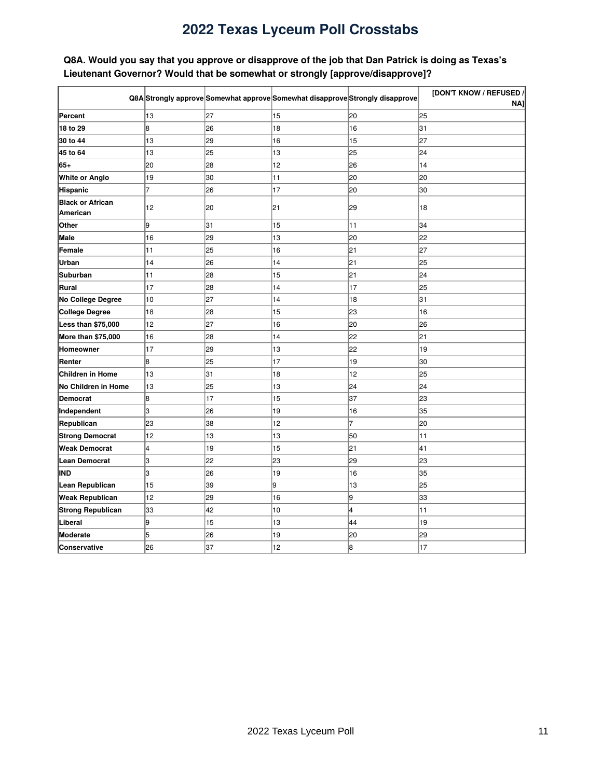### <span id="page-10-0"></span>Q8A. Would you say that you approve or disapprove of the job that Dan Patrick is doing as Texas's **Lieutenant Governor? Would that be somewhat or strongly [approve/disapprove]?**

|                                     |    |    | Q8A Strongly approve Somewhat approve Somewhat disapprove Strongly disapprove |    | [DON'T KNOW / REFUSED /<br>NA] |
|-------------------------------------|----|----|-------------------------------------------------------------------------------|----|--------------------------------|
| Percent                             | 13 | 27 | 15                                                                            | 20 | 25                             |
| 18 to 29                            | 8  | 26 | 18                                                                            | 16 | 31                             |
| 30 to 44                            | 13 | 29 | 16                                                                            | 15 | 27                             |
| 45 to 64                            | 13 | 25 | 13                                                                            | 25 | 24                             |
| 65+                                 | 20 | 28 | 12                                                                            | 26 | 14                             |
| <b>White or Anglo</b>               | 19 | 30 | 11                                                                            | 20 | 20                             |
| Hispanic                            | 7  | 26 | 17                                                                            | 20 | 30                             |
| <b>Black or African</b><br>American | 12 | 20 | 21                                                                            | 29 | 18                             |
| Other                               | 9  | 31 | 15                                                                            | 11 | 34                             |
| Male                                | 16 | 29 | 13                                                                            | 20 | 22                             |
| Female                              | 11 | 25 | 16                                                                            | 21 | 27                             |
| Urban                               | 14 | 26 | 14                                                                            | 21 | 25                             |
| Suburban                            | 11 | 28 | 15                                                                            | 21 | 24                             |
| Rural                               | 17 | 28 | 14                                                                            | 17 | 25                             |
| No College Degree                   | 10 | 27 | 14                                                                            | 18 | 31                             |
| College Degree                      | 18 | 28 | 15                                                                            | 23 | 16                             |
| Less than \$75,000                  | 12 | 27 | 16                                                                            | 20 | 26                             |
| More than \$75,000                  | 16 | 28 | 14                                                                            | 22 | 21                             |
| Homeowner                           | 17 | 29 | 13                                                                            | 22 | 19                             |
| Renter                              | 8  | 25 | 17                                                                            | 19 | 30                             |
| Children in Home                    | 13 | 31 | 18                                                                            | 12 | 25                             |
| No Children in Home                 | 13 | 25 | 13                                                                            | 24 | 24                             |
| Democrat                            | 8  | 17 | 15                                                                            | 37 | 23                             |
| Independent                         | 3  | 26 | 19                                                                            | 16 | 35                             |
| Republican                          | 23 | 38 | 12                                                                            | 7  | 20                             |
| <b>Strong Democrat</b>              | 12 | 13 | 13                                                                            | 50 | 11                             |
| <b>Weak Democrat</b>                | 4  | 19 | 15                                                                            | 21 | 41                             |
| <b>Lean Democrat</b>                | 3  | 22 | 23                                                                            | 29 | 23                             |
| IND                                 | 3  | 26 | 19                                                                            | 16 | 35                             |
| Lean Republican                     | 15 | 39 | l9                                                                            | 13 | 25                             |
| <b>Weak Republican</b>              | 12 | 29 | 16                                                                            | 9  | 33                             |
| <b>Strong Republican</b>            | 33 | 42 | 10                                                                            | 4  | 11                             |
| Liberal                             | 9  | 15 | 13                                                                            | 44 | 19                             |
| Moderate                            | 5  | 26 | 19                                                                            | 20 | 29                             |
| Conservative                        | 26 | 37 | 12                                                                            | 8  | 17                             |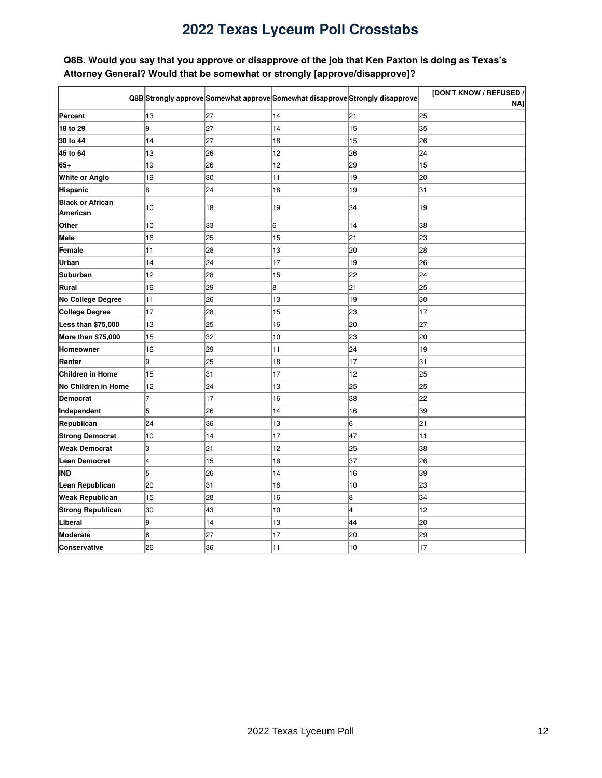### <span id="page-11-0"></span>Q8B. Would you say that you approve or disapprove of the job that Ken Paxton is doing as Texas's **Attorney General? Would that be somewhat or strongly [approve/disapprove]?**

|                          |    |    | Q8B Strongly approve Somewhat approve Somewhat disapprove Strongly disapprove |    | [DON'T KNOW / REFUSED / |
|--------------------------|----|----|-------------------------------------------------------------------------------|----|-------------------------|
|                          |    |    |                                                                               |    | NA1                     |
| Percent                  | 13 | 27 | 14                                                                            | 21 | 25                      |
| 18 to 29                 | g  | 27 | 14                                                                            | 15 | 35                      |
| 30 to 44                 | 14 | 27 | 18                                                                            | 15 | 26                      |
| 45 to 64                 | 13 | 26 | 12                                                                            | 26 | 24                      |
| 65+                      | 19 | 26 | 12                                                                            | 29 | 15                      |
| <b>White or Anglo</b>    | 19 | 30 | 11                                                                            | 19 | 20                      |
| Hispanic                 | 8  | 24 | 18                                                                            | 19 | 31                      |
| <b>Black or African</b>  | 10 | 18 | 19                                                                            | 34 | 19                      |
| American                 |    |    |                                                                               |    |                         |
| Other                    | 10 | 33 | 6                                                                             | 14 | 38                      |
| <b>Male</b>              | 16 | 25 | 15                                                                            | 21 | 23                      |
| Female                   | 11 | 28 | 13                                                                            | 20 | 28                      |
| Urban                    | 14 | 24 | 17                                                                            | 19 | 26                      |
| Suburban                 | 12 | 28 | 15                                                                            | 22 | 24                      |
| Rural                    | 16 | 29 | 8                                                                             | 21 | 25                      |
| No College Degree        | 11 | 26 | 13                                                                            | 19 | 30                      |
| <b>College Degree</b>    | 17 | 28 | 15                                                                            | 23 | 17                      |
| Less than \$75,000       | 13 | 25 | 16                                                                            | 20 | 27                      |
| More than \$75,000       | 15 | 32 | 10                                                                            | 23 | 20                      |
| Homeowner                | 16 | 29 | 11                                                                            | 24 | 19                      |
| Renter                   | g  | 25 | 18                                                                            | 17 | 31                      |
| <b>Children in Home</b>  | 15 | 31 | 17                                                                            | 12 | 25                      |
| No Children in Home      | 12 | 24 | 13                                                                            | 25 | 25                      |
| Democrat                 | 7  | 17 | 16                                                                            | 38 | 22                      |
| Independent              | 5  | 26 | 14                                                                            | 16 | 39                      |
| Republican               | 24 | 36 | 13                                                                            | 6  | 21                      |
| <b>Strong Democrat</b>   | 10 | 14 | 17                                                                            | 47 | 11                      |
| <b>Weak Democrat</b>     | 3  | 21 | 12                                                                            | 25 | 38                      |
| <b>Lean Democrat</b>     | 4  | 15 | 18                                                                            | 37 | 26                      |
| IND                      | 5  | 26 | 14                                                                            | 16 | 39                      |
| Lean Republican          | 20 | 31 | 16                                                                            | 10 | 23                      |
| <b>Weak Republican</b>   | 15 | 28 | 16                                                                            | 8  | 34                      |
| <b>Strong Republican</b> | 30 | 43 | 10                                                                            | 4  | 12                      |
| Liberal                  | 9  | 14 | 13                                                                            | 44 | 20                      |
| Moderate                 | 6  | 27 | 17                                                                            | 20 | 29                      |
| Conservative             | 26 | 36 | 11                                                                            | 10 | 17                      |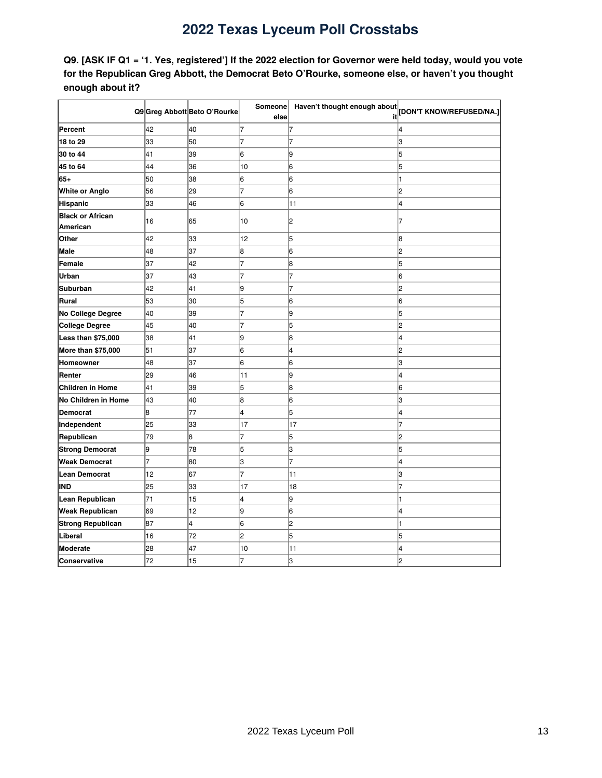<span id="page-12-0"></span>Q9. [ASK IF Q1 = '1. Yes, registered'] If the 2022 election for Governor were held today, would you vote **for the Republican Greg Abbott, the Democrat Beto O'Rourke, someone else, or haven't you thought enough about it?**

|                          |    | Q9 Greg Abbott Beto O'Rourke |      | Someone Haven't thought enough about | [DON'T KNOW/REFUSED/NA.] |
|--------------------------|----|------------------------------|------|--------------------------------------|--------------------------|
|                          |    |                              | else | it                                   |                          |
| Percent                  | 42 | 40                           | 7    | 7                                    |                          |
| 18 to 29                 | 33 | 50                           | 7    | 7                                    | lз                       |
| 30 to 44                 | 41 | 39                           | 6    | 19                                   | 15                       |
| 45 to 64                 | 44 | 36                           | 10   | 16                                   | 15                       |
| $65+$                    | 50 | 38                           | 6    | 6                                    |                          |
| <b>White or Anglo</b>    | 56 | 29                           | 7    | 6                                    | 2                        |
| <b>Hispanic</b>          | 33 | 46                           | 6    | 11                                   | l4                       |
| <b>Black or African</b>  | 16 | 65                           | 10   | 2                                    |                          |
| American                 |    |                              |      |                                      |                          |
| Other                    | 42 | 33                           | 12   | 5                                    | 8                        |
| Male                     | 48 | 37                           | 8    | 6                                    | 12                       |
| Female                   | 37 | 42                           | 7    | 8                                    | 15                       |
| Urban                    | 37 | 43                           | 7    |                                      | 16                       |
| <b>Suburban</b>          | 42 | 41                           | 9    |                                      | 2                        |
| Rural                    | 53 | 30                           | 5    | 6                                    | 16                       |
| No College Degree        | 40 | 39                           | 7    | 9                                    | 5                        |
| <b>College Degree</b>    | 45 | 40                           | 7    | 5                                    | l2                       |
| Less than \$75,000       | 38 | 41                           | 9    | 8                                    | 4                        |
| More than \$75,000       | 51 | 37                           | 6    | 4                                    | l2                       |
| Homeowner                | 48 | 37                           | 6    | 6                                    | Iз                       |
| Renter                   | 29 | 46                           | 11   | l9                                   | l4                       |
| <b>Children in Home</b>  | 41 | 39                           | 5    | 8                                    | l6                       |
| No Children in Home      | 43 | 40                           | 8    | 6                                    | lз                       |
| <b>Democrat</b>          | 8  | 77                           | 4    | 5                                    | l4                       |
| Independent              | 25 | 33                           | 17   | 17                                   |                          |
| Republican               | 79 | 8                            | 7    | 5                                    | l2                       |
| <b>Strong Democrat</b>   | l9 | 78                           | 5    | lЗ                                   | 5                        |
| <b>Weak Democrat</b>     | 7  | 80                           | З    | 7                                    | 4                        |
| <b>Lean Democrat</b>     | 12 | 67                           | 7    | 11                                   | 3                        |
| <b>IND</b>               | 25 | 33                           | 17   | 18                                   |                          |
| Lean Republican          | 71 | 15                           | 4    | 9                                    |                          |
| <b>Weak Republican</b>   | 69 | 12                           | 9    | 6                                    | 4                        |
| <b>Strong Republican</b> | 87 | 4                            | 6    | 2                                    |                          |
| Liberal                  | 16 | 72                           | 2    | 5                                    | 5                        |
| <b>Moderate</b>          | 28 | 47                           | 10   | 11                                   | 4                        |
| Conservative             | 72 | 15                           |      | 3                                    | l2                       |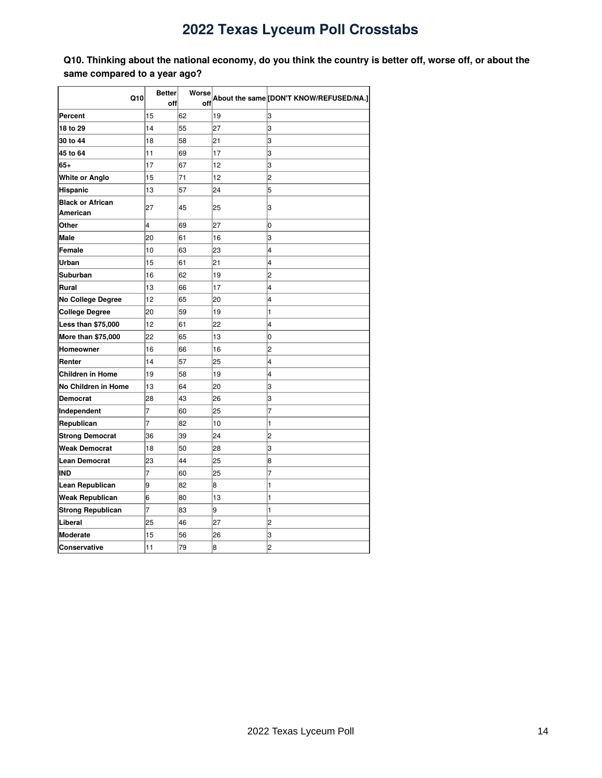<span id="page-13-0"></span>Q10. Thinking about the national economy, do you think the country is better off, worse off, or about the **same compared to a year ago?**

|                          | <b>Better</b> | Worse |    |                                         |  |
|--------------------------|---------------|-------|----|-----------------------------------------|--|
| Q10                      | off           | off   |    | About the same [DON'T KNOW/REFUSED/NA.] |  |
| <b>Percent</b>           | 15            | 62    | 19 | 3                                       |  |
| 18 to 29                 | 14            | 55    | 27 | 3                                       |  |
| 30 to 44                 | 18            | 58    | 21 | 3                                       |  |
| 45 to 64                 | 11            | 69    | 17 | 3                                       |  |
| 65+                      | 17            | 67    | 12 | 3                                       |  |
| <b>White or Anglo</b>    | 15            | 71    | 12 | 2                                       |  |
| Hispanic                 | 13            | 57    | 24 | 5                                       |  |
| <b>Black or African</b>  |               |       |    |                                         |  |
| American                 | 27            | 45    | 25 | 3                                       |  |
| Other                    | 4             | 69    | 27 | 0                                       |  |
| Male                     | 20            | 61    | 16 | 3                                       |  |
| Female                   | 10            | 63    | 23 | 4                                       |  |
| Urban                    | 15            | 61    | 21 | 4                                       |  |
| <b>Suburban</b>          | 16            | 62    | 19 | 2                                       |  |
| Rural                    | 13            | 66    | 17 | 4                                       |  |
| <b>No College Degree</b> | 12            | 65    | 20 | 4                                       |  |
| <b>College Degree</b>    | 20            | 59    | 19 | 1                                       |  |
| Less than \$75,000       | 12            | 61    | 22 | 4                                       |  |
| More than \$75,000       | 22            | 65    | 13 | 0                                       |  |
| Homeowner                | 16            | 66    | 16 | 2                                       |  |
| Renter                   | 14            | 57    | 25 | 4                                       |  |
| Children in Home         | 19            | 58    | 19 | 4                                       |  |
| No Children in Home      | 13            | 64    | 20 | 3                                       |  |
| <b>Democrat</b>          | 28            | 43    | 26 | 3                                       |  |
| Independent              | 7             | 60    | 25 | 7                                       |  |
| Republican               | 7             | 82    | 10 | 1                                       |  |
| <b>Strong Democrat</b>   | 36            | 39    | 24 | 2                                       |  |
| <b>Weak Democrat</b>     | 18            | 50    | 28 | 3                                       |  |
| Lean Democrat            | 23            | 44    | 25 | 8                                       |  |
| IND                      | 7             | 60    | 25 | $\overline{7}$                          |  |
| <b>Lean Republican</b>   | 9             | 82    | 8  | 1                                       |  |
| <b>Weak Republican</b>   | 6             | 80    | 13 | 1                                       |  |
| <b>Strong Republican</b> | 7             | 83    | 9  | 1                                       |  |
| Liberal                  | 25            | 46    | 27 | 2                                       |  |
| Moderate                 | 15            | 56    | 26 | 3                                       |  |
| <b>Conservative</b>      | 11            | 79    | 8  | 2                                       |  |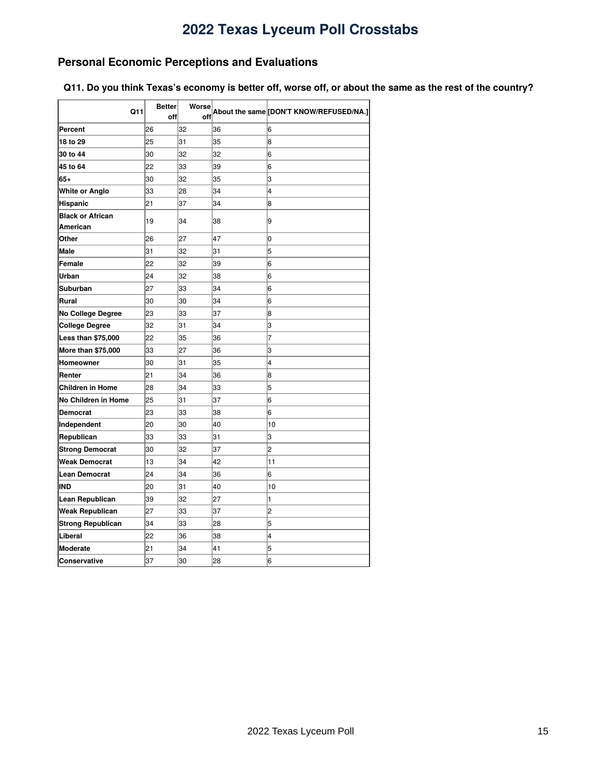### <span id="page-14-0"></span>**Personal Economic Perceptions and Evaluations**

<span id="page-14-1"></span>Q11. Do you think Texas's economy is better off, worse off, or about the same as the rest of the country?

| Q11                                 | <b>Better</b> | Worse |    | About the same [DON'T KNOW/REFUSED/NA.] |
|-------------------------------------|---------------|-------|----|-----------------------------------------|
|                                     | off           | off   |    |                                         |
| Percent                             | 26            | 32    | 36 | 6                                       |
| 18 to 29                            | 25            | 31    | 35 | 8                                       |
| 30 to 44                            | 30            | 32    | 32 | 6                                       |
| 45 to 64                            | 22            | 33    | 39 | 6                                       |
| $65+$                               | 30            | 32    | 35 | 3                                       |
| White or Anglo                      | 33            | 28    | 34 | 4                                       |
| Hispanic                            | 21            | 37    | 34 | 8                                       |
| <b>Black or African</b><br>American | 19            | 34    | 38 | 9                                       |
| Other                               | 26            | 27    | 47 | 0                                       |
| Male                                | 31            | 32    | 31 | 5                                       |
| Female                              | 22            | 32    | 39 | 6                                       |
| Urban                               | 24            | 32    | 38 | 6                                       |
| Suburban                            | 27            | 33    | 34 | 6                                       |
| Rural                               | 30            | 30    | 34 | 6                                       |
| <b>No College Degree</b>            | 23            | 33    | 37 | 8                                       |
| <b>College Degree</b>               | 32            | 31    | 34 | 3                                       |
| Less than \$75,000                  | 22            | 35    | 36 | 7                                       |
| More than \$75,000                  | 33            | 27    | 36 | 3                                       |
| Homeowner                           | 30            | 31    | 35 | 4                                       |
| Renter                              | 21            | 34    | 36 | 8                                       |
| Children in Home                    | 28            | 34    | 33 | 5                                       |
| No Children in Home                 | 25            | 31    | 37 | 6                                       |
| Democrat                            | 23            | 33    | 38 | 6                                       |
| Independent                         | 20            | 30    | 40 | 10                                      |
| Republican                          | 33            | 33    | 31 | 3                                       |
| <b>Strong Democrat</b>              | 30            | 32    | 37 | 2                                       |
| Weak Democrat                       | 13            | 34    | 42 | 11                                      |
| Lean Democrat                       | 24            | 34    | 36 | 6                                       |
| IND                                 | 20            | 31    | 40 | 10                                      |
| Lean Republican                     | 39            | 32    | 27 | 1                                       |
| Weak Republican                     | 27            | 33    | 37 | $\overline{c}$                          |
| <b>Strong Republican</b>            | 34            | 33    | 28 | 5                                       |
| Liberal                             | 22            | 36    | 38 | 4                                       |
| <b>Moderate</b>                     | 21            | 34    | 41 | 5                                       |
| Conservative                        | 37            | 30    | 28 | 6                                       |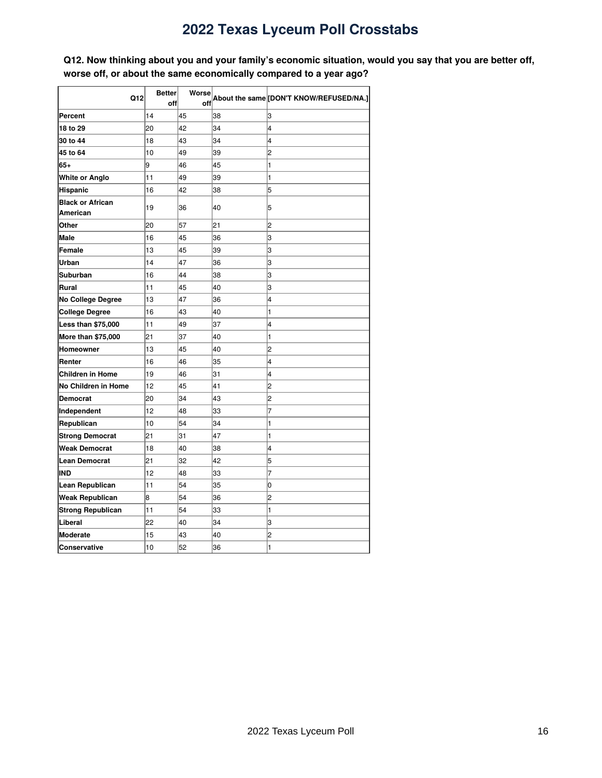<span id="page-15-0"></span>Q12. Now thinking about you and your family's economic situation, would you say that you are better off, **worse off, or about the same economically compared to a year ago?**

|                          | <b>Better</b> | Worse |    |                                         |  |
|--------------------------|---------------|-------|----|-----------------------------------------|--|
| Q12                      | off           | off   |    | About the same [DON'T KNOW/REFUSED/NA.] |  |
| Percent                  | 14            | 45    | 38 | 3                                       |  |
| 18 to 29                 | 20            | 42    | 34 | 4                                       |  |
| 30 to 44                 | 18            | 43    | 34 | 4                                       |  |
| 45 to 64                 | 10            | 49    | 39 | 2                                       |  |
| 65+                      | 9             | 46    | 45 | 1                                       |  |
| <b>White or Anglo</b>    | 11            | 49    | 39 | 1                                       |  |
| Hispanic                 | 16            | 42    | 38 | 5                                       |  |
| <b>Black or African</b>  | 19            | 36    | 40 | 5                                       |  |
| American                 |               |       |    |                                         |  |
| Other                    | 20            | 57    | 21 | 2                                       |  |
| <b>Male</b>              | 16            | 45    | 36 | 3                                       |  |
| Female                   | 13            | 45    | 39 | 3                                       |  |
| Urban                    | 14            | 47    | 36 | 3                                       |  |
| Suburban                 | 16            | 44    | 38 | 3                                       |  |
| Rural                    | 11            | 45    | 40 | 3                                       |  |
| <b>No College Degree</b> | 13            | 47    | 36 | 4                                       |  |
| <b>College Degree</b>    | 16            | 43    | 40 | 1                                       |  |
| Less than \$75,000       | 11            | 49    | 37 | 4                                       |  |
| More than \$75,000       | 21            | 37    | 40 | 1                                       |  |
| Homeowner                | 13            | 45    | 40 | 2                                       |  |
| Renter                   | 16            | 46    | 35 | 4                                       |  |
| <b>Children in Home</b>  | 19            | 46    | 31 | 4                                       |  |
| No Children in Home      | 12            | 45    | 41 | 2                                       |  |
| <b>Democrat</b>          | 20            | 34    | 43 | 2                                       |  |
| Independent              | 12            | 48    | 33 | $\overline{7}$                          |  |
| Republican               | 10            | 54    | 34 | 1                                       |  |
| <b>Strong Democrat</b>   | 21            | 31    | 47 | 1                                       |  |
| <b>Weak Democrat</b>     | 18            | 40    | 38 | 4                                       |  |
| <b>Lean Democrat</b>     | 21            | 32    | 42 | 5                                       |  |
| IND                      | 12            | 48    | 33 | $\overline{7}$                          |  |
| Lean Republican          | 11            | 54    | 35 | 0                                       |  |
| <b>Weak Republican</b>   | 8             | 54    | 36 | 2                                       |  |
| <b>Strong Republican</b> | 11            | 54    | 33 | 1                                       |  |
| Liberal                  | 22            | 40    | 34 | З                                       |  |
| <b>Moderate</b>          | 15            | 43    | 40 | 2                                       |  |
| <b>Conservative</b>      | 10            | 52    | 36 | $\mathbf{1}$                            |  |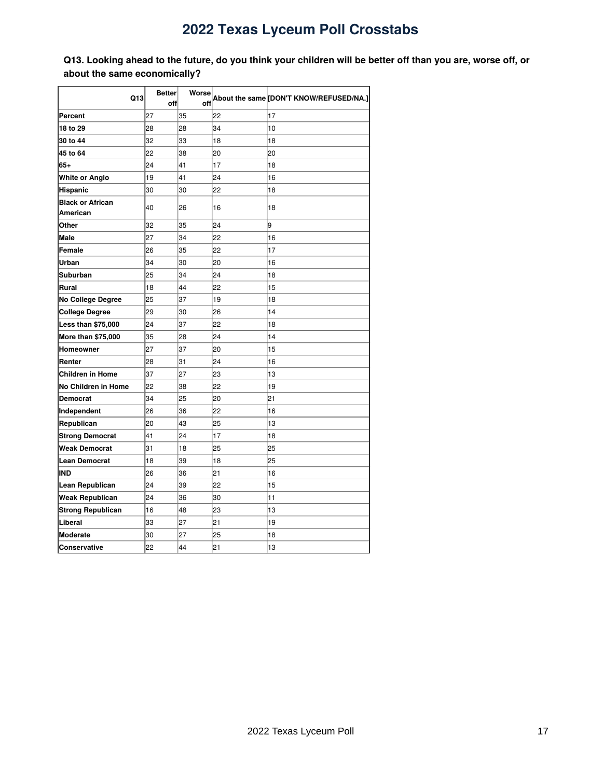<span id="page-16-0"></span>Q13. Looking ahead to the future, do you think your children will be better off than you are, worse off, or **about the same economically?**

| Q13                      | <b>Better</b> | Worse |    | About the same [DON'T KNOW/REFUSED/NA.] |  |
|--------------------------|---------------|-------|----|-----------------------------------------|--|
|                          | off           | off   |    |                                         |  |
| Percent                  | 27            | 35    | 22 | 17                                      |  |
| 18 to 29                 | 28            | 28    | 34 | 10                                      |  |
| 30 to 44                 | 32            | 33    | 18 | 18                                      |  |
| 45 to 64                 | 22            | 38    | 20 | 20                                      |  |
| 65+                      | 24            | 41    | 17 | 18                                      |  |
| <b>White or Anglo</b>    | 19            | 41    | 24 | 16                                      |  |
| Hispanic                 | 30            | 30    | 22 | 18                                      |  |
| <b>Black or African</b>  | 40            | 26    | 16 | 18                                      |  |
| American                 |               |       |    |                                         |  |
| Other                    | 32            | 35    | 24 | 9                                       |  |
| <b>Male</b>              | 27            | 34    | 22 | 16                                      |  |
| Female                   | 26            | 35    | 22 | 17                                      |  |
| Urban                    | 34            | 30    | 20 | 16                                      |  |
| Suburban                 | 25            | 34    | 24 | 18                                      |  |
| Rural                    | 18            | 44    | 22 | 15                                      |  |
| <b>No College Degree</b> | 25            | 37    | 19 | 18                                      |  |
| <b>College Degree</b>    | 29            | 30    | 26 | 14                                      |  |
| Less than \$75,000       | 24            | 37    | 22 | 18                                      |  |
| More than \$75,000       | 35            | 28    | 24 | 14                                      |  |
| <b>Homeowner</b>         | 27            | 37    | 20 | 15                                      |  |
| Renter                   | 28            | 31    | 24 | 16                                      |  |
| <b>Children in Home</b>  | 37            | 27    | 23 | 13                                      |  |
| No Children in Home      | 22            | 38    | 22 | 19                                      |  |
| <b>Democrat</b>          | 34            | 25    | 20 | 21                                      |  |
| Independent              | 26            | 36    | 22 | 16                                      |  |
| Republican               | 20            | 43    | 25 | 13                                      |  |
| <b>Strong Democrat</b>   | 41            | 24    | 17 | 18                                      |  |
| <b>Weak Democrat</b>     | 31            | 18    | 25 | 25                                      |  |
| Lean Democrat            | 18            | 39    | 18 | 25                                      |  |
| IND                      | 26            | 36    | 21 | 16                                      |  |
| Lean Republican          | 24            | 39    | 22 | 15                                      |  |
| <b>Weak Republican</b>   | 24            | 36    | 30 | 11                                      |  |
| <b>Strong Republican</b> | 16            | 48    | 23 | 13                                      |  |
| Liberal                  | 33            | 27    | 21 | 19                                      |  |
| Moderate                 | 30            | 27    | 25 | 18                                      |  |
| Conservative             | 22            | 44    | 21 | 13                                      |  |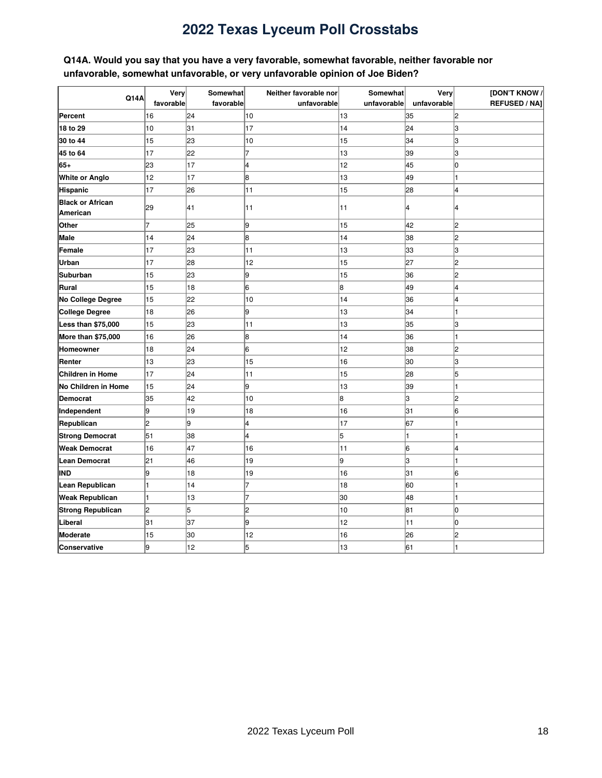### <span id="page-17-0"></span>**Q14A. Would you say that you have a very favorable, somewhat favorable, neither favorable nor unfavorable, somewhat unfavorable, or very unfavorable opinion of Joe Biden?**

|                          | Very           | Somewhat  | Neither favorable nor | Somewhat    | Very        | [DON'T KNOW /        |
|--------------------------|----------------|-----------|-----------------------|-------------|-------------|----------------------|
| <b>Q14A</b>              | favorable      | favorable | unfavorable           | unfavorable | unfavorable | <b>REFUSED / NAJ</b> |
| Percent                  | 16             | 24        | 10                    | 13          | 35          | 12                   |
| 18 to 29                 | 10             | 31        | 17                    | 14          | 24          | lз                   |
| 30 to 44                 | 15             | 23        | 10                    | 15          | 34          | З                    |
| 45 to 64                 | 17             | 22        | 7                     | 13          | 39          | lз                   |
| 65+                      | 23             | 17        | l4                    | 12          | 45          | lо                   |
| <b>White or Anglo</b>    | 12             | 17        | 8                     | 13          | 49          |                      |
| Hispanic                 | 17             | 26        | 11                    | 15          | 28          | l4                   |
| <b>Black or African</b>  | 29             | 41        | 11                    | 11          | 4           | 4                    |
| American                 |                |           |                       |             |             |                      |
| Other                    | $\overline{7}$ | 25        | 9                     | 15          | 42          | 2                    |
| <b>Male</b>              | 14             | 24        | 8                     | 14          | 38          | l2                   |
| Female                   | 17             | 23        | 11                    | 13          | 33          | lз                   |
| Urban                    | 17             | 28        | 12                    | 15          | 27          | l2                   |
| <b>Suburban</b>          | 15             | 23        | 9                     | 15          | 36          | 2                    |
| Rural                    | 15             | 18        | 16                    | 8           | 49          | l4                   |
| No College Degree        | 15             | 22        | 10                    | 14          | 36          | 4                    |
| <b>College Degree</b>    | 18             | 26        | 9                     | 13          | 34          |                      |
| Less than \$75,000       | 15             | 23        | 11                    | 13          | 35          | 3                    |
| More than \$75,000       | 16             | 26        | 8                     | 14          | 36          |                      |
| Homeowner                | 18             | 24        | 16                    | 12          | 38          | 2                    |
| Renter                   | 13             | 23        | 15                    | 16          | 30          | 3                    |
| <b>Children in Home</b>  | 17             | 24        | 11                    | 15          | 28          | 5                    |
| No Children in Home      | 15             | 24        | 9                     | 13          | 39          |                      |
| <b>Democrat</b>          | 35             | 42        | 10                    | 8           | З           | 2                    |
| Independent              | g.             | 19        | 18                    | 16          | 31          | 16                   |
| Republican               | $\overline{c}$ | 9         | l4                    | 17          | 67          |                      |
| <b>Strong Democrat</b>   | 51             | 38        | l4                    | 5           |             |                      |
| <b>Weak Democrat</b>     | 16             | 47        | 16                    | 11          | 6           | 4                    |
| <b>Lean Democrat</b>     | 21             | 46        | 19                    | 9           | З           |                      |
| IND                      | g              | 18        | 19                    | 16          | 31          | 6                    |
| Lean Republican          |                | 14        |                       | 18          | 60          |                      |
| <b>Weak Republican</b>   |                | 13        | 17                    | 30          | 48          |                      |
| <b>Strong Republican</b> | $\overline{c}$ | 5         | 2                     | 10          | 81          | lо                   |
| Liberal                  | 31             | 37        | 9                     | 12          | 11          | lо                   |
| Moderate                 | 15             | 30        | 12                    | 16          | 26          | 2                    |
| Conservative             | 9              | 12        | 5                     | 13          | 61          |                      |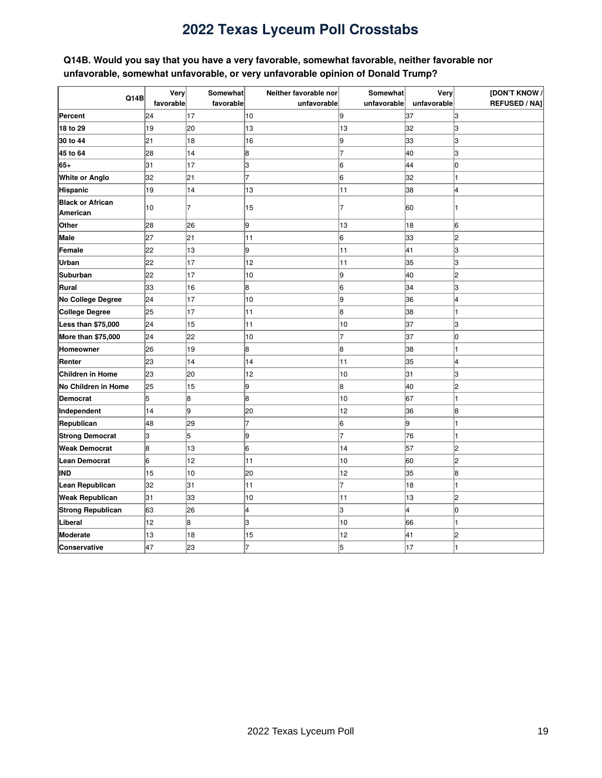### <span id="page-18-0"></span>**Q14B. Would you say that you have a very favorable, somewhat favorable, neither favorable nor unfavorable, somewhat unfavorable, or very unfavorable opinion of Donald Trump?**

|                          | Very      | Somewhat  | Neither favorable nor | Somewhat    | Very        | [DON'T KNOW /        |
|--------------------------|-----------|-----------|-----------------------|-------------|-------------|----------------------|
| Q14B                     | favorable | favorable | unfavorable           | unfavorable | unfavorable | <b>REFUSED / NAJ</b> |
| Percent                  | 24        | 17        | 10                    | 9           | 37          | 3                    |
| 18 to 29                 | 19        | 20        | 13                    | 13          | 32          | lз                   |
| 30 to 44                 | 21        | 18        | 16                    | 9           | 33          | З                    |
| 45 to 64                 | 28        | 14        | 8                     | 17          | 40          | lз                   |
| 65+                      | 31        | 17        | lз                    | 16          | 44          | lo                   |
| <b>White or Anglo</b>    | 32        | 21        | 7                     | 6           | 32          |                      |
| Hispanic                 | 19        | 14        | 13                    | 11          | 38          | 4                    |
| <b>Black or African</b>  | 10        | 7         | 15                    | 7           | 60          |                      |
| American                 |           |           |                       |             |             |                      |
| Other                    | 28        | 26        | 9                     | 13          | 18          | 6                    |
| <b>Male</b>              | 27        | 21        | 11                    | 16          | 33          | l2                   |
| Female                   | 22        | 13        | l9                    | 11          | 41          | lз                   |
| Urban                    | 22        | 17        | 12                    | 11          | 35          | lз                   |
| <b>Suburban</b>          | 22        | 17        | 10                    | 9           | 40          | l2                   |
| Rural                    | 33        | 16        | 8                     | 16          | 34          | lз                   |
| No College Degree        | 24        | 17        | 10                    | 9           | 36          | 4                    |
| <b>College Degree</b>    | 25        | 17        | 11                    | 8           | 38          |                      |
| Less than \$75,000       | 24        | 15        | 11                    | 10          | 37          | Iз                   |
| More than \$75,000       | 24        | 22        | 10                    | 7           | 37          | Iо                   |
| <b>Homeowner</b>         | 26        | 19        | 8                     | 8           | 38          |                      |
| Renter                   | 23        | 14        | 14                    | 11          | 35          | 4                    |
| <b>Children in Home</b>  | 23        | 20        | 12                    | 10          | 31          | lз                   |
| No Children in Home      | 25        | 15        | l9                    | l8          | 40          | l2                   |
| <b>Democrat</b>          | 5         | 8         | l8                    | 10          | 67          |                      |
| Independent              | 14        | 9         | 20                    | 12          | 36          | 18                   |
| Republican               | 48        | 29        | 17                    | 6           | 9           |                      |
| <b>Strong Democrat</b>   | 3         | 5         | 9                     |             | 76          |                      |
| <b>Weak Democrat</b>     | 8         | 13        | 6                     | 14          | 57          | 12                   |
| <b>Lean Democrat</b>     | 6         | 12        | 11                    | 10          | 60          | 2                    |
| <b>IND</b>               | 15        | 10        | 20                    | 12          | 35          | 8                    |
| Lean Republican          | 32        | 31        | 11                    | 17          | 18          |                      |
| <b>Weak Republican</b>   | 31        | 33        | 10                    | 11          | 13          | l2                   |
| <b>Strong Republican</b> | 63        | 26        | 4                     | lз          | 4           | lо                   |
| Liberal                  | 12        | 8         | lЗ                    | 10          | 66          |                      |
| Moderate                 | 13        | 18        | 15                    | 12          | 41          | 2                    |
| Conservative             | 47        | 23        | 7                     | 5           | 17          |                      |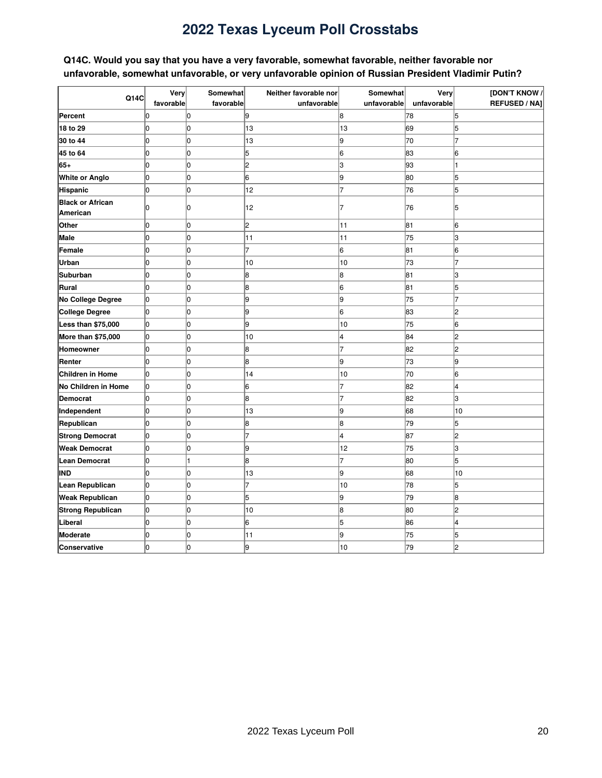### <span id="page-19-0"></span>**Q14C. Would you say that you have a very favorable, somewhat favorable, neither favorable nor unfavorable, somewhat unfavorable, or very unfavorable opinion of Russian President Vladimir Putin?**

|                          | Very           | Somewhat  | Neither favorable nor | Somewhat    | Very        | [DON'T KNOW /        |
|--------------------------|----------------|-----------|-----------------------|-------------|-------------|----------------------|
| Q14C                     | favorable      | favorable | unfavorable           | unfavorable | unfavorable | <b>REFUSED / NAJ</b> |
| Percent                  | 0              | 0         | 19                    | 8           | 78          | 5                    |
| 18 to 29                 | 0              | 0         | 13                    | 13          | 69          | 5                    |
| 30 to 44                 | 0              | 0         | 13                    | l9          | 70          |                      |
| 45 to 64                 | 0              | 0         | 5                     | 16          | 83          | 6                    |
| 65+                      | 0              | 0         | 2                     | lз          | 93          |                      |
| <b>White or Anglo</b>    | 0              | 0         | 16                    | 9           | 80          | 5                    |
| <b>Hispanic</b>          | $\overline{0}$ | 0         | 12                    | 7           | 76          | 5                    |
| <b>Black or African</b>  | 0              | 0         | 12                    | 7           | 76          | 15                   |
| American                 |                |           |                       |             |             |                      |
| Other                    | 0              | 0         | 2                     | 11          | 81          | 6                    |
| Male                     | 0              | 0         | 11                    | 11          | 75          | lз                   |
| Female                   | 0              | 0         | 7                     | 16          | 81          | 6                    |
| Urban                    | 0              | 0         | 10                    | 10          | 73          |                      |
| Suburban                 | 0              | 0         | 8                     | 8           | 81          | lз                   |
| Rural                    | lo             | lo.       | 8                     | 6           | 81          | 5                    |
| No College Degree        | 0              | 0         | 9                     | 9           | 75          |                      |
| <b>College Degree</b>    | 0              | 0         | 9                     | 6           | 83          | 12                   |
| Less than \$75,000       | 0              | 0         | 9                     | 10          | 75          | 16                   |
| More than \$75,000       | 0              | 0         | 10                    | 4           | 84          | 12                   |
| Homeowner                | 0              | 0         | 8                     | 7           | 82          | l2                   |
| Renter                   | 0              | 0         | 8                     | l9          | 73          | l9                   |
| Children in Home         | 0              | 0         | 14                    | 10          | 70          | 16                   |
| No Children in Home      | 0              | 0         | 16                    |             | 82          | 4                    |
| Democrat                 | 0              | 0         | 18                    |             | 82          | lЗ                   |
| Independent              | $\overline{0}$ | 0         | 13                    | 19          | 68          | 10                   |
| Republican               | 0              | 0         | 8                     | 8           | 79          | 5                    |
| <b>Strong Democrat</b>   | 0              | 0         | 7                     | 4           | 87          | 2                    |
| <b>Weak Democrat</b>     | 0              | 0         | 9                     | 12          | 75          | lЗ                   |
| <b>Lean Democrat</b>     | 0              |           | 8                     |             | 80          | 5                    |
| <b>IND</b>               | 0              | 0         | 13                    | 9           | 68          | 10                   |
| Lean Republican          | 0              | 0         | 17                    | 10          | 78          | 5                    |
| <b>Weak Republican</b>   | 0              | 0         | 5                     | l9          | 79          | 8                    |
| <b>Strong Republican</b> | lо             | 0         | 10                    | 8           | 80          | l2                   |
| Liberal                  | 0              | 0         | 16                    | 5           | 86          | 4                    |
| Moderate                 | 0              | 0         | 11                    | l9          | 75          | 5                    |
| Conservative             | 0              | 0         | 9                     | 10          | 79          | 12                   |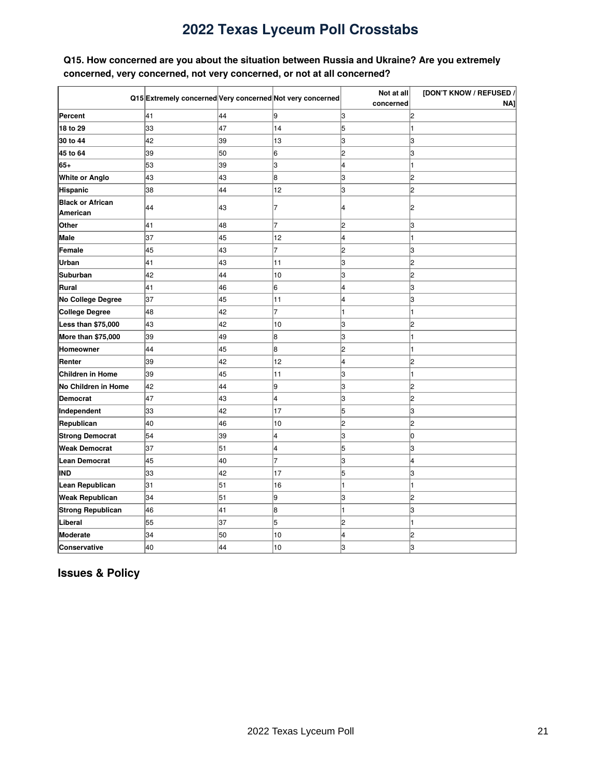### <span id="page-20-0"></span>**Q15. How concerned are you about the situation between Russia and Ukraine? Are you extremely concerned, very concerned, not very concerned, or not at all concerned?**

|                          |                                                           |    |                | Not at all              | [DON'T KNOW / REFUSED / |
|--------------------------|-----------------------------------------------------------|----|----------------|-------------------------|-------------------------|
|                          | Q15 Extremely concerned Very concerned Not very concerned |    |                | concerned               | NA1                     |
| Percent                  | 41                                                        | 44 | 9              | З                       | l2                      |
| 18 to 29                 | 33                                                        | 47 | 14             | 5                       |                         |
| 30 to 44                 | 42                                                        | 39 | 13             | 3                       | lЗ                      |
| 45 to 64                 | 39                                                        | 50 | 6              | $\overline{c}$          | lз                      |
| 65+                      | 53                                                        | 39 | 3              | $\overline{\mathbf{4}}$ |                         |
| <b>White or Anglo</b>    | 43                                                        | 43 | 8              | 3                       | l2                      |
| <b>Hispanic</b>          | 38                                                        | 44 | 12             | 3                       | l2                      |
| <b>Black or African</b>  | 44                                                        | 43 | 7              | 4                       | l2                      |
| American                 |                                                           |    |                |                         |                         |
| Other                    | 41                                                        | 48 | $\overline{7}$ | 2                       | Iз                      |
| <b>Male</b>              | 37                                                        | 45 | 12             | 4                       |                         |
| Female                   | 45                                                        | 43 | $\overline{7}$ | $\overline{c}$          | 13                      |
| Urban                    | 41                                                        | 43 | 11             | 3                       | l2                      |
| <b>Suburban</b>          | 42                                                        | 44 | 10             | 3                       | l2                      |
| Rural                    | 41                                                        | 46 | 6              | 4                       | lз                      |
| No College Degree        | 37                                                        | 45 | 11             | 4                       | lз                      |
| <b>College Degree</b>    | 48                                                        | 42 | 7              | 1                       |                         |
| Less than \$75,000       | 43                                                        | 42 | 10             | З                       | 2                       |
| More than \$75,000       | 39                                                        | 49 | 8              | 3                       |                         |
| Homeowner                | 44                                                        | 45 | 8              | $\overline{c}$          |                         |
| Renter                   | 39                                                        | 42 | 12             | 4                       | 12                      |
| <b>Children in Home</b>  | 39                                                        | 45 | 11             | 3                       |                         |
| No Children in Home      | 42                                                        | 44 | 9              | 3                       | 12                      |
| <b>Democrat</b>          | 47                                                        | 43 | 4              | 3                       | l2                      |
| Independent              | 33                                                        | 42 | 17             | 5                       | lз                      |
| Republican               | 40                                                        | 46 | 10             | 2                       | l2                      |
| <b>Strong Democrat</b>   | 54                                                        | 39 | 4              | 3                       | Iо                      |
| <b>Weak Democrat</b>     | 37                                                        | 51 | 4              | 5                       | lз                      |
| <b>Lean Democrat</b>     | 45                                                        | 40 | 7              | 3                       | 14                      |
| IND                      | 33                                                        | 42 | 17             | 5                       | 3                       |
| Lean Republican          | 31                                                        | 51 | 16             | 1                       |                         |
| <b>Weak Republican</b>   | 34                                                        | 51 | 9              | 3                       | l2                      |
| <b>Strong Republican</b> | 46                                                        | 41 | 8              | 1                       | lз                      |
| Liberal                  | 55                                                        | 37 | 5              | $\overline{c}$          |                         |
| <b>Moderate</b>          | 34                                                        | 50 | 10             | 4                       | l2                      |
| <b>Conservative</b>      | 40                                                        | 44 | 10             | 3                       | lз                      |

<span id="page-20-1"></span>**Issues & Policy**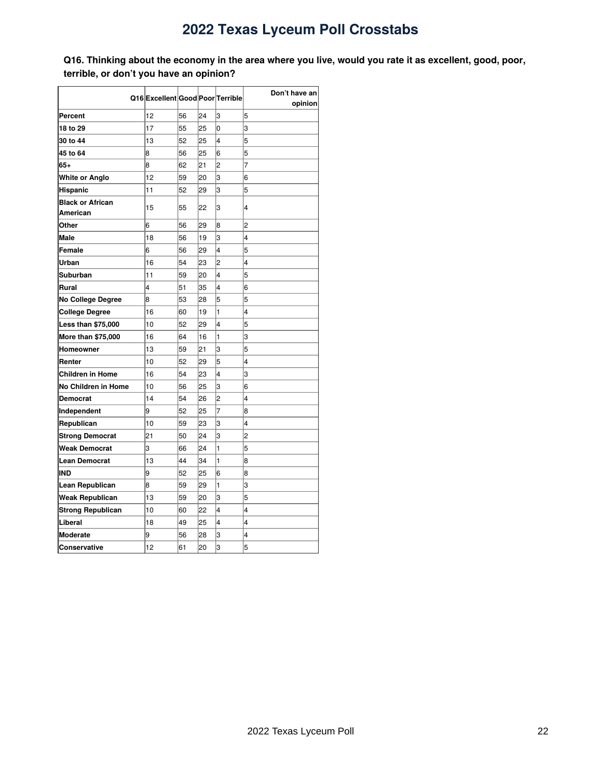<span id="page-21-0"></span>Q16. Thinking about the economy in the area where you live, would you rate it as excellent, good, poor, **terrible, or don't you have an opinion?**

|                                     |                                  |    |    |                | Don't have an  |
|-------------------------------------|----------------------------------|----|----|----------------|----------------|
|                                     | Q16 Excellent Good Poor Terrible |    |    |                | opinion        |
| Percent                             | 12                               | 56 | 24 | 3              | 5              |
| 18 to 29                            | 17                               | 55 | 25 | 0              | 3              |
| 30 to 44                            | 13                               | 52 | 25 | 4              | 5              |
| 45 to 64                            | 8                                | 56 | 25 | 6              | 5              |
| $65+$                               | 8                                | 62 | 21 | $\overline{c}$ | $\overline{7}$ |
| White or Anglo                      | 12                               | 59 | 20 | 3              | 6              |
| <b>Hispanic</b>                     | 11                               | 52 | 29 | 3              | 5              |
| <b>Black or African</b><br>American | 15                               | 55 | 22 | 3              | 4              |
| Other                               | 6                                | 56 | 29 | 8              | $\overline{2}$ |
| <b>Male</b>                         | 18                               | 56 | 19 | 3              | 4              |
| Female                              | 6                                | 56 | 29 | 4              | 5              |
| Urban                               | 16                               | 54 | 23 | 2              | 4              |
| Suburban                            | 11                               | 59 | 20 | 4              | 5              |
| Rural                               | 4                                | 51 | 35 | 4              | 6              |
| <b>No College Degree</b>            | 8                                | 53 | 28 | 5              | 5              |
| <b>College Degree</b>               | 16                               | 60 | 19 | 1              | 4              |
| Less than \$75,000                  | 10                               | 52 | 29 | 4              | 5              |
| More than \$75,000                  | 16                               | 64 | 16 | 1              | 3              |
| Homeowner                           | 13                               | 59 | 21 | 3              | 5              |
| Renter                              | 10                               | 52 | 29 | 5              | 4              |
| <b>Children in Home</b>             | 16                               | 54 | 23 | 4              | 3              |
| No Children in Home                 | 10                               | 56 | 25 | 3              | 6              |
| <b>Democrat</b>                     | 14                               | 54 | 26 | $\overline{c}$ | 4              |
| Independent                         | 9                                | 52 | 25 | 7              | 8              |
| Republican                          | 10                               | 59 | 23 | 3              | 4              |
| <b>Strong Democrat</b>              | 21                               | 50 | 24 | 3              | $\overline{c}$ |
| <b>Weak Democrat</b>                | 3                                | 66 | 24 | 1              | 5              |
| <b>Lean Democrat</b>                | 13                               | 44 | 34 | 1              | 8              |
| <b>IND</b>                          | 9                                | 52 | 25 | 6              | 8              |
| Lean Republican                     | 8                                | 59 | 29 | 1              | 3              |
| <b>Weak Republican</b>              | 13                               | 59 | 20 | 3              | 5              |
| <b>Strong Republican</b>            | 10                               | 60 | 22 | 4              | 4              |
| Liberal                             | 18                               | 49 | 25 | 4              | 4              |
| <b>Moderate</b>                     | 9                                | 56 | 28 | 3              | 4              |
| Conservative                        | 12                               | 61 | 20 | 3              | 5              |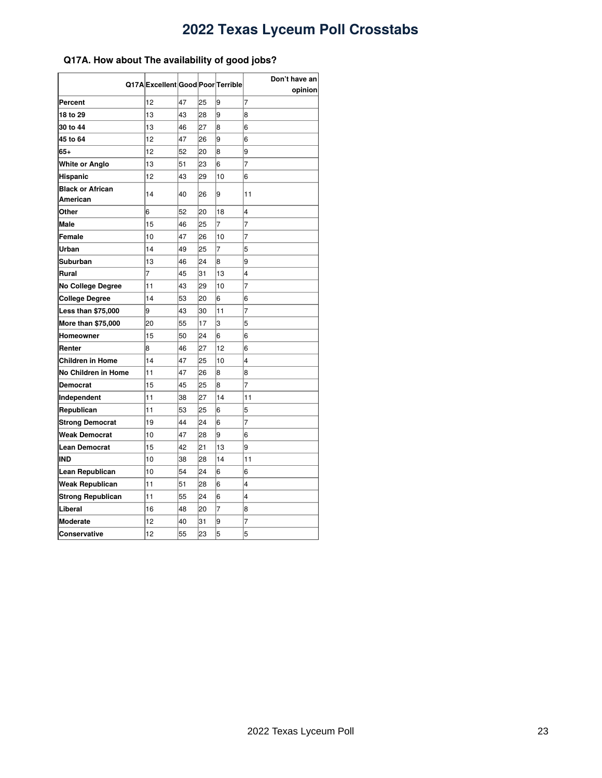### <span id="page-22-0"></span>**Q17A. How about The availability of good jobs?**

|                            | Q17A Excellent Good Poor Terrible |    |    |                | Don't have an |
|----------------------------|-----------------------------------|----|----|----------------|---------------|
| Percent                    | 12                                | 47 | 25 | 9              | opinion<br>7  |
| 18 to 29                   | 13                                | 43 | 28 | 9              | 8             |
| 30 to 44                   | 13                                | 46 | 27 | 8              | 6             |
| 45 to 64                   | 12                                | 47 | 26 | 9              | 6             |
| 65+                        | 12                                | 52 | 20 | 8              | 9             |
|                            | 13                                | 51 | 23 | 6              | 7             |
| White or Anglo<br>Hispanic | 12                                | 43 | 29 | 10             | 6             |
| <b>Black or African</b>    |                                   |    |    |                |               |
| American                   | 14                                | 40 | 26 | 9              | 11            |
| Other                      | 6                                 | 52 | 20 | 18             | 4             |
| <b>Male</b>                | 15                                | 46 | 25 | $\overline{7}$ | 7             |
| Female                     | 10                                | 47 | 26 | 10             | 7             |
| Urban                      | 14                                | 49 | 25 | 7              | 5             |
| Suburban                   | 13                                | 46 | 24 | 8              | 9             |
| Rural                      | 7                                 | 45 | 31 | 13             | 4             |
| No College Degree          | 11                                | 43 | 29 | 10             | 7             |
| <b>College Degree</b>      | 14                                | 53 | 20 | 6              | 6             |
| <b>Less than \$75,000</b>  | 9                                 | 43 | 30 | 11             | 7             |
| More than \$75,000         | 20                                | 55 | 17 | 3              | 5             |
| Homeowner                  | 15                                | 50 | 24 | 6              | 6             |
| Renter                     | 8                                 | 46 | 27 | 12             | 6             |
| Children in Home           | 14                                | 47 | 25 | 10             | 4             |
| No Children in Home        | 11                                | 47 | 26 | 8              | 8             |
| Democrat                   | 15                                | 45 | 25 | 8              | 7             |
| Independent                | 11                                | 38 | 27 | 14             | 11            |
| Republican                 | 11                                | 53 | 25 | 6              | 5             |
| <b>Strong Democrat</b>     | 19                                | 44 | 24 | 6              | 7             |
| Weak Democrat              | 10                                | 47 | 28 | 9              | 6             |
| Lean Democrat              | 15                                | 42 | 21 | 13             | l9            |
| IND                        | 10                                | 38 | 28 | 14             | 11            |
| Lean Republican            | 10                                | 54 | 24 | 6              | 6             |
| Weak Republican            | 11                                | 51 | 28 | 6              | 4             |
| <b>Strong Republican</b>   | 11                                | 55 | 24 | 6              | 4             |
| Liberal                    | 16                                | 48 | 20 | 7              | 8             |
| <b>Moderate</b>            | 12                                | 40 | 31 | 9              | 7             |
| Conservative               | 12                                | 55 | 23 | 5              | 5             |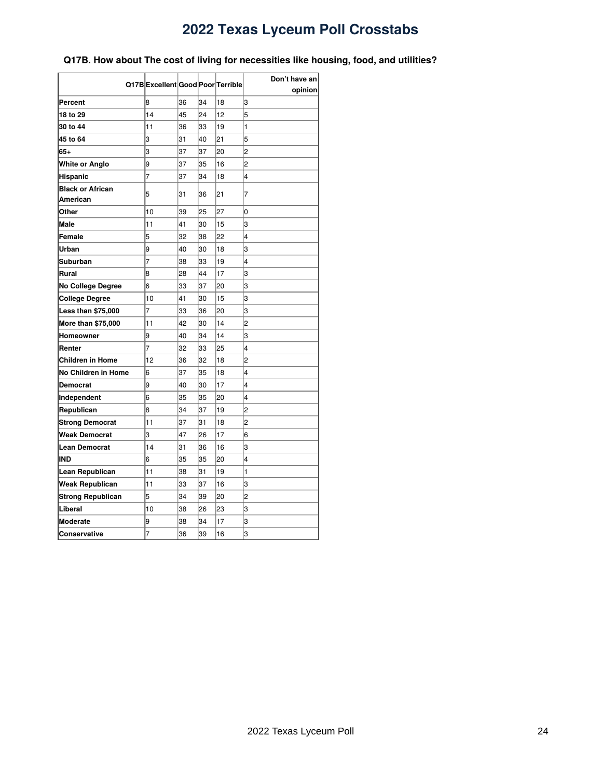### <span id="page-23-0"></span>**Q17B. How about The cost of living for necessities like housing, food, and utilities?**

|                                     | Q17B Excellent Good Poor Terrible |    |    |    | Don't have an  |
|-------------------------------------|-----------------------------------|----|----|----|----------------|
|                                     |                                   |    |    |    | opinion        |
| Percent                             | 8                                 | 36 | 34 | 18 | 3              |
| 18 to 29                            | 14                                | 45 | 24 | 12 | 5              |
| 30 to 44                            | 11                                | 36 | 33 | 19 | 1              |
| 45 to 64                            | 3                                 | 31 | 40 | 21 | 5              |
| 65+                                 | 3                                 | 37 | 37 | 20 | $\overline{c}$ |
| White or Anglo                      | 9                                 | 37 | 35 | 16 | 2              |
| Hispanic                            | $\overline{7}$                    | 37 | 34 | 18 | 4              |
| <b>Black or African</b><br>American | 5                                 | 31 | 36 | 21 | 7              |
| Other                               | 10                                | 39 | 25 | 27 | 0              |
| <b>Male</b>                         | 11                                | 41 | 30 | 15 | 3              |
| Female                              | 5                                 | 32 | 38 | 22 | 4              |
| Urban                               | 9                                 | 40 | 30 | 18 | 3              |
| Suburban                            | 7                                 | 38 | 33 | 19 | 4              |
| Rural                               | 8                                 | 28 | 44 | 17 | 3              |
| No College Degree                   | 6                                 | 33 | 37 | 20 | 3              |
| <b>College Degree</b>               | 10                                | 41 | 30 | 15 | 3              |
| <b>Less than \$75,000</b>           | $\overline{7}$                    | 33 | 36 | 20 | 3              |
| More than \$75,000                  | 11                                | 42 | 30 | 14 | 2              |
| Homeowner                           | 9                                 | 40 | 34 | 14 | 3              |
| Renter                              | 7                                 | 32 | 33 | 25 | 4              |
| Children in Home                    | 12                                | 36 | 32 | 18 | 2              |
| No Children in Home                 | 6                                 | 37 | 35 | 18 | 4              |
| Democrat                            | 9                                 | 40 | 30 | 17 | 4              |
| Independent                         | 6                                 | 35 | 35 | 20 | 4              |
| Republican                          | 8                                 | 34 | 37 | 19 | 2              |
| <b>Strong Democrat</b>              | 11                                | 37 | 31 | 18 | 2              |
| Weak Democrat                       | 3                                 | 47 | 26 | 17 | 6              |
| <b>Lean Democrat</b>                | 14                                | 31 | 36 | 16 | 3              |
| <b>IND</b>                          | 6                                 | 35 | 35 | 20 | 4              |
| Lean Republican                     | 11                                | 38 | 31 | 19 | 1              |
| Weak Republican                     | 11                                | 33 | 37 | 16 | 3              |
| <b>Strong Republican</b>            | 5                                 | 34 | 39 | 20 | 2              |
| Liberal                             | 10                                | 38 | 26 | 23 | 3              |
| <b>Moderate</b>                     | 9                                 | 38 | 34 | 17 | 3              |
| <b>Conservative</b>                 | $\overline{7}$                    | 36 | 39 | 16 | 3              |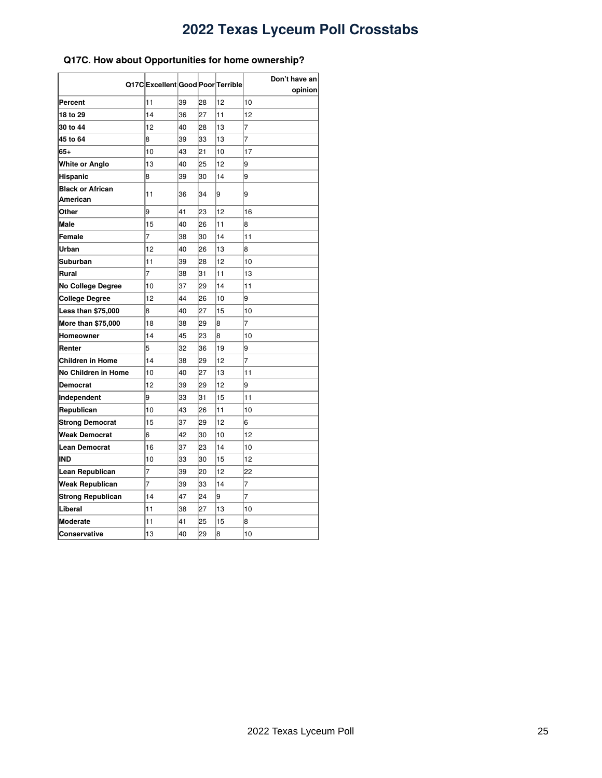### <span id="page-24-0"></span>**Q17C. How about Opportunities for home ownership?**

|                                     | Q17CExcellentGoodPoorTerrible |    |    |    | Don't have an<br>opinion |
|-------------------------------------|-------------------------------|----|----|----|--------------------------|
| Percent                             | 11                            | 39 | 28 | 12 | 10                       |
| 18 to 29                            | 14                            | 36 | 27 | 11 | 12                       |
| 30 to 44                            | 12                            | 40 | 28 | 13 | 7                        |
| 45 to 64                            | 8                             | 39 | 33 | 13 | 7                        |
| 65+                                 | 10                            | 43 | 21 | 10 | 17                       |
| <b>White or Anglo</b>               | 13                            | 40 | 25 | 12 | 9                        |
| Hispanic                            | 8                             | 39 | 30 | 14 | 9                        |
| <b>Black or African</b><br>American | 11                            | 36 | 34 | 9  | 9                        |
| Other                               | 9                             | 41 | 23 | 12 | 16                       |
| <b>Male</b>                         | 15                            | 40 | 26 | 11 | 8                        |
| Female                              | 7                             | 38 | 30 | 14 | 11                       |
| Urban                               | 12                            | 40 | 26 | 13 | 8                        |
| Suburban                            | 11                            | 39 | 28 | 12 | 10                       |
| Rural                               | 7                             | 38 | 31 | 11 | 13                       |
| <b>No College Degree</b>            | 10                            | 37 | 29 | 14 | 11                       |
| <b>College Degree</b>               | 12                            | 44 | 26 | 10 | 9                        |
| <b>Less than \$75,000</b>           | 8                             | 40 | 27 | 15 | 10                       |
| More than \$75,000                  | 18                            | 38 | 29 | 8  | 7                        |
| Homeowner                           | 14                            | 45 | 23 | 8  | 10                       |
| Renter                              | 5                             | 32 | 36 | 19 | 9                        |
| <b>Children in Home</b>             | 14                            | 38 | 29 | 12 | 7                        |
| No Children in Home                 | 10                            | 40 | 27 | 13 | 11                       |
| Democrat                            | 12                            | 39 | 29 | 12 | 9                        |
| Independent                         | 9                             | 33 | 31 | 15 | 11                       |
| Republican                          | 10                            | 43 | 26 | 11 | 10                       |
| <b>Strong Democrat</b>              | 15                            | 37 | 29 | 12 | 6                        |
| Weak Democrat                       | 6                             | 42 | 30 | 10 | 12                       |
| <b>Lean Democrat</b>                | 16                            | 37 | 23 | 14 | 10                       |
| <b>IND</b>                          | 10                            | 33 | 30 | 15 | 12                       |
| Lean Republican                     | 7                             | 39 | 20 | 12 | 22                       |
| <b>Weak Republican</b>              | 7                             | 39 | 33 | 14 | 7                        |
| <b>Strong Republican</b>            | 14                            | 47 | 24 | 9  | 7                        |
| Liberal                             | 11                            | 38 | 27 | 13 | 10                       |
| <b>Moderate</b>                     | 11                            | 41 | 25 | 15 | 8                        |
| <b>Conservative</b>                 | 13                            | 40 | 29 | 8  | 10                       |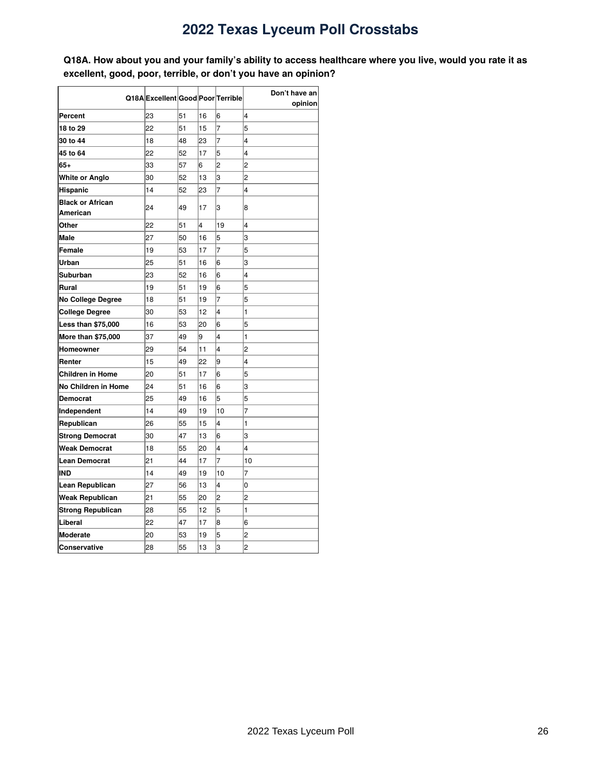<span id="page-25-0"></span>Q18A. How about you and your family's ability to access healthcare where you live, would you rate it as **excellent, good, poor, terrible, or don't you have an opinion?**

|                                     |                                   |    |    |                | Don't have an  |
|-------------------------------------|-----------------------------------|----|----|----------------|----------------|
|                                     | Q18A Excellent Good Poor Terrible |    |    |                | opinion        |
| Percent                             | 23                                | 51 | 16 | 6              | 4              |
| 18 to 29                            | 22                                | 51 | 15 | $\overline{7}$ | 5              |
| 30 to 44                            | 18                                | 48 | 23 | $\overline{7}$ | 4              |
| 45 to 64                            | 22                                | 52 | 17 | 5              | 4              |
| $65+$                               | 33                                | 57 | 6  | $\overline{c}$ | $\overline{c}$ |
| White or Anglo                      | 30                                | 52 | 13 | 3              | $\overline{c}$ |
| Hispanic                            | 14                                | 52 | 23 | $\overline{7}$ | 4              |
| <b>Black or African</b><br>American | 24                                | 49 | 17 | 3              | 8              |
| Other                               | 22                                | 51 | 4  | 19             | 4              |
| <b>Male</b>                         | 27                                | 50 | 16 | 5              | 3              |
| Female                              | 19                                | 53 | 17 | 7              | 5              |
| Urban                               | 25                                | 51 | 16 | 6              | 3              |
| Suburban                            | 23                                | 52 | 16 | 6              | 4              |
| Rural                               | 19                                | 51 | 19 | 6              | 5              |
| <b>No College Degree</b>            | 18                                | 51 | 19 | $\overline{7}$ | 5              |
| <b>College Degree</b>               | 30                                | 53 | 12 | 4              | 1              |
| Less than \$75,000                  | 16                                | 53 | 20 | 6              | 5              |
| More than \$75,000                  | 37                                | 49 | 9  | 4              | 1              |
| Homeowner                           | 29                                | 54 | 11 | 4              | $\overline{c}$ |
| Renter                              | 15                                | 49 | 22 | 9              | 4              |
| <b>Children in Home</b>             | 20                                | 51 | 17 | 6              | 5              |
| No Children in Home                 | 24                                | 51 | 16 | 6              | 3              |
| Democrat                            | 25                                | 49 | 16 | 5              | 5              |
| Independent                         | 14                                | 49 | 19 | 10             | $\overline{7}$ |
| Republican                          | 26                                | 55 | 15 | 4              | 1              |
| <b>Strong Democrat</b>              | 30                                | 47 | 13 | 6              | 3              |
| Weak Democrat                       | 18                                | 55 | 20 | 4              | 4              |
| Lean Democrat                       | 21                                | 44 | 17 | 7              | 10             |
| <b>IND</b>                          | 14                                | 49 | 19 | 10             | 7              |
| Lean Republican                     | 27                                | 56 | 13 | 4              | O              |
| Weak Republican                     | 21                                | 55 | 20 | 2              | 2              |
| Strong Republican                   | 28                                | 55 | 12 | 5              | 1              |
| Liberal                             | 22                                | 47 | 17 | 8              | 6              |
| <b>Moderate</b>                     | 20                                | 53 | 19 | 5              | 2              |
| Conservative                        | 28                                | 55 | 13 | 3              | $\overline{2}$ |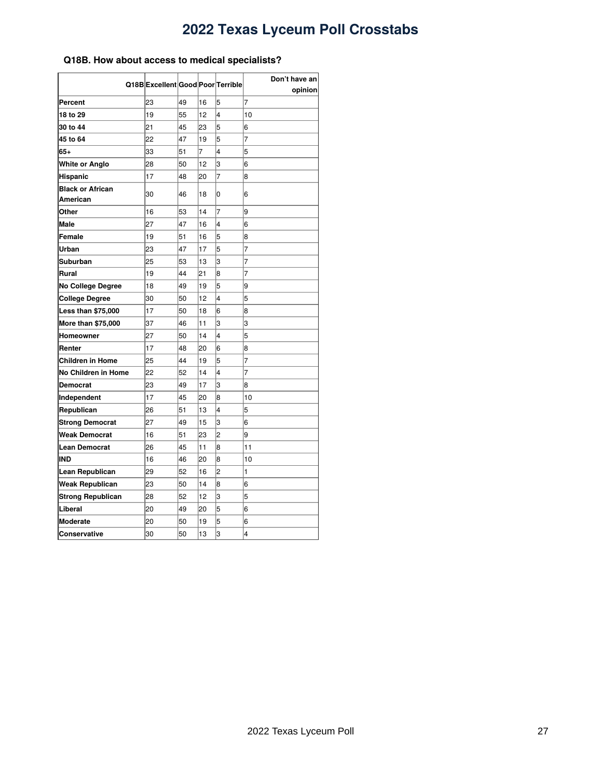### <span id="page-26-0"></span>**Q18B. How about access to medical specialists?**

|                                     | Q18B Excellent Good Poor Terrible |    |    |                | Don't have an<br>opinion |
|-------------------------------------|-----------------------------------|----|----|----------------|--------------------------|
| Percent                             | 23                                | 49 | 16 | 5              | $\overline{7}$           |
| 18 to 29                            | 19                                | 55 | 12 | 4              | 10                       |
| 30 to 44                            | 21                                | 45 | 23 | 5              | 6                        |
| 45 to 64                            | 22                                | 47 | 19 | 5              | $\overline{7}$           |
| 65+                                 | 33                                | 51 | 7  | 4              | 5                        |
| White or Anglo                      | 28                                | 50 | 12 | 3              | 6                        |
| Hispanic                            | 17                                | 48 | 20 | $\overline{7}$ | 8                        |
| <b>Black or African</b><br>American | 30                                | 46 | 18 | 0              | 6                        |
| Other                               | 16                                | 53 | 14 | 7              | 9                        |
| Male                                | 27                                | 47 | 16 | 4              | 6                        |
| Female                              | 19                                | 51 | 16 | 5              | 8                        |
| Urban                               | 23                                | 47 | 17 | 5              | $\overline{7}$           |
| Suburban                            | 25                                | 53 | 13 | 3              | 7                        |
| Rural                               | 19                                | 44 | 21 | 8              | 7                        |
| No College Degree                   | 18                                | 49 | 19 | 5              | 9                        |
| <b>College Degree</b>               | 30                                | 50 | 12 | 4              | 5                        |
| <b>Less than \$75,000</b>           | 17                                | 50 | 18 | 6              | 8                        |
| <b>More than \$75,000</b>           | 37                                | 46 | 11 | 3              | 3                        |
| Homeowner                           | 27                                | 50 | 14 | 4              | 5                        |
| Renter                              | 17                                | 48 | 20 | 6              | 8                        |
| Children in Home                    | 25                                | 44 | 19 | 5              | 7                        |
| No Children in Home                 | 22                                | 52 | 14 | 4              | 7                        |
| Democrat                            | 23                                | 49 | 17 | 3              | 8                        |
| Independent                         | 17                                | 45 | 20 | 8              | 10                       |
| Republican                          | 26                                | 51 | 13 | 4              | 5                        |
| <b>Strong Democrat</b>              | 27                                | 49 | 15 | 3              | 6                        |
| Weak Democrat                       | 16                                | 51 | 23 | 2              | 9                        |
| <b>Lean Democrat</b>                | 26                                | 45 | 11 | 8              | 11                       |
| IND                                 | 16                                | 46 | 20 | 8              | 10                       |
| Lean Republican                     | 29                                | 52 | 16 | 2              | 1                        |
| Weak Republican                     | 23                                | 50 | 14 | 8              | 6                        |
| <b>Strong Republican</b>            | 28                                | 52 | 12 | 3              | 5                        |
| Liberal                             | 20                                | 49 | 20 | 5              | 6                        |
| <b>Moderate</b>                     | 20                                | 50 | 19 | 5              | 6                        |
| Conservative                        | 30                                | 50 | 13 | 3              | 4                        |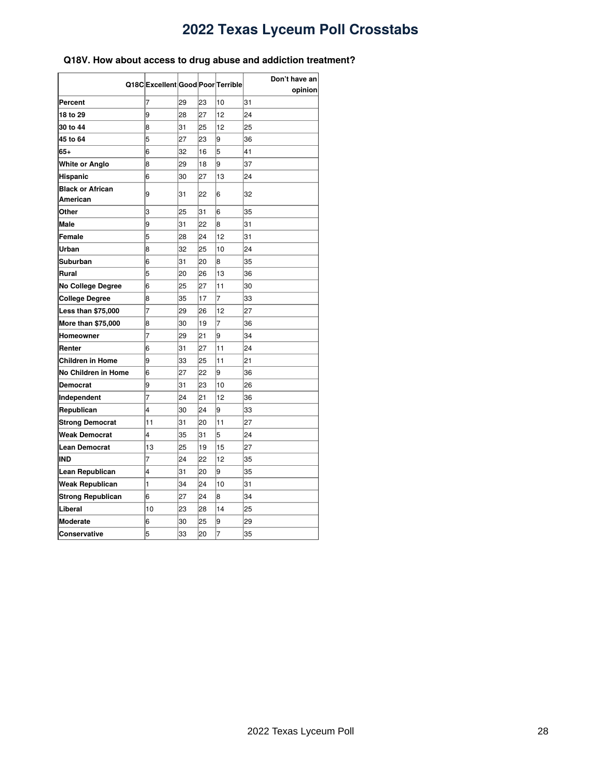### <span id="page-27-0"></span>**Q18V. How about access to drug abuse and addiction treatment?**

|                                     |                                  |    |    |    | Don't have an |  |
|-------------------------------------|----------------------------------|----|----|----|---------------|--|
|                                     | Q18CExcellent Good Poor Terrible |    |    |    | opinion       |  |
| Percent                             | 7                                | 29 | 23 | 10 | 31            |  |
| 18 to 29                            | 9                                | 28 | 27 | 12 | 24            |  |
| 30 to 44                            | 8                                | 31 | 25 | 12 | 25            |  |
| 45 to 64                            | 5                                | 27 | 23 | 9  | 36            |  |
| 65+                                 | 6                                | 32 | 16 | 5  | 41            |  |
| White or Anglo                      | 8                                | 29 | 18 | 9  | 37            |  |
| Hispanic                            | 6                                | 30 | 27 | 13 | 24            |  |
| <b>Black or African</b><br>American | 9                                | 31 | 22 | 6  | 32            |  |
| Other                               | 3                                | 25 | 31 | 6  | 35            |  |
| <b>Male</b>                         | 9                                | 31 | 22 | 8  | 31            |  |
| Female                              | 5                                | 28 | 24 | 12 | 31            |  |
| Urban                               | 8                                | 32 | 25 | 10 | 24            |  |
| Suburban                            | 6                                | 31 | 20 | 8  | 35            |  |
| Rural                               | 5                                | 20 | 26 | 13 | 36            |  |
| No College Degree                   | 6                                | 25 | 27 | 11 | 30            |  |
| <b>College Degree</b>               | 8                                | 35 | 17 | 7  | 33            |  |
| <b>Less than \$75,000</b>           | 7                                | 29 | 26 | 12 | 27            |  |
| More than \$75,000                  | 8                                | 30 | 19 | 7  | 36            |  |
| Homeowner                           | 7                                | 29 | 21 | 9  | 34            |  |
| Renter                              | 6                                | 31 | 27 | 11 | 24            |  |
| Children in Home                    | 9                                | 33 | 25 | 11 | 21            |  |
| No Children in Home                 | 6                                | 27 | 22 | 9  | 36            |  |
| Democrat                            | 9                                | 31 | 23 | 10 | 26            |  |
| Independent                         | 7                                | 24 | 21 | 12 | 36            |  |
| Republican                          | 4                                | 30 | 24 | 9  | 33            |  |
| <b>Strong Democrat</b>              | 11                               | 31 | 20 | 11 | 27            |  |
| Weak Democrat                       | 4                                | 35 | 31 | 5  | 24            |  |
| Lean Democrat                       | 13                               | 25 | 19 | 15 | 27            |  |
| IND                                 | 7                                | 24 | 22 | 12 | 35            |  |
| Lean Republican                     | 4                                | 31 | 20 | 9  | 35            |  |
| Weak Republican                     | 1                                | 34 | 24 | 10 | 31            |  |
| <b>Strong Republican</b>            | 6                                | 27 | 24 | 8  | 34            |  |
| Liberal                             | 10                               | 23 | 28 | 14 | 25            |  |
| <b>Moderate</b>                     | 6                                | 30 | 25 | 9  | 29            |  |
| Conservative                        | 5                                | 33 | 20 | 7  | 35            |  |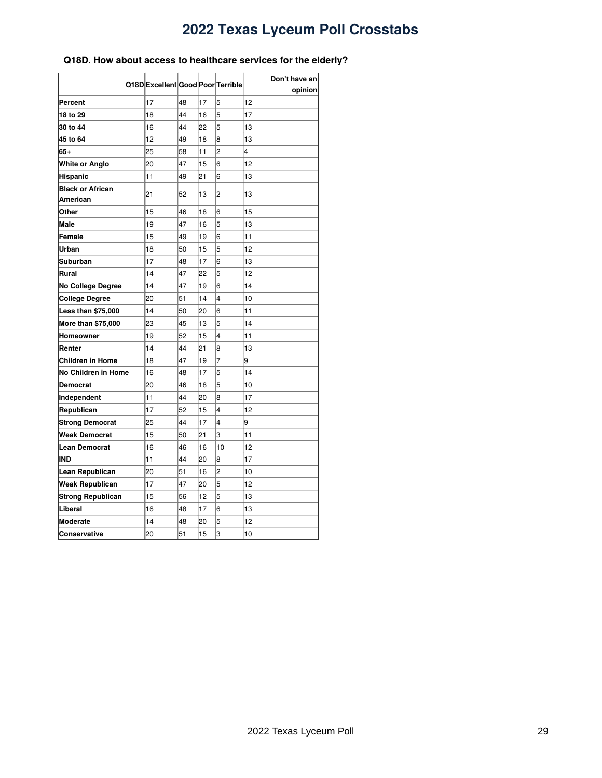### <span id="page-28-0"></span>**Q18D. How about access to healthcare services for the elderly?**

|                                     | Q18D Excellent Good Poor Terrible |    |    |                | Don't have an |
|-------------------------------------|-----------------------------------|----|----|----------------|---------------|
|                                     |                                   |    |    |                | opinion       |
| Percent                             | 17                                | 48 | 17 | 5              | 12            |
| 18 to 29                            | 18                                | 44 | 16 | 5              | 17            |
| 30 to 44                            | 16                                | 44 | 22 | 5              | 13            |
| 45 to 64                            | 12                                | 49 | 18 | 8              | 13            |
| 65+                                 | 25                                | 58 | 11 | $\overline{2}$ | 4             |
| White or Anglo                      | 20                                | 47 | 15 | 6              | 12            |
| Hispanic                            | 11                                | 49 | 21 | 6              | 13            |
| <b>Black or African</b><br>American | 21                                | 52 | 13 | 2              | 13            |
| Other                               | 15                                | 46 | 18 | 6              | 15            |
| <b>Male</b>                         | 19                                | 47 | 16 | 5              | 13            |
| Female                              | 15                                | 49 | 19 | 6              | 11            |
| Urban                               | 18                                | 50 | 15 | 5              | 12            |
| Suburban                            | 17                                | 48 | 17 | 6              | 13            |
| Rural                               | 14                                | 47 | 22 | 5              | 12            |
| <b>No College Degree</b>            | 14                                | 47 | 19 | 6              | 14            |
| College Degree                      | 20                                | 51 | 14 | 4              | 10            |
| <b>Less than \$75,000</b>           | 14                                | 50 | 20 | 6              | 11            |
| <b>More than \$75,000</b>           | 23                                | 45 | 13 | 5              | 14            |
| Homeowner                           | 19                                | 52 | 15 | 4              | 11            |
| Renter                              | 14                                | 44 | 21 | 8              | 13            |
| <b>Children in Home</b>             | 18                                | 47 | 19 | 7              | 9             |
| No Children in Home                 | 16                                | 48 | 17 | 5              | 14            |
| Democrat                            | 20                                | 46 | 18 | 5              | 10            |
| Independent                         | 11                                | 44 | 20 | 8              | 17            |
| Republican                          | 17                                | 52 | 15 | 4              | 12            |
| <b>Strong Democrat</b>              | 25                                | 44 | 17 | 4              | 9             |
| <b>Weak Democrat</b>                | 15                                | 50 | 21 | 3              | 11            |
| <b>Lean Democrat</b>                | 16                                | 46 | 16 | 10             | 12            |
| IND                                 | 11                                | 44 | 20 | 8              | 17            |
| Lean Republican                     | 20                                | 51 | 16 | $\overline{2}$ | 10            |
| Weak Republican                     | 17                                | 47 | 20 | 5              | 12            |
| <b>Strong Republican</b>            | 15                                | 56 | 12 | 5              | 13            |
| Liberal                             | 16                                | 48 | 17 | 6              | 13            |
| <b>Moderate</b>                     | 14                                | 48 | 20 | 5              | 12            |
| Conservative                        | 20                                | 51 | 15 | 3              | 10            |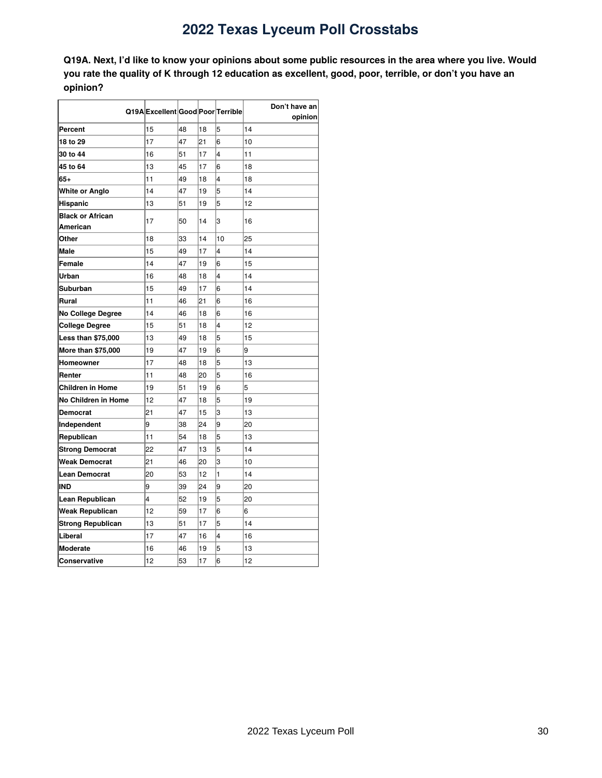<span id="page-29-0"></span>Q19A. Next, I'd like to know your opinions about some public resources in the area where you live. Would you rate the quality of K through 12 education as excellent, good, poor, terrible, or don't you have an **opinion?**

|                                     | Q19A Excellent Good Poor Terrible |    |    |    | Don't have an |
|-------------------------------------|-----------------------------------|----|----|----|---------------|
|                                     |                                   |    |    |    | opinion       |
| Percent                             | 15                                | 48 | 18 | 5  | 14            |
| 18 to 29                            | 17                                | 47 | 21 | 6  | 10            |
| 30 to 44                            | 16                                | 51 | 17 | 4  | 11            |
| 45 to 64                            | 13                                | 45 | 17 | 6  | 18            |
| $65+$                               | 11                                | 49 | 18 | 4  | 18            |
| White or Anglo                      | 14                                | 47 | 19 | 5  | 14            |
| Hispanic                            | 13                                | 51 | 19 | 5  | 12            |
| <b>Black or African</b><br>American | 17                                | 50 | 14 | 3  | 16            |
| Other                               | 18                                | 33 | 14 | 10 | 25            |
| <b>Male</b>                         | 15                                | 49 | 17 | 4  | 14            |
| Female                              | 14                                | 47 | 19 | 6  | 15            |
| Urban                               | 16                                | 48 | 18 | 4  | 14            |
| Suburban                            | 15                                | 49 | 17 | 6  | 14            |
| Rural                               | 11                                | 46 | 21 | 6  | 16            |
| <b>No College Degree</b>            | 14                                | 46 | 18 | 6  | 16            |
| <b>College Degree</b>               | 15                                | 51 | 18 | 4  | 12            |
| <b>Less than \$75,000</b>           | 13                                | 49 | 18 | 5  | 15            |
| <b>More than \$75,000</b>           | 19                                | 47 | 19 | 6  | 9             |
| Homeowner                           | 17                                | 48 | 18 | 5  | 13            |
| Renter                              | 11                                | 48 | 20 | 5  | 16            |
| <b>Children in Home</b>             | 19                                | 51 | 19 | 6  | 5             |
| No Children in Home                 | 12                                | 47 | 18 | 5  | 19            |
| <b>Democrat</b>                     | 21                                | 47 | 15 | 3  | 13            |
| Independent                         | 9                                 | 38 | 24 | 9  | 20            |
| Republican                          | 11                                | 54 | 18 | 5  | 13            |
| <b>Strong Democrat</b>              | 22                                | 47 | 13 | 5  | 14            |
| <b>Weak Democrat</b>                | 21                                | 46 | 20 | 3  | 10            |
| <b>Lean Democrat</b>                | 20                                | 53 | 12 | 1  | 14            |
| IND                                 | 9                                 | 39 | 24 | 9  | 20            |
| Lean Republican                     | 4                                 | 52 | 19 | 5  | 20            |
| Weak Republican                     | 12                                | 59 | 17 | 6  | 6             |
| <b>Strong Republican</b>            | 13                                | 51 | 17 | 5  | 14            |
| Liberal                             | 17                                | 47 | 16 | 4  | 16            |
| <b>Moderate</b>                     | 16                                | 46 | 19 | 5  | 13            |
| <b>Conservative</b>                 | 12                                | 53 | 17 | 6  | 12            |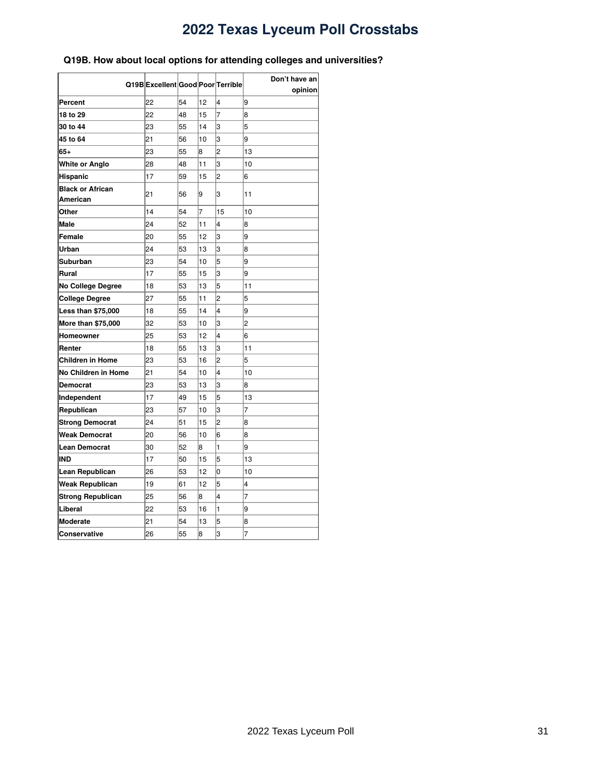### <span id="page-30-0"></span>**Q19B. How about local options for attending colleges and universities?**

| Q19B Excellent Good Poor Terrible          |    |    |    |                | Don't have an  |
|--------------------------------------------|----|----|----|----------------|----------------|
|                                            |    |    |    |                | opinion        |
| Percent                                    | 22 | 54 | 12 | 4              | 9              |
| 18 to 29                                   | 22 | 48 | 15 | $\overline{7}$ | 8              |
| 30 to 44                                   | 23 | 55 | 14 | 3              | 5              |
| 45 to 64                                   | 21 | 56 | 10 | 3              | 9              |
| 65+                                        | 23 | 55 | 8  | $\overline{c}$ | 13             |
| White or Anglo                             | 28 | 48 | 11 | 3              | 10             |
| Hispanic                                   | 17 | 59 | 15 | $\overline{c}$ | 6              |
| <b>Black or African</b><br><b>American</b> | 21 | 56 | 9  | 3              | 11             |
| Other                                      | 14 | 54 | 7  | 15             | 10             |
| Male                                       | 24 | 52 | 11 | 4              | 8              |
| Female                                     | 20 | 55 | 12 | 3              | 9              |
| Urban                                      | 24 | 53 | 13 | 3              | 8              |
| Suburban                                   | 23 | 54 | 10 | 5              | 9              |
| Rural                                      | 17 | 55 | 15 | 3              | 9              |
| No College Degree                          | 18 | 53 | 13 | 5              | 11             |
| College Degree                             | 27 | 55 | 11 | $\overline{2}$ | 5              |
| <b>Less than \$75,000</b>                  | 18 | 55 | 14 | $\overline{4}$ | 9              |
| More than \$75,000                         | 32 | 53 | 10 | 3              | 2              |
| Homeowner                                  | 25 | 53 | 12 | 4              | 6              |
| Renter                                     | 18 | 55 | 13 | 3              | 11             |
| Children in Home                           | 23 | 53 | 16 | 2              | 5              |
| No Children in Home                        | 21 | 54 | 10 | 4              | 10             |
| Democrat                                   | 23 | 53 | 13 | 3              | 8              |
| Independent                                | 17 | 49 | 15 | 5              | 13             |
| Republican                                 | 23 | 57 | 10 | 3              | $\overline{7}$ |
| <b>Strong Democrat</b>                     | 24 | 51 | 15 | $\overline{c}$ | 8              |
| <b>Weak Democrat</b>                       | 20 | 56 | 10 | 6              | 8              |
| <b>Lean Democrat</b>                       | 30 | 52 | 8  | $\mathbf{1}$   | 9              |
| IND                                        | 17 | 50 | 15 | 5              | 13             |
| Lean Republican                            | 26 | 53 | 12 | $\overline{0}$ | 10             |
| <b>Weak Republican</b>                     | 19 | 61 | 12 | 5              | 4              |
| <b>Strong Republican</b>                   | 25 | 56 | 8  | $\overline{4}$ | 7              |
| Liberal                                    | 22 | 53 | 16 | 1              | 9              |
| <b>Moderate</b>                            | 21 | 54 | 13 | 5              | 8              |
| Conservative                               | 26 | 55 | 8  | 3              | 7              |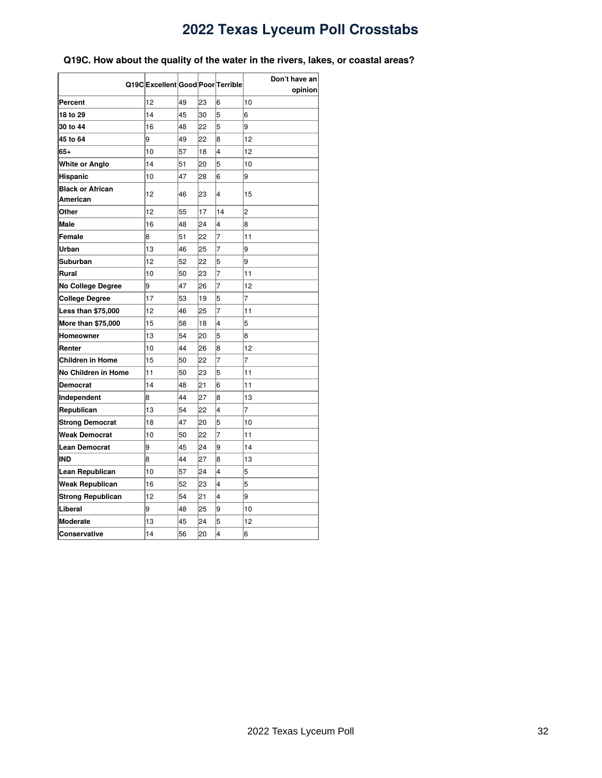### <span id="page-31-0"></span>**Q19C. How about the quality of the water in the rivers, lakes, or coastal areas?**

|                           | Q19CExcellent Good Poor Terrible |    |    |                | Don't have an<br>opinion |
|---------------------------|----------------------------------|----|----|----------------|--------------------------|
| Percent                   | 12                               | 49 | 23 | 6              | 10                       |
| 18 to 29                  | 14                               | 45 | 30 | 5              | 6                        |
| 30 to 44                  | 16                               | 48 | 22 | 5              | 9                        |
| 45 to 64                  | 9                                | 49 | 22 | 8              | 12                       |
| 65+                       | 10                               | 57 | 18 | 4              | 12                       |
| White or Anglo            | 14                               | 51 | 20 | 5              | 10                       |
| Hispanic                  | 10                               | 47 | 28 | 6              | 9                        |
| <b>Black or African</b>   |                                  |    |    |                |                          |
| American                  | 12                               | 46 | 23 | 4              | 15                       |
| Other                     | 12                               | 55 | 17 | 14             | $\overline{c}$           |
| <b>Male</b>               | 16                               | 48 | 24 | 4              | 8                        |
| Female                    | 8                                | 51 | 22 | 7              | 11                       |
| Urban                     | 13                               | 46 | 25 | 7              | 9                        |
| Suburban                  | 12                               | 52 | 22 | 5              | 9                        |
| Rural                     | 10                               | 50 | 23 | 7              | 11                       |
| No College Degree         | 9                                | 47 | 26 | $\overline{7}$ | 12                       |
| <b>College Degree</b>     | 17                               | 53 | 19 | 5              | $\overline{7}$           |
| <b>Less than \$75,000</b> | 12                               | 46 | 25 | 7              | 11                       |
| More than \$75,000        | 15                               | 58 | 18 | 4              | 5                        |
| Homeowner                 | 13                               | 54 | 20 | 5              | 8                        |
| Renter                    | 10                               | 44 | 26 | 8              | 12                       |
| Children in Home          | 15                               | 50 | 22 | 7              | 7                        |
| No Children in Home       | 11                               | 50 | 23 | 5              | 11                       |
| Democrat                  | 14                               | 48 | 21 | 6              | 11                       |
| Independent               | 8                                | 44 | 27 | 8              | 13                       |
| Republican                | 13                               | 54 | 22 | 4              | 7                        |
| <b>Strong Democrat</b>    | 18                               | 47 | 20 | 5              | 10                       |
| Weak Democrat             | 10                               | 50 | 22 | 7              | 11                       |
| <b>Lean Democrat</b>      | 9                                | 45 | 24 | 9              | 14                       |
| <b>IND</b>                | 8                                | 44 | 27 | 8              | 13                       |
| Lean Republican           | 10                               | 57 | 24 | $\overline{4}$ | 5                        |
| <b>Weak Republican</b>    | 16                               | 52 | 23 | 4              | 5                        |
| <b>Strong Republican</b>  | 12                               | 54 | 21 | 4              | 9                        |
| Liberal                   | 9                                | 48 | 25 | 9              | 10                       |
| <b>Moderate</b>           | 13                               | 45 | 24 | 5              | 12                       |
| Conservative              | 14                               | 56 | 20 | 4              | 6                        |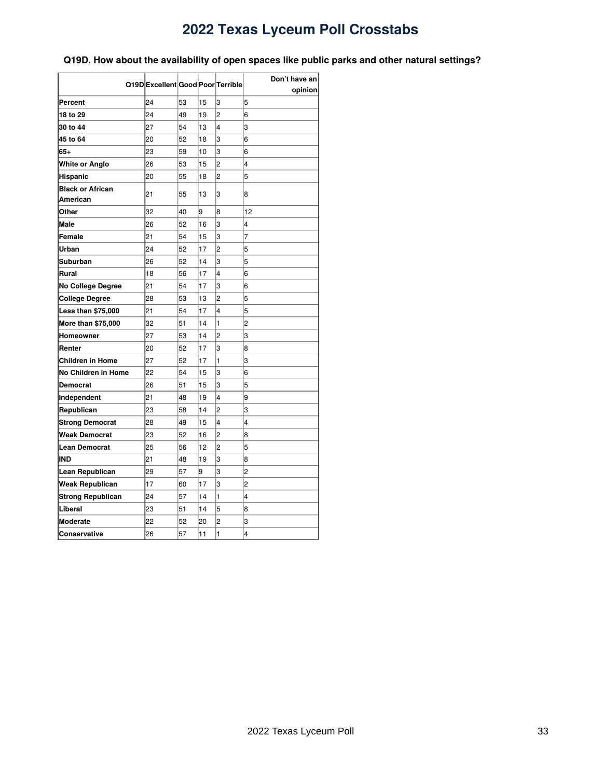### <span id="page-32-0"></span>**Q19D. How about the availability of open spaces like public parks and other natural settings?**

|                           | Q19D Excellent Good Poor Terrible |    |    |                | Don't have an  |
|---------------------------|-----------------------------------|----|----|----------------|----------------|
|                           |                                   |    |    |                | opinion        |
| Percent                   | 24                                | 53 | 15 | 3              | 5<br>6         |
| 18 to 29                  | 24                                | 49 | 19 | $\overline{c}$ |                |
| 30 to 44                  | 27                                | 54 | 13 | 4              | 3              |
| 45 to 64                  | 20                                | 52 | 18 | 3              | 6              |
| $65+$                     | 23                                | 59 | 10 | 3              | 6              |
| White or Anglo            | 26                                | 53 | 15 | $\overline{c}$ | 4              |
| Hispanic                  | 20                                | 55 | 18 | $\overline{c}$ | 5              |
| <b>Black or African</b>   | 21                                | 55 | 13 | 3              | 8              |
| American                  |                                   |    |    |                |                |
| Other                     | 32                                | 40 | 9  | 8              | 12             |
| Male                      | 26                                | 52 | 16 | 3              | 4              |
| Female                    | 21                                | 54 | 15 | 3              | $\overline{7}$ |
| Urban                     | 24                                | 52 | 17 | $\overline{c}$ | 5              |
| Suburban                  | 26                                | 52 | 14 | 3              | 5              |
| Rural                     | 18                                | 56 | 17 | 4              | 6              |
| No College Degree         | 21                                | 54 | 17 | 3              | 6              |
| <b>College Degree</b>     | 28                                | 53 | 13 | 2              | 5              |
| <b>Less than \$75,000</b> | 21                                | 54 | 17 | 4              | 5              |
| More than \$75,000        | 32                                | 51 | 14 | 1              | 2              |
| Homeowner                 | 27                                | 53 | 14 | 2              | 3              |
| Renter                    | 20                                | 52 | 17 | 3              | 8              |
| <b>Children in Home</b>   | 27                                | 52 | 17 | 1              | 3              |
| No Children in Home       | 22                                | 54 | 15 | 3              | 6              |
| <b>Democrat</b>           | 26                                | 51 | 15 | 3              | 5              |
| Independent               | 21                                | 48 | 19 | 4              | 9              |
| Republican                | 23                                | 58 | 14 | $\overline{2}$ | 3              |
| <b>Strong Democrat</b>    | 28                                | 49 | 15 | 4              | 4              |
| Weak Democrat             | 23                                | 52 | 16 | 2              | 8              |
| <b>Lean Democrat</b>      | 25                                | 56 | 12 | 2              | 5              |
| IND                       | 21                                | 48 | 19 | 3              | 8              |
| Lean Republican           | 29                                | 57 | 9  | 3              | $\overline{c}$ |
| <b>Weak Republican</b>    | 17                                | 60 | 17 | 3              | $\overline{c}$ |
| <b>Strong Republican</b>  | 24                                | 57 | 14 | 1              | 4              |
| Liberal                   | 23                                | 51 | 14 | 5              | 8              |
| <b>Moderate</b>           | 22                                | 52 | 20 | $\overline{c}$ | 3              |
| Conservative              | 26                                | 57 | 11 | $\mathbf{1}$   | 4              |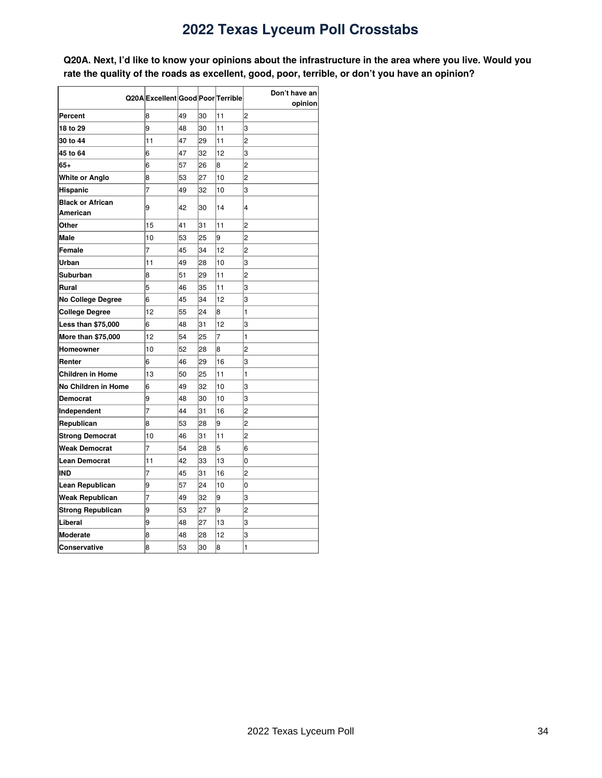<span id="page-33-0"></span>Q20A. Next, I'd like to know your opinions about the infrastructure in the area where you live. Would you **rate the quality of the roads as excellent, good, poor, terrible, or don't you have an opinion?**

|                           |                                   |    |    |    | Don't have an  |
|---------------------------|-----------------------------------|----|----|----|----------------|
|                           | Q20A Excellent Good Poor Terrible |    |    |    | opinion        |
| Percent                   | 8                                 | 49 | 30 | 11 | $\overline{c}$ |
| 18 to 29                  | 9                                 | 48 | 30 | 11 | 3              |
| 30 to 44                  | 11                                | 47 | 29 | 11 | $\overline{c}$ |
| 45 to 64                  | 6                                 | 47 | 32 | 12 | 3              |
| 65+                       | 6                                 | 57 | 26 | 8  | $\overline{c}$ |
| White or Anglo            | 8                                 | 53 | 27 | 10 | $\overline{c}$ |
| Hispanic                  | $\overline{7}$                    | 49 | 32 | 10 | 3              |
| <b>Black or African</b>   | 9                                 |    | 30 |    | 4              |
| American                  |                                   | 42 |    | 14 |                |
| Other                     | 15                                | 41 | 31 | 11 | $\overline{2}$ |
| <b>Male</b>               | 10                                | 53 | 25 | 9  | $\overline{c}$ |
| Female                    | 7                                 | 45 | 34 | 12 | $\overline{c}$ |
| Urban                     | 11                                | 49 | 28 | 10 | 3              |
| Suburban                  | 8                                 | 51 | 29 | 11 | $\overline{c}$ |
| Rural                     | 5                                 | 46 | 35 | 11 | 3              |
| <b>No College Degree</b>  | 6                                 | 45 | 34 | 12 | 3              |
| College Degree            | 12                                | 55 | 24 | 8  | 1              |
| <b>Less than \$75,000</b> | 6                                 | 48 | 31 | 12 | 3              |
| More than \$75,000        | 12                                | 54 | 25 | 7  | 1              |
| Homeowner                 | 10                                | 52 | 28 | 8  | $\overline{c}$ |
| Renter                    | 6                                 | 46 | 29 | 16 | 3              |
| Children in Home          | 13                                | 50 | 25 | 11 | 1              |
| No Children in Home       | 6                                 | 49 | 32 | 10 | 3              |
| <b>Democrat</b>           | 9                                 | 48 | 30 | 10 | 3              |
| Independent               | 7                                 | 44 | 31 | 16 | $\overline{c}$ |
| Republican                | 8                                 | 53 | 28 | 9  | $\overline{c}$ |
| <b>Strong Democrat</b>    | 10                                | 46 | 31 | 11 | $\overline{c}$ |
| Weak Democrat             | 7                                 | 54 | 28 | 5  | 6              |
| <b>Lean Democrat</b>      | 11                                | 42 | 33 | 13 | O              |
| IND                       | 7                                 | 45 | 31 | 16 | 2              |
| Lean Republican           | 9                                 | 57 | 24 | 10 | 0              |
| Weak Republican           | 7                                 | 49 | 32 | 9  | 3              |
| <b>Strong Republican</b>  | 9                                 | 53 | 27 | 9  | $\overline{c}$ |
| Liberal                   | 9                                 | 48 | 27 | 13 | 3              |
| <b>Moderate</b>           | 8                                 | 48 | 28 | 12 | 3              |
| Conservative              | 8                                 | 53 | 30 | 8  | 1              |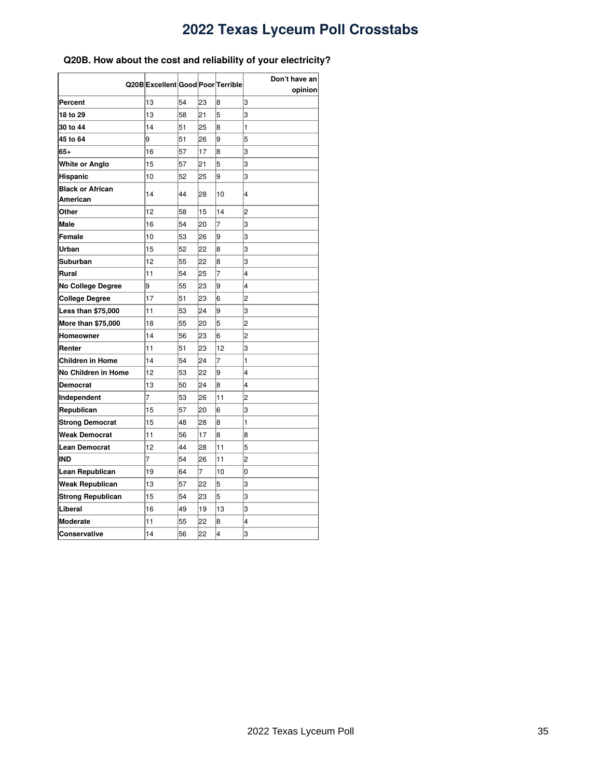### <span id="page-34-0"></span>**Q20B. How about the cost and reliability of your electricity?**

|                                     | Q20B Excellent Good Poor Terrible |    |    |                | Don't have an  |
|-------------------------------------|-----------------------------------|----|----|----------------|----------------|
|                                     |                                   |    |    |                | opinion        |
| Percent                             | 13                                | 54 | 23 | 8              | 3              |
| 18 to 29                            | 13                                | 58 | 21 | 5              | 3              |
| 30 to 44                            | 14                                | 51 | 25 | 8              | 1              |
| 45 to 64                            | 9                                 | 51 | 26 | l9             | 5              |
| 65+                                 | 16                                | 57 | 17 | 8              | 3              |
| <b>White or Anglo</b>               | 15                                | 57 | 21 | 5              | 3              |
| Hispanic                            | 10                                | 52 | 25 | 9              | 3              |
| <b>Black or African</b><br>American | 14                                | 44 | 28 | 10             | 4              |
| Other                               | 12                                | 58 | 15 | 14             | $\overline{c}$ |
| Male                                | 16                                | 54 | 20 | 7              | 3              |
| Female                              | 10                                | 53 | 26 | 9              | 3              |
| Urban                               | 15                                | 52 | 22 | 8              | 3              |
| Suburban                            | 12                                | 55 | 22 | 8              | 3              |
| Rural                               | 11                                | 54 | 25 | 7              | 4              |
| <b>No College Degree</b>            | 9                                 | 55 | 23 | 9              | 4              |
| <b>College Degree</b>               | 17                                | 51 | 23 | 6              | 2              |
| <b>Less than \$75,000</b>           | 11                                | 53 | 24 | 9              | 3              |
| More than \$75,000                  | 18                                | 55 | 20 | 5              | 2              |
| Homeowner                           | 14                                | 56 | 23 | 6              | 2              |
| Renter                              | 11                                | 51 | 23 | 12             | 3              |
| <b>Children in Home</b>             | 14                                | 54 | 24 | $\overline{7}$ | 1              |
| No Children in Home                 | 12                                | 53 | 22 | 9              | 4              |
| Democrat                            | 13                                | 50 | 24 | 8              | 4              |
| Independent                         | 7                                 | 53 | 26 | 11             | 2              |
| Republican                          | 15                                | 57 | 20 | 6              | 3              |
| <b>Strong Democrat</b>              | 15                                | 48 | 28 | 8              | 1              |
| <b>Weak Democrat</b>                | 11                                | 56 | 17 | 8              | 8              |
| <b>Lean Democrat</b>                | 12                                | 44 | 28 | 11             | 5              |
| IND                                 | 7                                 | 54 | 26 | 11             | 2              |
| Lean Republican                     | 19                                | 64 | 7  | 10             | 0              |
| Weak Republican                     | 13                                | 57 | 22 | 5              | 3              |
| <b>Strong Republican</b>            | 15                                | 54 | 23 | 5              | 3              |
| Liberal                             | 16                                | 49 | 19 | 13             | 3              |
| <b>Moderate</b>                     | 11                                | 55 | 22 | 8              | 4              |
| Conservative                        | 14                                | 56 | 22 | $\overline{4}$ | 3              |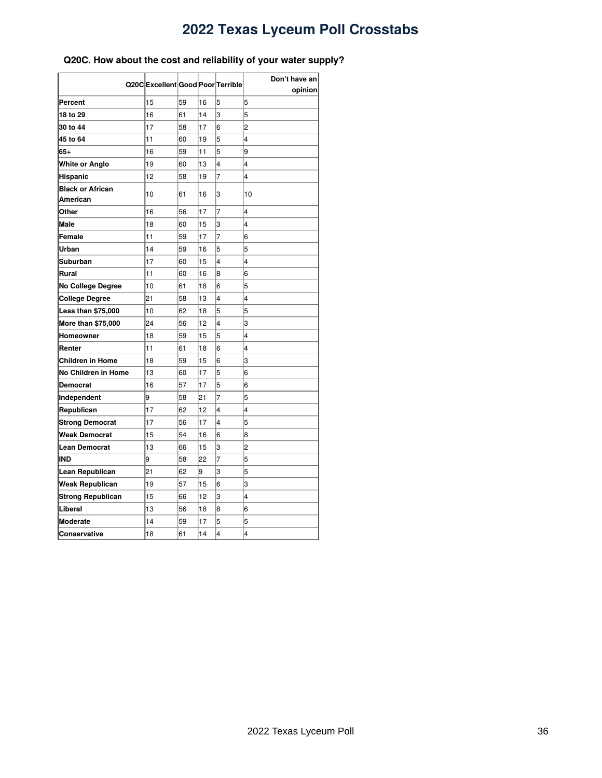### <span id="page-35-0"></span>**Q20C. How about the cost and reliability of your water supply?**

| Q20C Excellent Good Poor Terrible   |    |    |    |                | Don't have an           |  |
|-------------------------------------|----|----|----|----------------|-------------------------|--|
|                                     |    |    |    |                | opinion                 |  |
| Percent                             | 15 | 59 | 16 | 5              | 5                       |  |
| 18 to 29                            | 16 | 61 | 14 | 3              | 5                       |  |
| 30 to 44                            | 17 | 58 | 17 | 6              | $\overline{c}$          |  |
| 45 to 64                            | 11 | 60 | 19 | 5              | 4                       |  |
| 65+                                 | 16 | 59 | 11 | 5              | 9                       |  |
| White or Anglo                      | 19 | 60 | 13 | 4              | 4                       |  |
| Hispanic                            | 12 | 58 | 19 | $\overline{7}$ | 4                       |  |
| <b>Black or African</b><br>American | 10 | 61 | 16 | 3              | 10                      |  |
| Other                               | 16 | 56 | 17 | 7              | 4                       |  |
| <b>Male</b>                         | 18 | 60 | 15 | 3              | 4                       |  |
| Female                              | 11 | 59 | 17 | 7              | 6                       |  |
| Urban                               | 14 | 59 | 16 | 5              | 5                       |  |
| Suburban                            | 17 | 60 | 15 | 4              | 4                       |  |
| Rural                               | 11 | 60 | 16 | 8              | 6                       |  |
| <b>No College Degree</b>            | 10 | 61 | 18 | 6              | 5                       |  |
| <b>College Degree</b>               | 21 | 58 | 13 | 4              | 4                       |  |
| <b>Less than \$75,000</b>           | 10 | 62 | 18 | 5              | 5                       |  |
| More than \$75,000                  | 24 | 56 | 12 | 4              | 3                       |  |
| Homeowner                           | 18 | 59 | 15 | 5              | 4                       |  |
| Renter                              | 11 | 61 | 18 | 6              | 4                       |  |
| <b>Children in Home</b>             | 18 | 59 | 15 | 6              | 3                       |  |
| No Children in Home                 | 13 | 60 | 17 | 5              | 6                       |  |
| Democrat                            | 16 | 57 | 17 | 5              | 6                       |  |
| Independent                         | 9  | 58 | 21 | 7              | 5                       |  |
| Republican                          | 17 | 62 | 12 | 4              | 4                       |  |
| <b>Strong Democrat</b>              | 17 | 56 | 17 | 4              | 5                       |  |
| Weak Democrat                       | 15 | 54 | 16 | 6              | 8                       |  |
| Lean Democrat                       | 13 | 66 | 15 | 3              | $\overline{c}$          |  |
| IND                                 | 9  | 58 | 22 | 7              | 5                       |  |
| Lean Republican                     | 21 | 62 | 9  | 3              | 5                       |  |
| Weak Republican                     | 19 | 57 | 15 | 6              | 3                       |  |
| <b>Strong Republican</b>            | 15 | 66 | 12 | 3              | 4                       |  |
| Liberal                             | 13 | 56 | 18 | 8              | 6                       |  |
| <b>Moderate</b>                     | 14 | 59 | 17 | 5              | 5                       |  |
| Conservative                        | 18 | 61 | 14 | 4              | $\overline{\mathbf{4}}$ |  |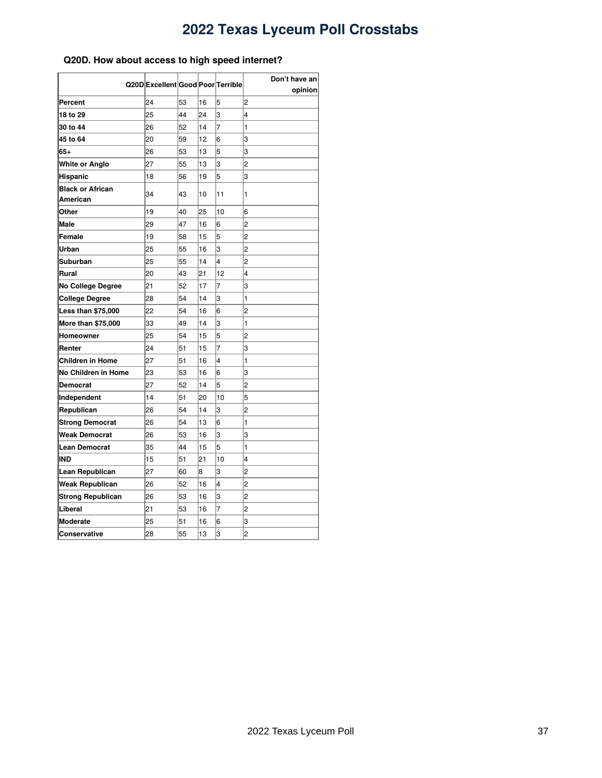### <span id="page-36-0"></span>**Q20D. How about access to high speed internet?**

|                                     |                                   |    |    |    | Don't have an |  |
|-------------------------------------|-----------------------------------|----|----|----|---------------|--|
|                                     | Q20D Excellent Good Poor Terrible |    |    |    | opinion       |  |
| Percent                             | 24                                | 53 | 16 | 5  | 2             |  |
| 18 to 29                            | 25                                | 44 | 24 | 3  | 4             |  |
| 30 to 44                            | 26                                | 52 | 14 | 7  | 1             |  |
| 45 to 64                            | 20                                | 59 | 12 | 6  | 3             |  |
| 65+                                 | 26                                | 53 | 13 | 5  | 3             |  |
| White or Anglo                      | 27                                | 55 | 13 | 3  | 2             |  |
| Hispanic                            | 18                                | 56 | 19 | 5  | 3             |  |
| <b>Black or African</b><br>American | 34                                | 43 | 10 | 11 | 1             |  |
| Other                               | 19                                | 40 | 25 | 10 | 6             |  |
| <b>Male</b>                         | 29                                | 47 | 16 | 6  | 2             |  |
| Female                              | 19                                | 58 | 15 | 5  | 2             |  |
| Urban                               | 25                                | 55 | 16 | 3  | 2             |  |
| Suburban                            | 25                                | 55 | 14 | 4  | 2             |  |
| Rural                               | 20                                | 43 | 21 | 12 | 4             |  |
| No College Degree                   | 21                                | 52 | 17 | 7  | 3             |  |
| <b>College Degree</b>               | 28                                | 54 | 14 | 3  | 1             |  |
| <b>Less than \$75,000</b>           | 22                                | 54 | 16 | 6  | 2             |  |
| <b>More than \$75,000</b>           | 33                                | 49 | 14 | 3  | 1             |  |
| Homeowner                           | 25                                | 54 | 15 | 5  | 2             |  |
| Renter                              | 24                                | 51 | 15 | 7  | 3             |  |
| Children in Home                    | 27                                | 51 | 16 | 4  | 1             |  |
| No Children in Home                 | 23                                | 53 | 16 | 6  | 3             |  |
| Democrat                            | 27                                | 52 | 14 | 5  | 2             |  |
| Independent                         | 14                                | 51 | 20 | 10 | 5             |  |
| Republican                          | 26                                | 54 | 14 | 3  | 2             |  |
| <b>Strong Democrat</b>              | 26                                | 54 | 13 | 6  | 1             |  |
| Weak Democrat                       | 26                                | 53 | 16 | 3  | 3             |  |
| Lean Democrat                       | 35                                | 44 | 15 | 5  | 1             |  |
| IND                                 | 15                                | 51 | 21 | 10 | 4             |  |
| Lean Republican                     | 27                                | 60 | 8  | 3  | 2             |  |
| Weak Republican                     | 26                                | 52 | 16 | 4  | 2             |  |
| <b>Strong Republican</b>            | 26                                | 53 | 16 | 3  | 2             |  |
| Liberal                             | 21                                | 53 | 16 | 7  | 2             |  |
| <b>Moderate</b>                     | 25                                | 51 | 16 | 6  | 3             |  |
| Conservative                        | 28                                | 55 | 13 | 3  | 2             |  |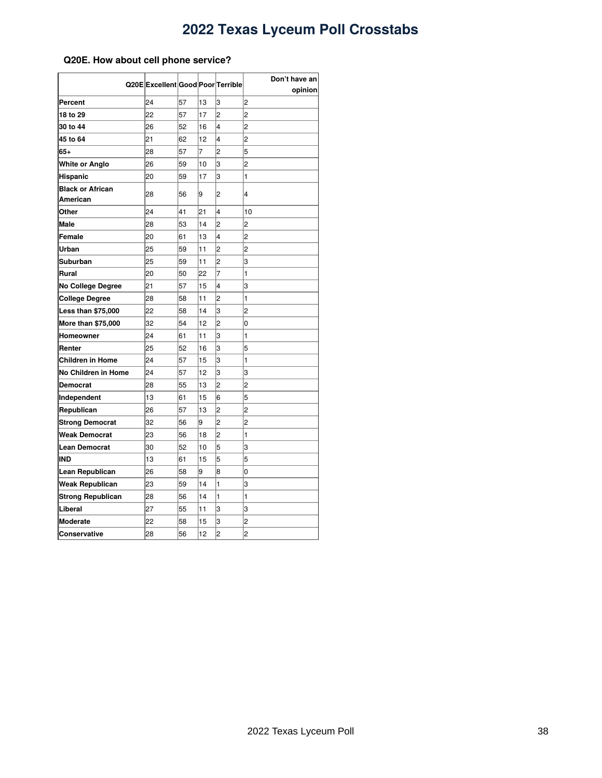### <span id="page-37-0"></span>**Q20E. How about cell phone service?**

|                                     | Q20E Excellent Good Poor Terrible |    |    |                | Don't have an  |
|-------------------------------------|-----------------------------------|----|----|----------------|----------------|
|                                     |                                   |    |    |                | opinion        |
| Percent                             | 24                                | 57 | 13 | 3              | 2              |
| 18 to 29                            | 22                                | 57 | 17 | $\overline{c}$ | $\overline{c}$ |
| 30 to 44                            | 26                                | 52 | 16 | 4              | $\overline{c}$ |
| 45 to 64                            | 21                                | 62 | 12 | 4              | 2              |
| $65+$                               | 28                                | 57 | 7  | $\overline{c}$ | 5              |
| White or Anglo                      | 26                                | 59 | 10 | 3              | 2              |
| Hispanic                            | 20                                | 59 | 17 | 3              | 1              |
| <b>Black or African</b><br>American | 28                                | 56 | 9  | 2              | 4              |
| Other                               | 24                                | 41 | 21 | 4              | 10             |
| <b>Male</b>                         | 28                                | 53 | 14 | 2              | 2              |
| Female                              | 20                                | 61 | 13 | 4              | 2              |
| Urban                               | 25                                | 59 | 11 | 2              | $\overline{c}$ |
| Suburban                            | 25                                | 59 | 11 | 2              | 3              |
| Rural                               | 20                                | 50 | 22 | $\overline{7}$ | 1              |
| <b>No College Degree</b>            | 21                                | 57 | 15 | 4              | 3              |
| College Degree                      | 28                                | 58 | 11 | $\overline{c}$ | 1              |
| Less than \$75,000                  | 22                                | 58 | 14 | 3              | 2              |
| More than \$75,000                  | 32                                | 54 | 12 | $\overline{2}$ | O              |
| Homeowner                           | 24                                | 61 | 11 | 3              | 1              |
| Renter                              | 25                                | 52 | 16 | 3              | 5              |
| <b>Children in Home</b>             | 24                                | 57 | 15 | 3              | 1              |
| No Children in Home                 | 24                                | 57 | 12 | 3              | 3              |
| Democrat                            | 28                                | 55 | 13 | 2              | 2              |
| Independent                         | 13                                | 61 | 15 | 6              | 5              |
| Republican                          | 26                                | 57 | 13 | $\overline{c}$ | $\overline{c}$ |
| <b>Strong Democrat</b>              | 32                                | 56 | 9  | $\overline{c}$ | $\overline{2}$ |
| Weak Democrat                       | 23                                | 56 | 18 | $\overline{2}$ | 1              |
| <b>Lean Democrat</b>                | 30                                | 52 | 10 | 5              | 3              |
| IND                                 | 13                                | 61 | 15 | 5              | 5              |
| Lean Republican                     | 26                                | 58 | 9  | 8              | 0              |
| Weak Republican                     | 23                                | 59 | 14 | 1              | 3              |
| Strong Republican                   | 28                                | 56 | 14 | 1              | 1              |
| Liberal                             | 27                                | 55 | 11 | 3              | 3              |
| <b>Moderate</b>                     | 22                                | 58 | 15 | 3              | 2              |
| Conservative                        | 28                                | 56 | 12 | $\overline{c}$ | $\overline{c}$ |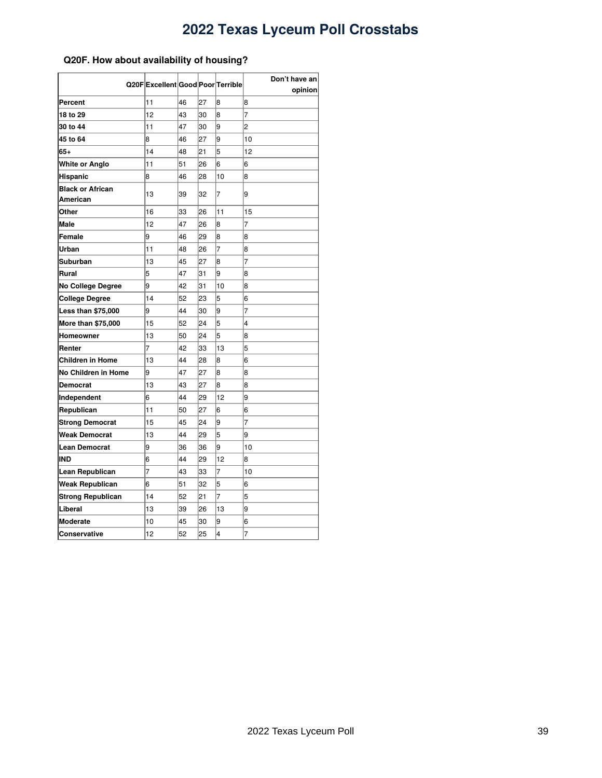### <span id="page-38-0"></span>**Q20F. How about availability of housing?**

|                                     | Q20F Excellent Good Poor Terrible |    |    |                | Don't have an<br>opinion |
|-------------------------------------|-----------------------------------|----|----|----------------|--------------------------|
| Percent                             | 11                                | 46 | 27 | 8              | 8                        |
| 18 to 29                            | 12                                | 43 | 30 | 8              | $\overline{7}$           |
| 30 to 44                            | 11                                | 47 | 30 | 9              | $\overline{2}$           |
| 45 to 64                            | 8                                 | 46 | 27 | 9              | 10                       |
| 65+                                 | 14                                | 48 | 21 | 5              | 12                       |
| White or Anglo                      | 11                                | 51 | 26 | 6              | 6                        |
| Hispanic                            | 8                                 | 46 | 28 | 10             | 8                        |
| <b>Black or African</b><br>American | 13                                | 39 | 32 | 7              | l9                       |
| Other                               | 16                                | 33 | 26 | 11             | 15                       |
| Male                                | 12                                | 47 | 26 | 8              | $\overline{7}$           |
| Female                              | 9                                 | 46 | 29 | 8              | 8                        |
| Urban                               | 11                                | 48 | 26 | $\overline{7}$ | 8                        |
| Suburban                            | 13                                | 45 | 27 | 8              | $\overline{7}$           |
| Rural                               | 5                                 | 47 | 31 | 9              | 8                        |
| No College Degree                   | 9                                 | 42 | 31 | 10             | 8                        |
| <b>College Degree</b>               | 14                                | 52 | 23 | 5              | 6                        |
| <b>Less than \$75,000</b>           | 9                                 | 44 | 30 | 9              | $\overline{7}$           |
| <b>More than \$75,000</b>           | 15                                | 52 | 24 | 5              | 4                        |
| Homeowner                           | 13                                | 50 | 24 | 5              | 8                        |
| Renter                              | 7                                 | 42 | 33 | 13             | 5                        |
| Children in Home                    | 13                                | 44 | 28 | 8              | 6                        |
| No Children in Home                 | 9                                 | 47 | 27 | 8              | 8                        |
| Democrat                            | 13                                | 43 | 27 | 8              | 8                        |
| Independent                         | 6                                 | 44 | 29 | 12             | 9                        |
| Republican                          | 11                                | 50 | 27 | 6              | 6                        |
| <b>Strong Democrat</b>              | 15                                | 45 | 24 | 9              | 7                        |
| Weak Democrat                       | 13                                | 44 | 29 | 5              | 9                        |
| <b>Lean Democrat</b>                | 9                                 | 36 | 36 | 9              | 10                       |
| IND                                 | 6                                 | 44 | 29 | 12             | 8                        |
| Lean Republican                     | 7                                 | 43 | 33 | 7              | 10                       |
| Weak Republican                     | 6                                 | 51 | 32 | 5              | 6                        |
| <b>Strong Republican</b>            | 14                                | 52 | 21 | $\overline{7}$ | 5                        |
| Liberal                             | 13                                | 39 | 26 | 13             | 9                        |
| <b>Moderate</b>                     | 10                                | 45 | 30 | 9              | 6                        |
| Conservative                        | 12                                | 52 | 25 | $\overline{4}$ | 7                        |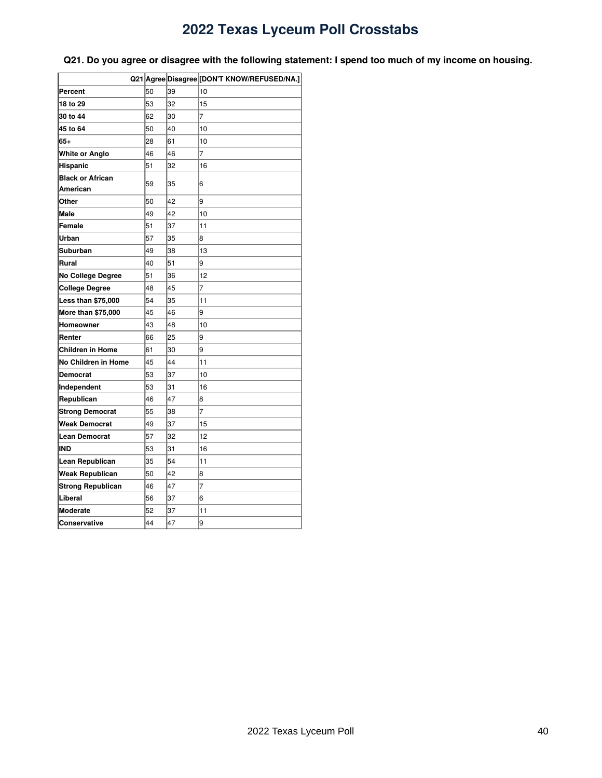|                          |    |    | Q21 Agree Disagree [DON'T KNOW/REFUSED/NA.] |
|--------------------------|----|----|---------------------------------------------|
| Percent                  | 50 | 39 | 10                                          |
| 18 to 29                 | 53 | 32 | 15                                          |
| 30 to 44                 | 62 | 30 | $\overline{7}$                              |
| 45 to 64                 | 50 | 40 | 10                                          |
| 65+                      | 28 | 61 | 10                                          |
| White or Anglo           | 46 | 46 | 7                                           |
| <b>Hispanic</b>          | 51 | 32 | 16                                          |
| <b>Black or African</b>  | 59 | 35 | 6                                           |
| American                 |    |    |                                             |
| Other                    | 50 | 42 | 9                                           |
| <b>Male</b>              | 49 | 42 | 10                                          |
| Female                   | 51 | 37 | 11                                          |
| Urban                    | 57 | 35 | 8                                           |
| Suburban                 | 49 | 38 | 13                                          |
| Rural                    | 40 | 51 | 9                                           |
| <b>No College Degree</b> | 51 | 36 | 12                                          |
| <b>College Degree</b>    | 48 | 45 | $\overline{7}$                              |
| Less than \$75,000       | 54 | 35 | 11                                          |
| More than \$75,000       | 45 | 46 | 9                                           |
| Homeowner                | 43 | 48 | 10                                          |
| Renter                   | 66 | 25 | 9                                           |
| <b>Children in Home</b>  | 61 | 30 | 9                                           |
| No Children in Home      | 45 | 44 | 11                                          |
| <b>Democrat</b>          | 53 | 37 | 10                                          |
| Independent              | 53 | 31 | 16                                          |
| Republican               | 46 | 47 | 8                                           |
| <b>Strong Democrat</b>   | 55 | 38 | $\overline{7}$                              |
| <b>Weak Democrat</b>     | 49 | 37 | 15                                          |
| <b>Lean Democrat</b>     | 57 | 32 | 12                                          |
| IND                      | 53 | 31 | 16                                          |
| Lean Republican          | 35 | 54 | 11                                          |
| <b>Weak Republican</b>   | 50 | 42 | 8                                           |
| <b>Strong Republican</b> | 46 | 47 | 7                                           |
| Liberal                  | 56 | 37 | 6                                           |
| <b>Moderate</b>          | 52 | 37 | 11                                          |
| <b>Conservative</b>      | 44 | 47 | 9                                           |

<span id="page-39-0"></span>Q21. Do you agree or disagree with the following statement: I spend too much of my income on housing.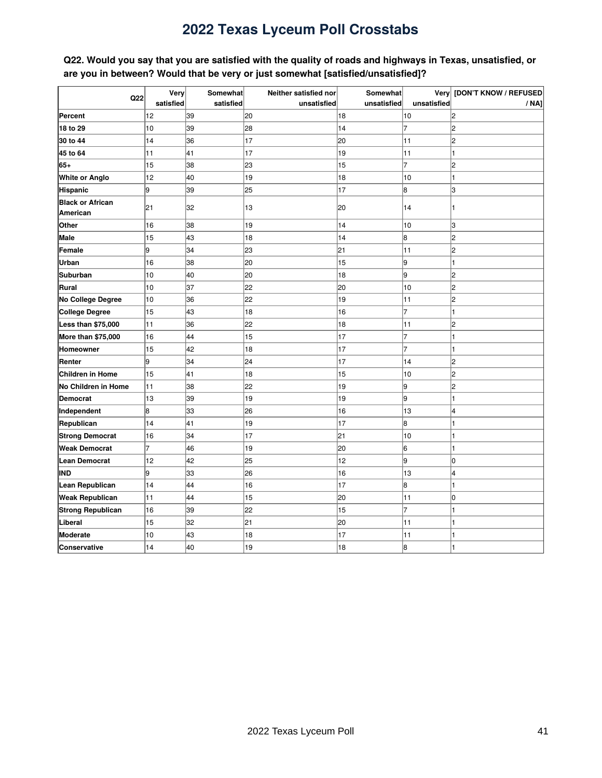<span id="page-40-0"></span>Q22. Would you say that you are satisfied with the quality of roads and highways in Texas, unsatisfied, or **are you in between? Would that be very or just somewhat [satisfied/unsatisfied]?**

|                                     | Very      | Somewhat  | Neither satisfied nor | Somewhat    |                | Very [DON'T KNOW / REFUSED |
|-------------------------------------|-----------|-----------|-----------------------|-------------|----------------|----------------------------|
| Q22                                 | satisfied | satisfied | unsatisfied           | unsatisfied | unsatisfied    | / NA]                      |
| Percent                             | 12        | 39        | 20                    | 18          | 10             | 2                          |
| 18 to 29                            | 10        | 39        | 28                    | 14          | $\overline{7}$ | l2                         |
| 30 to 44                            | 14        | 36        | 17                    | 20          | 11             | l2                         |
| 45 to 64                            | 11        | 41        | 17                    | 19          | 11             |                            |
| 65+                                 | 15        | 38        | 23                    | 15          | $\overline{7}$ | l2                         |
| <b>White or Anglo</b>               | 12        | 40        | 19                    | 18          | 10             |                            |
| Hispanic                            | l9        | 39        | 25                    | 17          | 8              | lз                         |
| <b>Black or African</b><br>American | 21        | 32        | 13                    | 20          | 14             |                            |
| Other                               | 16        | 38        | 19                    | 14          | 10             | Iз                         |
| <b>Male</b>                         | 15        | 43        | 18                    | 14          | 8              | l2                         |
| Female                              | l9        | 34        | 23                    | 21          | 11             | l2                         |
| Urban                               | 16        | 38        | 20                    | 15          | l9             | 1                          |
| Suburban                            | 10        | 40        | 20                    | 18          | l9             | l2                         |
| <b>Rural</b>                        | 10        | 37        | 22                    | 20          | 10             | l2                         |
| No College Degree                   | 10        | 36        | 22                    | 19          | 11             | 2                          |
| <b>College Degree</b>               | 15        | 43        | 18                    | 16          | 7              |                            |
| Less than \$75,000                  | 11        | 36        | 22                    | 18          | 11             | 2                          |
| More than \$75,000                  | 16        | 44        | 15                    | 17          | $\overline{7}$ |                            |
| Homeowner                           | 15        | 42        | 18                    | 17          | $\overline{7}$ |                            |
| Renter                              | 9         | 34        | 24                    | 17          | 14             | 2                          |
| Children in Home                    | 15        | 41        | 18                    | 15          | 10             | l2                         |
| No Children in Home                 | 11        | 38        | 22                    | 19          | 9              | l2                         |
| <b>Democrat</b>                     | 13        | 39        | 19                    | 19          | 9              | H                          |
| Independent                         | 8         | 33        | 26                    | 16          | 13             | l4                         |
| Republican                          | 14        | 41        | 19                    | 17          | 8              | l1                         |
| <b>Strong Democrat</b>              | 16        | 34        | 17                    | 21          | 10             | l1                         |
| <b>Weak Democrat</b>                | 7         | 46        | 19                    | 20          | 6              | 1                          |
| <b>Lean Democrat</b>                | 12        | 42        | 25                    | 12          | l9             | Iо                         |
| IND                                 | l9        | 33        | 26                    | 16          | 13             | l4                         |
| Lean Republican                     | 14        | 44        | 16                    | 17          | 8              |                            |
| <b>Weak Republican</b>              | 11        | 44        | 15                    | 20          | 11             | Iо                         |
| Strong Republican                   | 16        | 39        | 22                    | 15          | $\overline{7}$ |                            |
| Liberal                             | 15        | 32        | 21                    | 20          | 11             |                            |
| Moderate                            | 10        | 43        | 18                    | 17          | 11             |                            |
| Conservative                        | 14        | 40        | 19                    | 18          | 8              |                            |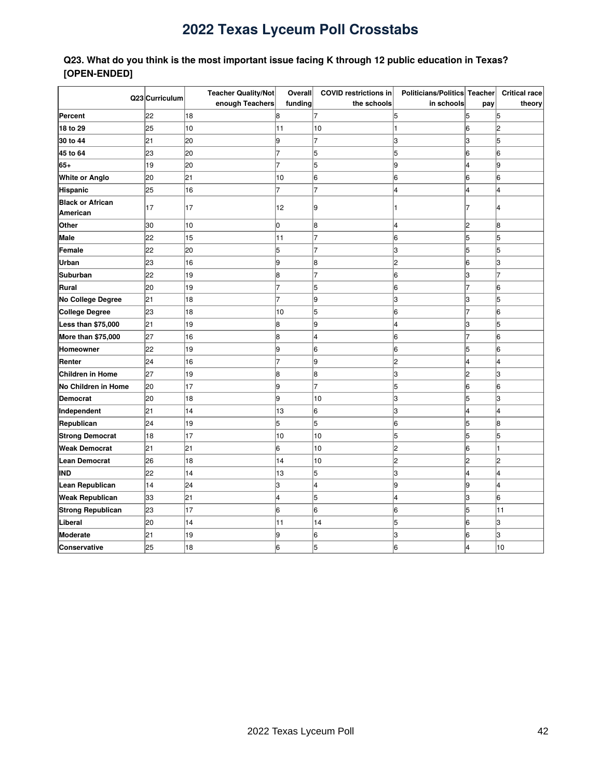### <span id="page-41-0"></span>**Q23. What do you think is the most important issue facing K through 12 public education in Texas? [OPEN-ENDED]**

|                          | Q23 Curriculum | Teacher Quality/Not | Overall        | <b>COVID restrictions in</b> | Politicians/Politics Teacher |                         | Critical race  |
|--------------------------|----------------|---------------------|----------------|------------------------------|------------------------------|-------------------------|----------------|
|                          |                | enough Teachers     | funding        | the schools                  | in schools                   | pay                     | theory         |
| Percent                  | 22             | 18                  | 8              |                              | 5                            | 5                       | 5              |
| 18 to 29                 | 25             | 10                  | 11             | 10                           | 1                            | l6                      | $\overline{2}$ |
| 30 to 44                 | 21             | 20                  | l9             | 17                           | lЗ                           | lз                      | 15             |
| 45 to 64                 | 23             | 20                  | $\overline{7}$ | 5                            | 5                            | 16                      | l6             |
| $65+$                    | 19             | 20                  | 7              | 5                            | l9                           | 4                       | l9             |
| White or Anglo           | 20             | 21                  | 10             | 6                            | 6                            | 6                       | 6              |
| Hispanic                 | 25             | 16                  | $\overline{7}$ | 7                            | 4                            | $\overline{\mathbf{4}}$ | l4             |
| <b>Black or African</b>  | 17             | 17                  | 12             | l9                           | 1                            |                         | 4              |
| American                 |                |                     |                |                              |                              |                         |                |
| Other                    | 30             | 10                  | lо             | 8                            | 4                            | 2                       | 8              |
| Male                     | 22             | 15                  | 11             |                              | 6                            | 5                       | 5              |
| Female                   | 22             | 20                  | 5              |                              | l3                           | 15                      | 5              |
| Urban                    | 23             | 16                  | l9             | l8                           | l2                           | 16                      | lз             |
| <b>Suburban</b>          | 22             | 19                  | 8              | 17                           | l6                           | lз                      | 17             |
| Rural                    | 20             | 19                  | 7              | 5                            | 16                           | 7                       | 6              |
| No College Degree        | 21             | 18                  | 7              | l9                           | lЗ                           | lЗ                      | 5              |
| <b>College Degree</b>    | 23             | 18                  | 10             | 5                            | 6                            | 7                       | l6             |
| Less than \$75,000       | 21             | 19                  | 8              | l9                           | 4                            | 3                       | 5              |
| More than \$75,000       | 27             | 16                  | 8              | 4                            | 6                            | 7                       | 6              |
| Homeowner                | 22             | 19                  | 9              | 6                            | 6                            | 5                       | 6              |
| Renter                   | 24             | 16                  |                | 9                            | 2                            | 4                       | 4              |
| <b>Children in Home</b>  | 27             | 19                  | 8              | 8                            | з                            | 2                       | З              |
| No Children in Home      | 20             | 17                  | 9              | 17                           | 5                            | 6                       | 6              |
| <b>Democrat</b>          | 20             | 18                  | 9              | 10                           | 3                            | 5                       | З              |
| Independent              | 21             | 14                  | 13             | 6                            | 3                            | 4                       | 4              |
| Republican               | 24             | 19                  | 5              | 5                            | 6                            | 5                       | 8              |
| <b>Strong Democrat</b>   | 18             | 17                  | 10             | 10                           | 5                            | 5                       | 5              |
| <b>Weak Democrat</b>     | 21             | 21                  | 6              | 10                           | 2                            | 6                       |                |
| Lean Democrat            | 26             | 18                  | 14             | 10                           | 2                            | 2                       | 2              |
| IND                      | 22             | 14                  | 13             | 5                            | З                            | 4                       | 4              |
| Lean Republican          | 14             | 24                  | 3              | 4                            | l9                           | 9                       | 4              |
| <b>Weak Republican</b>   | 33             | 21                  | 4              | 5                            | 4                            | lЗ                      | 6              |
| <b>Strong Republican</b> | 23             | 17                  | 6              | 6                            | 6                            | 5                       | 11             |
| Liberal                  | 20             | 14                  | 11             | 14                           | 5                            | 6                       | з              |
| Moderate                 | 21             | 19                  | l9             | 6                            | lз                           | 16                      | lз             |
| <b>Conservative</b>      | 25             | 18                  | 6              | 5                            | 6                            | 4                       | 10             |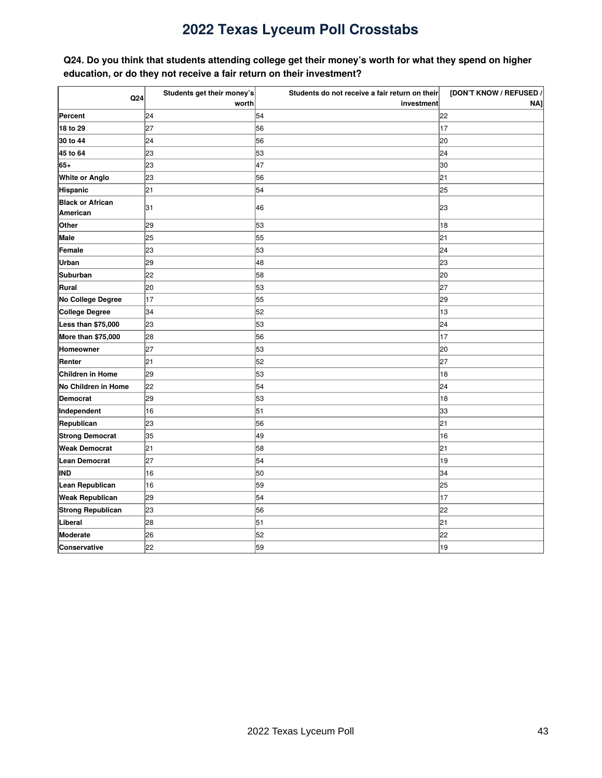### <span id="page-42-0"></span>Q24. Do you think that students attending college get their money's worth for what they spend on higher **education, or do they not receive a fair return on their investment?**

| Q24                      | Students get their money's | Students do not receive a fair return on their | [DON'T KNOW / REFUSED / |
|--------------------------|----------------------------|------------------------------------------------|-------------------------|
|                          | worth                      | investment                                     | NA]                     |
| Percent                  | 24                         | 54                                             | 22                      |
| 18 to 29                 | 27                         | 56                                             | 17                      |
| 30 to 44                 | 24                         | 56                                             | 20                      |
| 45 to 64                 | 23                         | 53                                             | 24                      |
| 65+                      | 23                         | 47                                             | 30                      |
| White or Anglo           | 23                         | 56                                             | 21                      |
| Hispanic                 | 21                         | 54                                             | 25                      |
| <b>Black or African</b>  | 31                         | 46                                             | 23                      |
| American                 |                            |                                                |                         |
| Other                    | 29                         | 53                                             | 18                      |
| Male                     | 25                         | 55                                             | 21                      |
| Female                   | 23                         | 53                                             | 24                      |
| Urban                    | 29                         | 48                                             | 23                      |
| <b>Suburban</b>          | 22                         | 58                                             | 20                      |
| Rural                    | 20                         | 53                                             | 27                      |
| No College Degree        | 17                         | 55                                             | 29                      |
| College Degree           | 34                         | 52                                             | 13                      |
| Less than \$75,000       | 23                         | 53                                             | 24                      |
| More than \$75,000       | 28                         | 56                                             | 17                      |
| Homeowner                | 27                         | 53                                             | 20                      |
| Renter                   | 21                         | 52                                             | 27                      |
| Children in Home         | 29                         | 53                                             | 18                      |
| No Children in Home      | 22                         | 54                                             | 24                      |
| <b>Democrat</b>          | 29                         | 53                                             | 18                      |
| Independent              | 16                         | 51                                             | 33                      |
| Republican               | 23                         | 56                                             | 21                      |
| <b>Strong Democrat</b>   | 35                         | 49                                             | 16                      |
| <b>Weak Democrat</b>     | 21                         | 58                                             | 21                      |
| Lean Democrat            | 27                         | 54                                             | 19                      |
| IND                      | 16                         | 50                                             | 34                      |
| Lean Republican          | 16                         | 59                                             | 25                      |
| <b>Weak Republican</b>   | 29                         | 54                                             | 17                      |
| <b>Strong Republican</b> | 23                         | 56                                             | 22                      |
| Liberal                  | 28                         | 51                                             | 21                      |
| Moderate                 | 26                         | 52                                             | 22                      |
| Conservative             | 22                         | 59                                             | 19                      |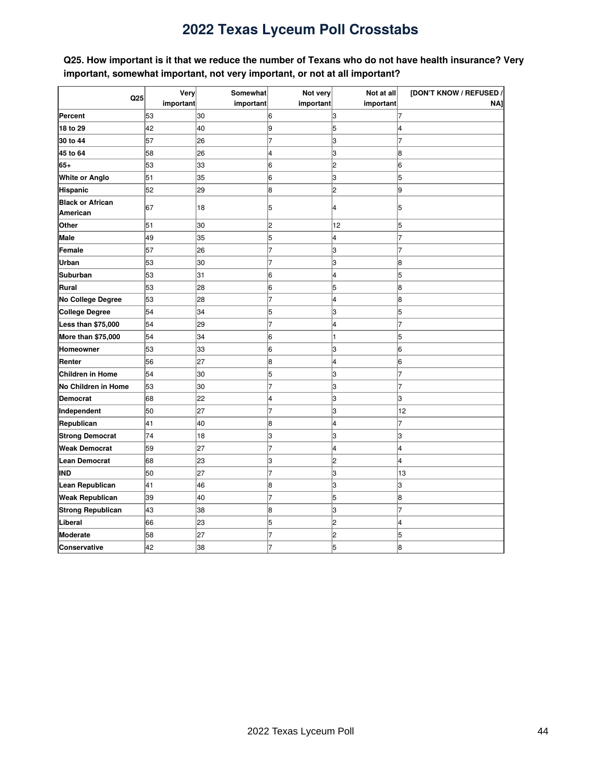<span id="page-43-0"></span>Q25. How important is it that we reduce the number of Texans who do not have health insurance? Very **important, somewhat important, not very important, or not at all important?**

|                                     | Very      | Somewhat  | Not very       | Not at all              | [DON'T KNOW / REFUSED / |
|-------------------------------------|-----------|-----------|----------------|-------------------------|-------------------------|
| Q25                                 | important | important | important      | important               | <b>NAI</b>              |
| Percent                             | 53        | 30        | 6              | З                       | 17                      |
| 18 to 29                            | 42        | 40        | l9             | 5                       | 14                      |
| 30 to 44                            | 57        | 26        | 7              | 3                       | 7                       |
| 45 to 64                            | 58        | 26        | 4              | 3                       | 8                       |
| 65+                                 | 53        | 33        | 6              | 2                       | 16                      |
| <b>White or Anglo</b>               | 51        | 35        | 6              | 3                       | 5                       |
| Hispanic                            | 52        | 29        | 8              | $\overline{c}$          | l9                      |
| <b>Black or African</b><br>American | 67        | 18        | 5              | 4                       | 15                      |
| Other                               | 51        | 30        | 2              | 12                      | 15                      |
| <b>Male</b>                         | 49        | 35        | 5              | 4                       |                         |
| Female                              | 57        | 26        | 7              | 3                       | 7                       |
| Urban                               | 53        | 30        | 7              | 3                       | 18                      |
| <b>Suburban</b>                     | 53        | 31        | 6              | 4                       | 5                       |
| Rural                               | 53        | 28        | 6              | 5                       | 8                       |
| No College Degree                   | 53        | 28        | 7              | 4                       | 8                       |
| <b>College Degree</b>               | 54        | 34        | 5              | 3                       | 5                       |
| Less than \$75,000                  | 54        | 29        | $\overline{7}$ | 4                       | 7                       |
| More than \$75,000                  | 54        | 34        | 6              | 1                       | 5                       |
| <b>Homeowner</b>                    | 53        | 33        | 6              | 3                       | l6                      |
| Renter                              | 56        | 27        | 8              | $\overline{\mathbf{4}}$ | l6                      |
| <b>Children in Home</b>             | 54        | 30        | 5              | 3                       |                         |
| No Children in Home                 | 53        | 30        | 7              | 3                       |                         |
| <b>Democrat</b>                     | 68        | 22        | 4              | 3                       | lЗ                      |
| Independent                         | 50        | 27        | 7              | 3                       | 12                      |
| Republican                          | 41        | 40        | 8              | 4                       | 7                       |
| <b>Strong Democrat</b>              | 74        | 18        | З              | 3                       | lЗ                      |
| <b>Weak Democrat</b>                | 59        | 27        | 7              | 4                       | l4                      |
| <b>Lean Democrat</b>                | 68        | 23        | З              | 2                       | 14                      |
| IND                                 | 50        | 27        | 7              | 3                       | 13                      |
| Lean Republican                     | 41        | 46        | 8              | 3                       | lЗ                      |
| <b>Weak Republican</b>              | 39        | 40        | 7              | 5                       | 18                      |
| <b>Strong Republican</b>            | 43        | 38        | 8              | 3                       | 17                      |
| Liberal                             | 66        | 23        | 5              | $\overline{c}$          | 14                      |
| Moderate                            | 58        | 27        | 7              | $\overline{c}$          | 15                      |
| Conservative                        | 42        | 38        |                | 5                       | l8                      |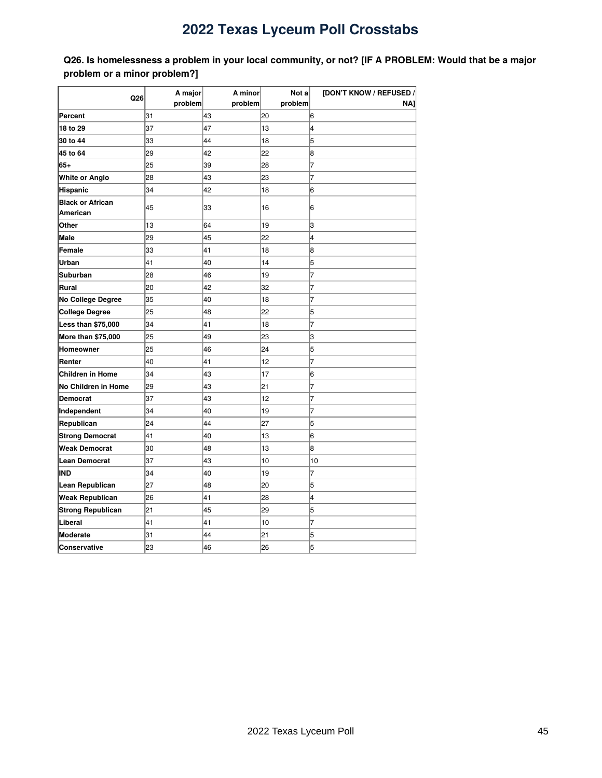<span id="page-44-0"></span>Q26. Is homelessness a problem in your local community, or not? [IF A PROBLEM: Would that be a major **problem or a minor problem?]**

|                                     | A major | A minor | Not a   | [DON'T KNOW / REFUSED / |
|-------------------------------------|---------|---------|---------|-------------------------|
| Q26                                 | problem | problem | problem | NA1                     |
| Percent                             | 31      | 43      | 20      | 6                       |
| 18 to 29                            | 37      | 47      | 13      | 4                       |
| 30 to 44                            | 33      | 44      | 18      | 5                       |
| 45 to 64                            | 29      | 42      | 22      | 8                       |
| 65+                                 | 25      | 39      | 28      | 7                       |
| <b>White or Anglo</b>               | 28      | 43      | 23      | 7                       |
| <b>Hispanic</b>                     | 34      | 42      | 18      | 6                       |
| <b>Black or African</b><br>American | 45      | 33      | 16      | 6                       |
| Other                               | 13      | 64      | 19      | 3                       |
| Male                                | 29      | 45      | 22      | 4                       |
| Female                              | 33      | 41      | 18      | 8                       |
| Urban                               | 41      | 40      | 14      | 5                       |
| Suburban                            | 28      | 46      | 19      | 7                       |
| Rural                               | 20      | 42      | 32      | 7                       |
| <b>No College Degree</b>            | 35      | 40      | 18      | 7                       |
| <b>College Degree</b>               | 25      | 48      | 22      | 5                       |
| Less than \$75,000                  | 34      | 41      | 18      | 7                       |
| More than \$75,000                  | 25      | 49      | 23      | З                       |
| <b>Homeowner</b>                    | 25      | 46      | 24      | 5                       |
| Renter                              | 40      | 41      | 12      | 7                       |
| <b>Children in Home</b>             | 34      | 43      | 17      | 6                       |
| No Children in Home                 | 29      | 43      | 21      | 7                       |
| <b>Democrat</b>                     | 37      | 43      | 12      | 7                       |
| Independent                         | 34      | 40      | 19      | 7                       |
| Republican                          | 24      | 44      | 27      | 5                       |
| <b>Strong Democrat</b>              | 41      | 40      | 13      | 6                       |
| <b>Weak Democrat</b>                | 30      | 48      | 13      | 8                       |
| <b>Lean Democrat</b>                | 37      | 43      | 10      | 10                      |
| IND                                 | 34      | 40      | 19      | $\overline{7}$          |
| Lean Republican                     | 27      | 48      | 20      | 5                       |
| <b>Weak Republican</b>              | 26      | 41      | 28      | 4                       |
| <b>Strong Republican</b>            | 21      | 45      | 29      | 5                       |
| Liberal                             | 41      | 41      | 10      | 7                       |
| Moderate                            | 31      | 44      | 21      | 5                       |
| Conservative                        | 23      | 46      | 26      | 5                       |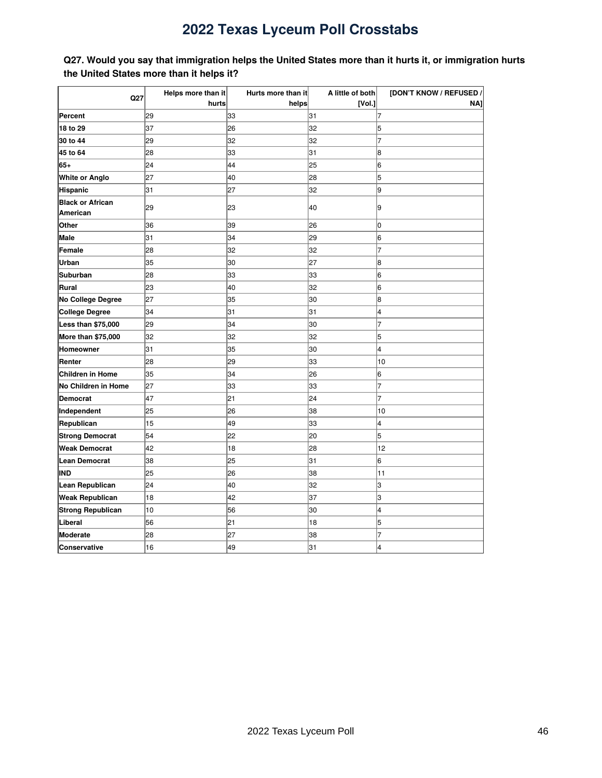### <span id="page-45-0"></span>Q27. Would you say that immigration helps the United States more than it hurts it, or immigration hurts **the United States more than it helps it?**

| Q27                                 | Helps more than it | Hurts more than it | A little of both | [DON'T KNOW / REFUSED / |
|-------------------------------------|--------------------|--------------------|------------------|-------------------------|
|                                     | hurts              | helps              | [Vol.]           | NAJ                     |
| Percent                             | 29                 | 33                 | 31               | 17                      |
| 18 to 29                            | 37                 | 26                 | 32               | 5                       |
| 30 to 44                            | 29                 | 32                 | 32               | 7                       |
| 45 to 64                            | 28                 | 33                 | 31               | 8                       |
| 65+                                 | 24                 | 44                 | 25               | 6                       |
| <b>White or Anglo</b>               | 27                 | 40                 | 28               | 5                       |
| Hispanic                            | 31                 | 27                 | 32               | l9                      |
| <b>Black or African</b><br>American | 29                 | 23                 | 40               | 9                       |
| Other                               | 36                 | 39                 | 26               | lо                      |
| Male                                | 31                 | 34                 | 29               | l6                      |
| Female                              | 28                 | 32                 | 32               | 7                       |
| Urban                               | 35                 | 30                 | 27               | 8                       |
| Suburban                            | 28                 | 33                 | 33               | 6                       |
| Rural                               | 23                 | 40                 | 32               | 6                       |
| No College Degree                   | 27                 | 35                 | 30               | 8                       |
| College Degree                      | 34                 | 31                 | 31               | 4                       |
| Less than \$75,000                  | 29                 | 34                 | 30               | 7                       |
| More than \$75,000                  | 32                 | 32                 | 32               | 5                       |
| Homeowner                           | 31                 | 35                 | 30               | 4                       |
| Renter                              | 28                 | 29                 | 33               | 10                      |
| <b>Children in Home</b>             | 35                 | 34                 | 26               | 6                       |
| No Children in Home                 | 27                 | 33                 | 33               | 17                      |
| Democrat                            | 47                 | 21                 | 24               | 7                       |
| Independent                         | 25                 | 26                 | 38               | 10                      |
| Republican                          | 15                 | 49                 | 33               | l4                      |
| <b>Strong Democrat</b>              | 54                 | 22                 | 20               | 5                       |
| <b>Weak Democrat</b>                | 42                 | 18                 | 28               | 12                      |
| <b>Lean Democrat</b>                | 38                 | 25                 | 31               | 6                       |
| IND                                 | 25                 | 26                 | 38               | 11                      |
| Lean Republican                     | 24                 | 40                 | 32               | lз                      |
| <b>Weak Republican</b>              | 18                 | 42                 | 37               | lЗ                      |
| <b>Strong Republican</b>            | 10                 | 56                 | 30               | 14                      |
| Liberal                             | 56                 | 21                 | 18               | 5                       |
| Moderate                            | 28                 | 27                 | 38               | 7                       |
| Conservative                        | 16                 | 49                 | 31               | 4                       |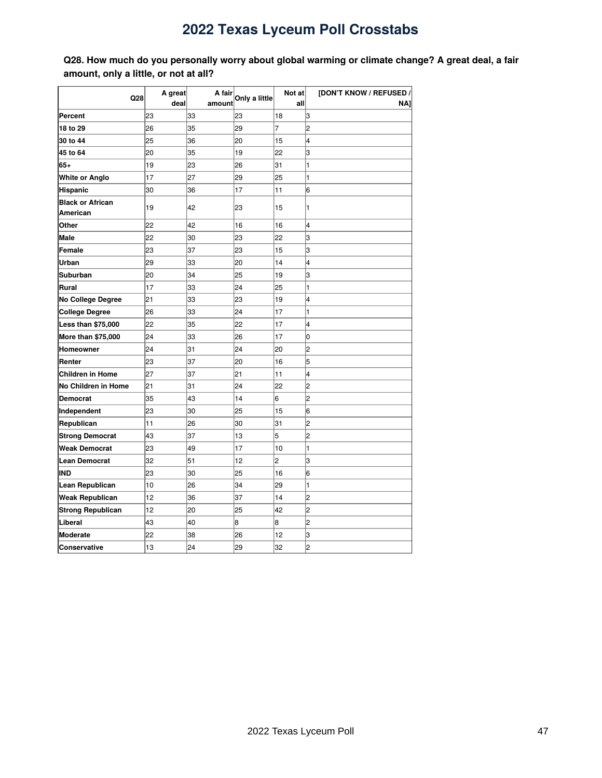<span id="page-46-0"></span>**Q28. How much do you personally worry about global warming or climate change? A great deal, a fair amount, only a little, or not at all?**

|                          | A great<br>A fair |        | Not at        | [DON'T KNOW / REFUSED / |                |
|--------------------------|-------------------|--------|---------------|-------------------------|----------------|
| Q28                      | deal              | amount | Only a little | all                     | NAI            |
| Percent                  | 23                | 33     | 23            | 18                      | 3              |
| 18 to 29                 | 26                | 35     | 29            | 7                       | $\overline{2}$ |
| 30 to 44                 | 25                | 36     | 20            | 15                      | 4              |
| 45 to 64                 | 20                | 35     | 19            | 22                      | lЗ             |
| 65+                      | 19                | 23     | 26            | 31                      | 1              |
| White or Anglo           | 17                | 27     | 29            | 25                      | 1              |
| Hispanic                 | 30                | 36     | 17            | 11                      | 6              |
| <b>Black or African</b>  | 19                | 42     | 23            | 15                      | 1              |
| <b>American</b>          |                   |        |               |                         |                |
| Other                    | 22                | 42     | 16            | 16                      | 4              |
| <b>Male</b>              | 22                | 30     | 23            | 22                      | 3              |
| Female                   | 23                | 37     | 23            | 15                      | 3              |
| Urban                    | 29                | 33     | 20            | 14                      | 4              |
| Suburban                 | 20                | 34     | 25            | 19                      | 3              |
| Rural                    | 17                | 33     | 24            | 25                      | 1              |
| No College Degree        | 21                | 33     | 23            | 19                      | 4              |
| <b>College Degree</b>    | 26                | 33     | 24            | 17                      | 1              |
| Less than \$75,000       | 22                | 35     | 22            | 17                      | 4              |
| More than \$75,000       | 24                | 33     | 26            | 17                      | 0              |
| Homeowner                | 24                | 31     | 24            | 20                      | 2              |
| Renter                   | 23                | 37     | 20            | 16                      | 5              |
| <b>Children in Home</b>  | 27                | 37     | 21            | 11                      | 4              |
| No Children in Home      | 21                | 31     | 24            | 22                      | $\overline{2}$ |
| <b>Democrat</b>          | 35                | 43     | 14            | 6                       | $\overline{2}$ |
| Independent              | 23                | 30     | 25            | 15                      | 6              |
| Republican               | 11                | 26     | 30            | 31                      | $\overline{c}$ |
| <b>Strong Democrat</b>   | 43                | 37     | 13            | 5                       | 2              |
| <b>Weak Democrat</b>     | 23                | 49     | 17            | 10                      | 1              |
| <b>Lean Democrat</b>     | 32                | 51     | 12            | 2                       | 3              |
| IND                      | 23                | 30     | 25            | 16                      | 6              |
| Lean Republican          | 10                | 26     | 34            | 29                      | 1              |
| <b>Weak Republican</b>   | 12                | 36     | 37            | 14                      | 2              |
| <b>Strong Republican</b> | 12                | 20     | 25            | 42                      | 2              |
| Liberal                  | 43                | 40     | 8             | 8                       | 2              |
| Moderate                 | 22                | 38     | 26            | 12                      | 3              |
| <b>Conservative</b>      | 13                | 24     | 29            | 32                      | $\overline{2}$ |